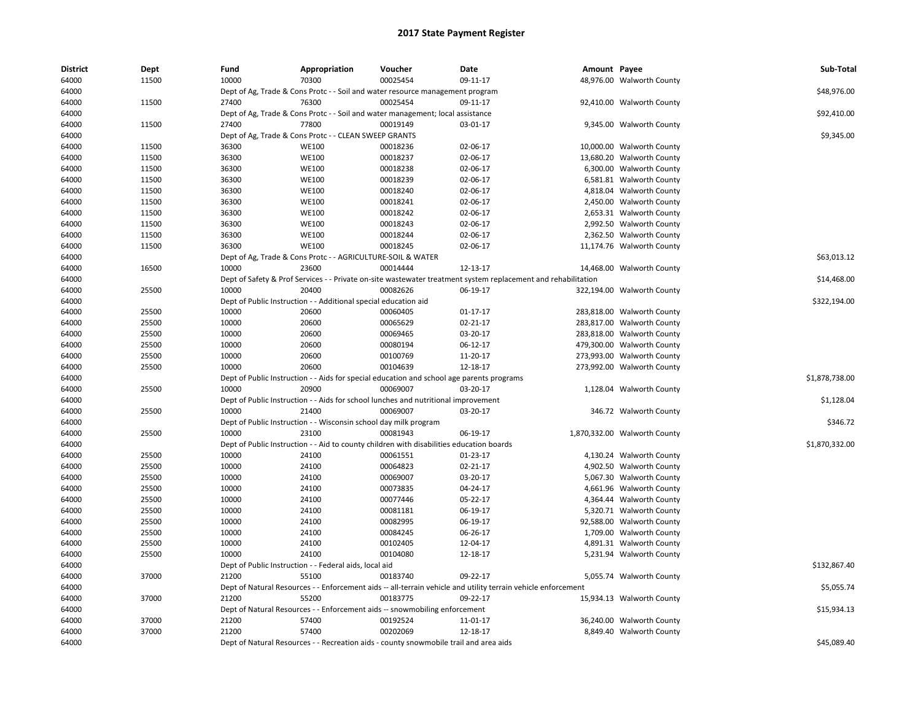| <b>District</b> | Dept  | Fund  | Appropriation                                                                             | Voucher  | Date                                                                                                          | Amount Payee |                              | Sub-Total      |
|-----------------|-------|-------|-------------------------------------------------------------------------------------------|----------|---------------------------------------------------------------------------------------------------------------|--------------|------------------------------|----------------|
| 64000           | 11500 | 10000 | 70300                                                                                     | 00025454 | 09-11-17                                                                                                      |              | 48,976.00 Walworth County    |                |
| 64000           |       |       | Dept of Ag, Trade & Cons Protc - - Soil and water resource management program             |          |                                                                                                               |              |                              | \$48,976.00    |
| 64000           | 11500 | 27400 | 76300                                                                                     | 00025454 | 09-11-17                                                                                                      |              | 92,410.00 Walworth County    |                |
| 64000           |       |       | Dept of Ag, Trade & Cons Protc - - Soil and water management; local assistance            |          |                                                                                                               |              |                              | \$92,410.00    |
| 64000           | 11500 | 27400 | 77800                                                                                     | 00019149 | 03-01-17                                                                                                      |              | 9,345.00 Walworth County     |                |
| 64000           |       |       | Dept of Ag, Trade & Cons Protc - - CLEAN SWEEP GRANTS                                     |          |                                                                                                               |              |                              | \$9,345.00     |
| 64000           | 11500 | 36300 | <b>WE100</b>                                                                              | 00018236 | 02-06-17                                                                                                      |              | 10,000.00 Walworth County    |                |
| 64000           | 11500 | 36300 | <b>WE100</b>                                                                              | 00018237 | 02-06-17                                                                                                      |              | 13,680.20 Walworth County    |                |
| 64000           | 11500 | 36300 | <b>WE100</b>                                                                              | 00018238 | 02-06-17                                                                                                      |              | 6,300.00 Walworth County     |                |
| 64000           | 11500 | 36300 | <b>WE100</b>                                                                              | 00018239 | 02-06-17                                                                                                      |              | 6,581.81 Walworth County     |                |
| 64000           | 11500 | 36300 | <b>WE100</b>                                                                              | 00018240 | 02-06-17                                                                                                      |              | 4,818.04 Walworth County     |                |
| 64000           | 11500 | 36300 | <b>WE100</b>                                                                              | 00018241 | 02-06-17                                                                                                      |              | 2,450.00 Walworth County     |                |
| 64000           | 11500 | 36300 | <b>WE100</b>                                                                              | 00018242 | 02-06-17                                                                                                      |              | 2,653.31 Walworth County     |                |
| 64000           | 11500 | 36300 | <b>WE100</b>                                                                              | 00018243 | 02-06-17                                                                                                      |              | 2,992.50 Walworth County     |                |
| 64000           | 11500 | 36300 | <b>WE100</b>                                                                              | 00018244 | 02-06-17                                                                                                      |              | 2,362.50 Walworth County     |                |
| 64000           | 11500 | 36300 | <b>WE100</b>                                                                              | 00018245 | 02-06-17                                                                                                      |              | 11,174.76 Walworth County    |                |
| 64000           |       |       | Dept of Ag, Trade & Cons Protc - - AGRICULTURE-SOIL & WATER                               |          |                                                                                                               |              |                              | \$63,013.12    |
| 64000           | 16500 | 10000 | 23600                                                                                     | 00014444 | 12-13-17                                                                                                      |              | 14,468.00 Walworth County    |                |
| 64000           |       |       |                                                                                           |          | Dept of Safety & Prof Services - - Private on-site wastewater treatment system replacement and rehabilitation |              |                              | \$14,468.00    |
| 64000           | 25500 | 10000 | 20400                                                                                     | 00082626 | 06-19-17                                                                                                      |              | 322,194.00 Walworth County   |                |
| 64000           |       |       | Dept of Public Instruction - - Additional special education aid                           |          |                                                                                                               |              |                              | \$322,194.00   |
| 64000           | 25500 | 10000 | 20600                                                                                     | 00060405 | 01-17-17                                                                                                      |              | 283,818.00 Walworth County   |                |
| 64000           | 25500 | 10000 | 20600                                                                                     | 00065629 | 02-21-17                                                                                                      |              | 283,817.00 Walworth County   |                |
| 64000           | 25500 | 10000 | 20600                                                                                     | 00069465 | 03-20-17                                                                                                      |              | 283,818.00 Walworth County   |                |
| 64000           | 25500 | 10000 | 20600                                                                                     | 00080194 | 06-12-17                                                                                                      |              | 479,300.00 Walworth County   |                |
| 64000           | 25500 | 10000 | 20600                                                                                     | 00100769 | 11-20-17                                                                                                      |              | 273,993.00 Walworth County   |                |
| 64000           | 25500 | 10000 | 20600                                                                                     | 00104639 | 12-18-17                                                                                                      |              | 273,992.00 Walworth County   |                |
| 64000           |       |       | Dept of Public Instruction - - Aids for special education and school age parents programs |          |                                                                                                               |              |                              | \$1,878,738.00 |
| 64000           | 25500 | 10000 | 20900                                                                                     | 00069007 | 03-20-17                                                                                                      |              | 1,128.04 Walworth County     |                |
| 64000           |       |       | Dept of Public Instruction - - Aids for school lunches and nutritional improvement        |          |                                                                                                               |              |                              | \$1,128.04     |
| 64000           | 25500 | 10000 | 21400                                                                                     | 00069007 | 03-20-17                                                                                                      |              | 346.72 Walworth County       |                |
| 64000           |       |       | Dept of Public Instruction - - Wisconsin school day milk program                          |          |                                                                                                               |              |                              | \$346.72       |
| 64000           | 25500 | 10000 | 23100                                                                                     | 00081943 | 06-19-17                                                                                                      |              | 1,870,332.00 Walworth County |                |
| 64000           |       |       | Dept of Public Instruction - - Aid to county children with disabilities education boards  |          |                                                                                                               |              |                              | \$1,870,332.00 |
| 64000           | 25500 | 10000 | 24100                                                                                     | 00061551 | 01-23-17                                                                                                      |              | 4,130.24 Walworth County     |                |
| 64000           | 25500 | 10000 | 24100                                                                                     | 00064823 | 02-21-17                                                                                                      |              | 4,902.50 Walworth County     |                |
| 64000           | 25500 | 10000 | 24100                                                                                     | 00069007 | 03-20-17                                                                                                      |              | 5,067.30 Walworth County     |                |
| 64000           | 25500 | 10000 | 24100                                                                                     | 00073835 | 04-24-17                                                                                                      |              | 4,661.96 Walworth County     |                |
| 64000           | 25500 | 10000 | 24100                                                                                     | 00077446 | 05-22-17                                                                                                      |              | 4,364.44 Walworth County     |                |
| 64000           | 25500 | 10000 | 24100                                                                                     | 00081181 | 06-19-17                                                                                                      |              | 5,320.71 Walworth County     |                |
| 64000           | 25500 | 10000 | 24100                                                                                     | 00082995 | 06-19-17                                                                                                      |              | 92,588.00 Walworth County    |                |
| 64000           | 25500 | 10000 | 24100                                                                                     | 00084245 | 06-26-17                                                                                                      |              | 1,709.00 Walworth County     |                |
| 64000           | 25500 | 10000 | 24100                                                                                     | 00102405 | 12-04-17                                                                                                      |              | 4,891.31 Walworth County     |                |
| 64000           | 25500 | 10000 | 24100                                                                                     | 00104080 | 12-18-17                                                                                                      |              | 5,231.94 Walworth County     |                |
| 64000           |       |       | Dept of Public Instruction - - Federal aids, local aid                                    |          |                                                                                                               |              |                              | \$132,867.40   |
| 64000           | 37000 | 21200 | 55100                                                                                     | 00183740 | 09-22-17                                                                                                      |              | 5,055.74 Walworth County     |                |
| 64000           |       |       |                                                                                           |          | Dept of Natural Resources - - Enforcement aids -- all-terrain vehicle and utility terrain vehicle enforcement |              |                              | \$5,055.74     |
| 64000           | 37000 | 21200 | 55200                                                                                     | 00183775 | 09-22-17                                                                                                      |              | 15,934.13 Walworth County    |                |
| 64000           |       |       | Dept of Natural Resources - - Enforcement aids -- snowmobiling enforcement                |          |                                                                                                               |              |                              | \$15,934.13    |
| 64000           | 37000 | 21200 | 57400                                                                                     | 00192524 | 11-01-17                                                                                                      |              | 36,240.00 Walworth County    |                |
| 64000           | 37000 | 21200 | 57400                                                                                     | 00202069 | 12-18-17                                                                                                      |              | 8,849.40 Walworth County     |                |
| 64000           |       |       | Dept of Natural Resources - - Recreation aids - county snowmobile trail and area aids     |          |                                                                                                               |              |                              | \$45,089.40    |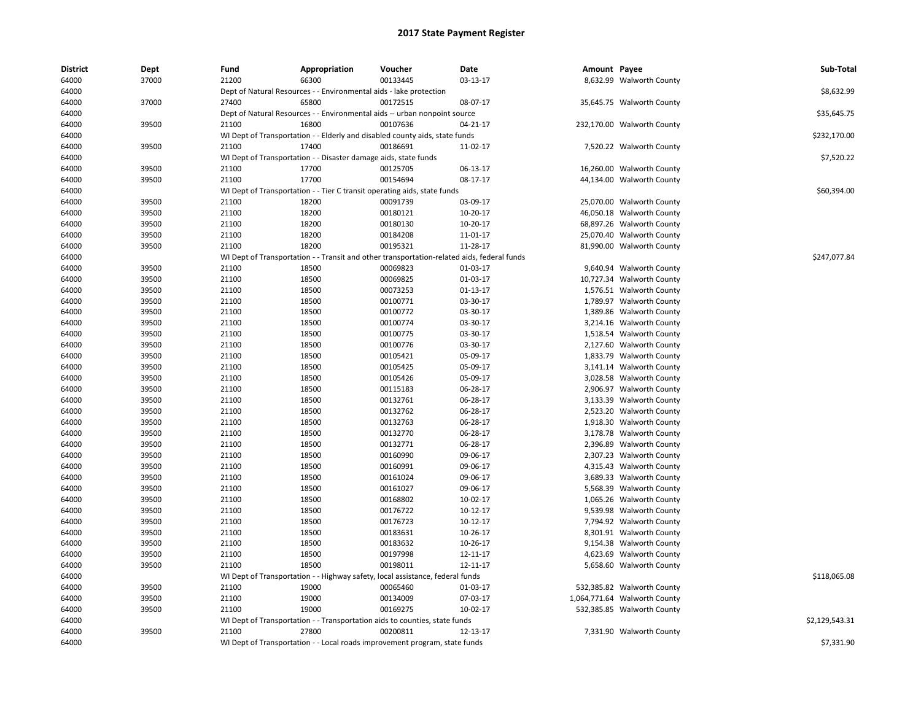| <b>District</b> | Dept  | Fund  | Appropriation                                                                              | Voucher  | Date           | Amount Payee |                              | Sub-Total      |
|-----------------|-------|-------|--------------------------------------------------------------------------------------------|----------|----------------|--------------|------------------------------|----------------|
| 64000           | 37000 | 21200 | 66300                                                                                      | 00133445 | 03-13-17       |              | 8,632.99 Walworth County     |                |
| 64000           |       |       | Dept of Natural Resources - - Environmental aids - lake protection                         |          |                |              |                              | \$8,632.99     |
| 64000           | 37000 | 27400 | 65800                                                                                      | 00172515 | 08-07-17       |              | 35,645.75 Walworth County    |                |
| 64000           |       |       | Dept of Natural Resources - - Environmental aids -- urban nonpoint source                  |          |                |              |                              | \$35,645.75    |
| 64000           | 39500 | 21100 | 16800                                                                                      | 00107636 | $04 - 21 - 17$ |              | 232,170.00 Walworth County   |                |
| 64000           |       |       | WI Dept of Transportation - - Elderly and disabled county aids, state funds                |          |                |              |                              | \$232,170.00   |
| 64000           | 39500 | 21100 | 17400                                                                                      | 00186691 | 11-02-17       |              | 7,520.22 Walworth County     |                |
| 64000           |       |       | WI Dept of Transportation - - Disaster damage aids, state funds                            |          |                |              |                              | \$7,520.22     |
| 64000           | 39500 | 21100 | 17700                                                                                      | 00125705 | 06-13-17       |              | 16,260.00 Walworth County    |                |
| 64000           | 39500 | 21100 | 17700                                                                                      | 00154694 | 08-17-17       |              | 44,134.00 Walworth County    |                |
| 64000           |       |       | WI Dept of Transportation - - Tier C transit operating aids, state funds                   |          |                |              |                              | \$60,394.00    |
| 64000           | 39500 | 21100 | 18200                                                                                      | 00091739 | 03-09-17       |              | 25,070.00 Walworth County    |                |
| 64000           | 39500 | 21100 | 18200                                                                                      | 00180121 | 10-20-17       |              | 46,050.18 Walworth County    |                |
| 64000           | 39500 | 21100 | 18200                                                                                      | 00180130 | 10-20-17       |              | 68,897.26 Walworth County    |                |
| 64000           | 39500 | 21100 | 18200                                                                                      | 00184208 | 11-01-17       |              | 25,070.40 Walworth County    |                |
| 64000           | 39500 | 21100 | 18200                                                                                      | 00195321 | 11-28-17       |              | 81,990.00 Walworth County    |                |
| 64000           |       |       | WI Dept of Transportation - - Transit and other transportation-related aids, federal funds |          |                |              |                              | \$247,077.84   |
| 64000           | 39500 | 21100 | 18500                                                                                      | 00069823 | 01-03-17       |              | 9,640.94 Walworth County     |                |
| 64000           | 39500 | 21100 | 18500                                                                                      | 00069825 | 01-03-17       |              | 10,727.34 Walworth County    |                |
| 64000           | 39500 | 21100 | 18500                                                                                      | 00073253 | $01 - 13 - 17$ |              | 1,576.51 Walworth County     |                |
| 64000           | 39500 | 21100 | 18500                                                                                      | 00100771 | 03-30-17       |              | 1,789.97 Walworth County     |                |
| 64000           | 39500 | 21100 | 18500                                                                                      | 00100772 | 03-30-17       |              | 1,389.86 Walworth County     |                |
| 64000           | 39500 | 21100 | 18500                                                                                      | 00100774 | 03-30-17       |              | 3,214.16 Walworth County     |                |
| 64000           | 39500 | 21100 | 18500                                                                                      | 00100775 | 03-30-17       |              | 1,518.54 Walworth County     |                |
| 64000           | 39500 | 21100 | 18500                                                                                      | 00100776 | 03-30-17       |              | 2,127.60 Walworth County     |                |
| 64000           | 39500 | 21100 | 18500                                                                                      | 00105421 | 05-09-17       |              | 1,833.79 Walworth County     |                |
| 64000           | 39500 | 21100 | 18500                                                                                      | 00105425 | 05-09-17       |              | 3,141.14 Walworth County     |                |
| 64000           | 39500 | 21100 | 18500                                                                                      | 00105426 | 05-09-17       |              | 3,028.58 Walworth County     |                |
| 64000           | 39500 | 21100 | 18500                                                                                      | 00115183 | 06-28-17       |              | 2,906.97 Walworth County     |                |
| 64000           | 39500 | 21100 | 18500                                                                                      | 00132761 | 06-28-17       |              | 3,133.39 Walworth County     |                |
| 64000           | 39500 | 21100 | 18500                                                                                      | 00132762 | 06-28-17       |              | 2,523.20 Walworth County     |                |
| 64000           | 39500 | 21100 | 18500                                                                                      | 00132763 | 06-28-17       |              | 1,918.30 Walworth County     |                |
| 64000           | 39500 | 21100 | 18500                                                                                      | 00132770 | 06-28-17       |              | 3,178.78 Walworth County     |                |
| 64000           | 39500 | 21100 | 18500                                                                                      | 00132771 | 06-28-17       |              | 2,396.89 Walworth County     |                |
| 64000           | 39500 | 21100 | 18500                                                                                      | 00160990 | 09-06-17       |              | 2,307.23 Walworth County     |                |
| 64000           | 39500 | 21100 | 18500                                                                                      | 00160991 | 09-06-17       |              | 4,315.43 Walworth County     |                |
| 64000           | 39500 | 21100 | 18500                                                                                      | 00161024 | 09-06-17       |              | 3,689.33 Walworth County     |                |
| 64000           | 39500 | 21100 | 18500                                                                                      | 00161027 | 09-06-17       |              | 5,568.39 Walworth County     |                |
| 64000           | 39500 | 21100 | 18500                                                                                      | 00168802 | 10-02-17       |              | 1,065.26 Walworth County     |                |
| 64000           | 39500 | 21100 | 18500                                                                                      | 00176722 | 10-12-17       |              | 9,539.98 Walworth County     |                |
| 64000           | 39500 | 21100 | 18500                                                                                      | 00176723 | 10-12-17       |              | 7,794.92 Walworth County     |                |
| 64000           | 39500 | 21100 | 18500                                                                                      | 00183631 | 10-26-17       |              | 8,301.91 Walworth County     |                |
| 64000           | 39500 | 21100 | 18500                                                                                      | 00183632 | 10-26-17       |              | 9,154.38 Walworth County     |                |
| 64000           | 39500 | 21100 | 18500                                                                                      | 00197998 | 12-11-17       |              | 4,623.69 Walworth County     |                |
| 64000           | 39500 | 21100 | 18500                                                                                      | 00198011 | 12-11-17       |              | 5,658.60 Walworth County     |                |
| 64000           |       |       | WI Dept of Transportation - - Highway safety, local assistance, federal funds              |          |                |              |                              | \$118,065.08   |
| 64000           | 39500 | 21100 | 19000                                                                                      | 00065460 | 01-03-17       |              | 532,385.82 Walworth County   |                |
| 64000           | 39500 | 21100 | 19000                                                                                      | 00134009 | 07-03-17       |              | 1,064,771.64 Walworth County |                |
| 64000           | 39500 | 21100 | 19000                                                                                      | 00169275 | $10-02-17$     |              | 532,385.85 Walworth County   |                |
| 64000           |       |       | WI Dept of Transportation - - Transportation aids to counties, state funds                 |          |                |              |                              | \$2,129,543.31 |
| 64000           | 39500 | 21100 | 27800                                                                                      | 00200811 | 12-13-17       |              | 7,331.90 Walworth County     |                |
| 64000           |       |       | WI Dept of Transportation - - Local roads improvement program, state funds                 |          |                |              |                              | \$7,331.90     |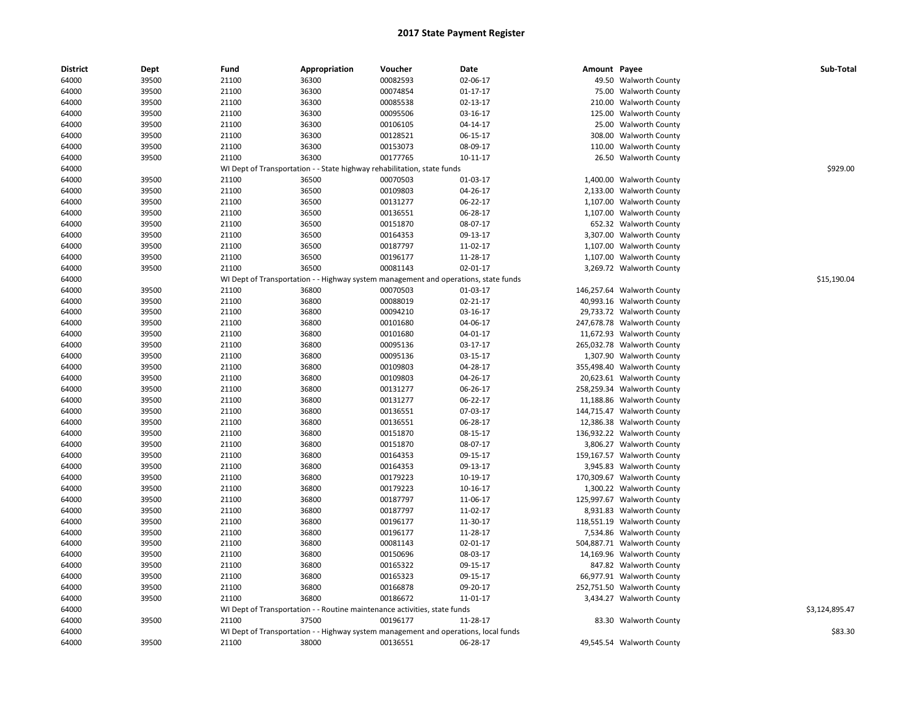| <b>District</b> | Dept  | Fund  | Appropriation                                                                       | Voucher  | Date           | Amount Payee |                            | Sub-Total      |
|-----------------|-------|-------|-------------------------------------------------------------------------------------|----------|----------------|--------------|----------------------------|----------------|
| 64000           | 39500 | 21100 | 36300                                                                               | 00082593 | 02-06-17       |              | 49.50 Walworth County      |                |
| 64000           | 39500 | 21100 | 36300                                                                               | 00074854 | $01 - 17 - 17$ |              | 75.00 Walworth County      |                |
| 64000           | 39500 | 21100 | 36300                                                                               | 00085538 | 02-13-17       | 210.00       | <b>Walworth County</b>     |                |
| 64000           | 39500 | 21100 | 36300                                                                               | 00095506 | 03-16-17       | 125.00       | <b>Walworth County</b>     |                |
| 64000           | 39500 | 21100 | 36300                                                                               | 00106105 | 04-14-17       | 25.00        | <b>Walworth County</b>     |                |
| 64000           | 39500 | 21100 | 36300                                                                               | 00128521 | 06-15-17       | 308.00       | <b>Walworth County</b>     |                |
| 64000           | 39500 | 21100 | 36300                                                                               | 00153073 | 08-09-17       | 110.00       | <b>Walworth County</b>     |                |
| 64000           | 39500 | 21100 | 36300                                                                               | 00177765 | $10 - 11 - 17$ |              | 26.50 Walworth County      |                |
| 64000           |       |       | WI Dept of Transportation - - State highway rehabilitation, state funds             |          |                |              |                            | \$929.00       |
| 64000           | 39500 | 21100 | 36500                                                                               | 00070503 | 01-03-17       | 1,400.00     | <b>Walworth County</b>     |                |
| 64000           | 39500 | 21100 | 36500                                                                               | 00109803 | 04-26-17       | 2,133.00     | <b>Walworth County</b>     |                |
| 64000           | 39500 | 21100 | 36500                                                                               | 00131277 | 06-22-17       | 1,107.00     | <b>Walworth County</b>     |                |
| 64000           | 39500 | 21100 | 36500                                                                               | 00136551 | 06-28-17       |              | 1,107.00 Walworth County   |                |
| 64000           | 39500 | 21100 | 36500                                                                               | 00151870 | 08-07-17       |              | 652.32 Walworth County     |                |
| 64000           | 39500 | 21100 | 36500                                                                               | 00164353 | 09-13-17       | 3,307.00     | <b>Walworth County</b>     |                |
| 64000           | 39500 | 21100 | 36500                                                                               | 00187797 | 11-02-17       |              | 1,107.00 Walworth County   |                |
| 64000           | 39500 | 21100 | 36500                                                                               | 00196177 | 11-28-17       | 1,107.00     | <b>Walworth County</b>     |                |
| 64000           | 39500 | 21100 | 36500                                                                               | 00081143 | 02-01-17       |              | 3,269.72 Walworth County   |                |
| 64000           |       |       | WI Dept of Transportation - - Highway system management and operations, state funds |          |                |              |                            | \$15,190.04    |
| 64000           | 39500 | 21100 | 36800                                                                               | 00070503 | 01-03-17       |              | 146,257.64 Walworth County |                |
| 64000           | 39500 | 21100 | 36800                                                                               | 00088019 | 02-21-17       |              | 40,993.16 Walworth County  |                |
| 64000           | 39500 | 21100 | 36800                                                                               | 00094210 | 03-16-17       |              | 29,733.72 Walworth County  |                |
| 64000           | 39500 | 21100 | 36800                                                                               | 00101680 | 04-06-17       |              | 247,678.78 Walworth County |                |
| 64000           | 39500 | 21100 | 36800                                                                               | 00101680 | 04-01-17       |              | 11,672.93 Walworth County  |                |
| 64000           | 39500 | 21100 | 36800                                                                               | 00095136 | 03-17-17       |              | 265,032.78 Walworth County |                |
| 64000           | 39500 | 21100 | 36800                                                                               | 00095136 | 03-15-17       |              | 1,307.90 Walworth County   |                |
| 64000           | 39500 | 21100 | 36800                                                                               | 00109803 | 04-28-17       |              | 355,498.40 Walworth County |                |
| 64000           | 39500 | 21100 | 36800                                                                               | 00109803 | 04-26-17       |              | 20,623.61 Walworth County  |                |
| 64000           | 39500 | 21100 | 36800                                                                               | 00131277 | 06-26-17       |              | 258,259.34 Walworth County |                |
| 64000           | 39500 | 21100 | 36800                                                                               | 00131277 | 06-22-17       |              | 11,188.86 Walworth County  |                |
| 64000           | 39500 | 21100 | 36800                                                                               | 00136551 | 07-03-17       |              | 144,715.47 Walworth County |                |
| 64000           | 39500 | 21100 | 36800                                                                               | 00136551 | 06-28-17       |              | 12,386.38 Walworth County  |                |
| 64000           | 39500 | 21100 | 36800                                                                               | 00151870 | 08-15-17       |              | 136,932.22 Walworth County |                |
| 64000           | 39500 | 21100 | 36800                                                                               | 00151870 | 08-07-17       |              | 3,806.27 Walworth County   |                |
| 64000           | 39500 | 21100 | 36800                                                                               | 00164353 | 09-15-17       |              | 159,167.57 Walworth County |                |
| 64000           | 39500 | 21100 | 36800                                                                               | 00164353 | 09-13-17       |              | 3,945.83 Walworth County   |                |
| 64000           | 39500 | 21100 | 36800                                                                               | 00179223 | 10-19-17       |              | 170,309.67 Walworth County |                |
| 64000           | 39500 | 21100 | 36800                                                                               | 00179223 | 10-16-17       |              | 1,300.22 Walworth County   |                |
| 64000           | 39500 | 21100 | 36800                                                                               | 00187797 | 11-06-17       | 125,997.67   | <b>Walworth County</b>     |                |
| 64000           | 39500 | 21100 | 36800                                                                               | 00187797 | 11-02-17       |              | 8,931.83 Walworth County   |                |
| 64000           | 39500 | 21100 | 36800                                                                               | 00196177 | 11-30-17       |              | 118,551.19 Walworth County |                |
| 64000           | 39500 | 21100 | 36800                                                                               | 00196177 | 11-28-17       |              | 7,534.86 Walworth County   |                |
| 64000           | 39500 | 21100 | 36800                                                                               | 00081143 | 02-01-17       |              | 504,887.71 Walworth County |                |
| 64000           | 39500 | 21100 | 36800                                                                               | 00150696 | 08-03-17       |              | 14,169.96 Walworth County  |                |
| 64000           | 39500 | 21100 | 36800                                                                               | 00165322 | 09-15-17       |              | 847.82 Walworth County     |                |
| 64000           | 39500 | 21100 | 36800                                                                               | 00165323 | 09-15-17       |              | 66,977.91 Walworth County  |                |
| 64000           | 39500 | 21100 | 36800                                                                               | 00166878 | 09-20-17       |              | 252,751.50 Walworth County |                |
| 64000           | 39500 | 21100 | 36800                                                                               | 00186672 | 11-01-17       |              | 3,434.27 Walworth County   |                |
| 64000           |       |       | WI Dept of Transportation - - Routine maintenance activities, state funds           |          |                |              |                            | \$3,124,895.47 |
| 64000           | 39500 | 21100 | 37500                                                                               | 00196177 | 11-28-17       |              | 83.30 Walworth County      |                |
| 64000           |       |       | WI Dept of Transportation - - Highway system management and operations, local funds |          |                |              |                            | \$83.30        |
| 64000           | 39500 | 21100 | 38000                                                                               | 00136551 | 06-28-17       |              | 49,545.54 Walworth County  |                |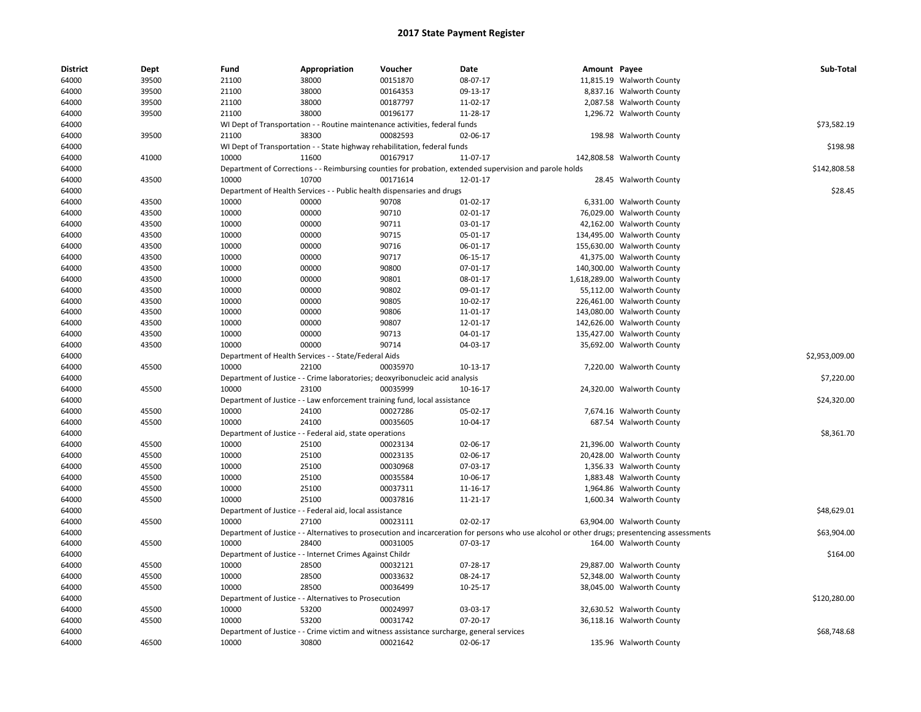| <b>District</b> | Dept  | Fund  | Appropriation                                            | Voucher                                                                                   | Date                                                                                                                                          | Amount Payee |                              | Sub-Total      |
|-----------------|-------|-------|----------------------------------------------------------|-------------------------------------------------------------------------------------------|-----------------------------------------------------------------------------------------------------------------------------------------------|--------------|------------------------------|----------------|
| 64000           | 39500 | 21100 | 38000                                                    | 00151870                                                                                  | 08-07-17                                                                                                                                      |              | 11,815.19 Walworth County    |                |
| 64000           | 39500 | 21100 | 38000                                                    | 00164353                                                                                  | 09-13-17                                                                                                                                      |              | 8,837.16 Walworth County     |                |
| 64000           | 39500 | 21100 | 38000                                                    | 00187797                                                                                  | 11-02-17                                                                                                                                      |              | 2,087.58 Walworth County     |                |
| 64000           | 39500 | 21100 | 38000                                                    | 00196177                                                                                  | 11-28-17                                                                                                                                      |              | 1,296.72 Walworth County     |                |
| 64000           |       |       |                                                          | WI Dept of Transportation - - Routine maintenance activities, federal funds               |                                                                                                                                               |              |                              | \$73,582.19    |
| 64000           | 39500 | 21100 | 38300                                                    | 00082593                                                                                  | 02-06-17                                                                                                                                      |              | 198.98 Walworth County       |                |
| 64000           |       |       |                                                          | WI Dept of Transportation - - State highway rehabilitation, federal funds                 |                                                                                                                                               |              |                              | \$198.98       |
| 64000           | 41000 | 10000 | 11600                                                    | 00167917                                                                                  | 11-07-17                                                                                                                                      |              | 142,808.58 Walworth County   |                |
| 64000           |       |       |                                                          |                                                                                           | Department of Corrections - - Reimbursing counties for probation, extended supervision and parole holds                                       |              |                              | \$142,808.58   |
| 64000           | 43500 | 10000 | 10700                                                    | 00171614                                                                                  | 12-01-17                                                                                                                                      |              | 28.45 Walworth County        |                |
| 64000           |       |       |                                                          | Department of Health Services - - Public health dispensaries and drugs                    |                                                                                                                                               |              |                              | \$28.45        |
| 64000           | 43500 | 10000 | 00000                                                    | 90708                                                                                     | 01-02-17                                                                                                                                      |              | 6,331.00 Walworth County     |                |
| 64000           | 43500 | 10000 | 00000                                                    | 90710                                                                                     | 02-01-17                                                                                                                                      |              | 76,029.00 Walworth County    |                |
| 64000           | 43500 | 10000 | 00000                                                    | 90711                                                                                     | 03-01-17                                                                                                                                      |              | 42,162.00 Walworth County    |                |
| 64000           | 43500 | 10000 | 00000                                                    | 90715                                                                                     | 05-01-17                                                                                                                                      |              | 134,495.00 Walworth County   |                |
| 64000           | 43500 | 10000 | 00000                                                    | 90716                                                                                     | 06-01-17                                                                                                                                      |              | 155,630.00 Walworth County   |                |
| 64000           | 43500 | 10000 | 00000                                                    | 90717                                                                                     | 06-15-17                                                                                                                                      |              | 41,375.00 Walworth County    |                |
| 64000           | 43500 | 10000 | 00000                                                    | 90800                                                                                     | 07-01-17                                                                                                                                      |              | 140,300.00 Walworth County   |                |
| 64000           | 43500 | 10000 | 00000                                                    | 90801                                                                                     | 08-01-17                                                                                                                                      |              | 1,618,289.00 Walworth County |                |
| 64000           | 43500 | 10000 | 00000                                                    | 90802                                                                                     | 09-01-17                                                                                                                                      |              | 55,112.00 Walworth County    |                |
| 64000           | 43500 | 10000 | 00000                                                    | 90805                                                                                     | 10-02-17                                                                                                                                      |              | 226,461.00 Walworth County   |                |
| 64000           | 43500 | 10000 | 00000                                                    | 90806                                                                                     | 11-01-17                                                                                                                                      |              | 143,080.00 Walworth County   |                |
| 64000           | 43500 | 10000 | 00000                                                    | 90807                                                                                     | 12-01-17                                                                                                                                      |              | 142,626.00 Walworth County   |                |
| 64000           | 43500 | 10000 | 00000                                                    | 90713                                                                                     | 04-01-17                                                                                                                                      |              | 135,427.00 Walworth County   |                |
| 64000           | 43500 | 10000 | 00000                                                    | 90714                                                                                     | 04-03-17                                                                                                                                      |              | 35,692.00 Walworth County    |                |
| 64000           |       |       | Department of Health Services - - State/Federal Aids     |                                                                                           |                                                                                                                                               |              |                              | \$2,953,009.00 |
| 64000           | 45500 | 10000 | 22100                                                    | 00035970                                                                                  | 10-13-17                                                                                                                                      |              | 7,220.00 Walworth County     |                |
| 64000           |       |       |                                                          | Department of Justice - - Crime laboratories; deoxyribonucleic acid analysis              |                                                                                                                                               |              |                              | \$7,220.00     |
| 64000           | 45500 | 10000 | 23100                                                    | 00035999                                                                                  | 10-16-17                                                                                                                                      |              | 24,320.00 Walworth County    |                |
| 64000           |       |       |                                                          | Department of Justice - - Law enforcement training fund, local assistance                 |                                                                                                                                               |              |                              | \$24,320.00    |
| 64000           | 45500 | 10000 | 24100                                                    | 00027286                                                                                  | 05-02-17                                                                                                                                      |              | 7,674.16 Walworth County     |                |
| 64000           | 45500 | 10000 | 24100                                                    | 00035605                                                                                  | 10-04-17                                                                                                                                      |              | 687.54 Walworth County       |                |
| 64000           |       |       | Department of Justice - - Federal aid, state operations  |                                                                                           |                                                                                                                                               |              |                              | \$8,361.70     |
| 64000           | 45500 | 10000 | 25100                                                    | 00023134                                                                                  | 02-06-17                                                                                                                                      |              | 21,396.00 Walworth County    |                |
| 64000           | 45500 | 10000 | 25100                                                    | 00023135                                                                                  | 02-06-17                                                                                                                                      |              | 20,428.00 Walworth County    |                |
| 64000           | 45500 | 10000 | 25100                                                    | 00030968                                                                                  | 07-03-17                                                                                                                                      |              | 1,356.33 Walworth County     |                |
| 64000           | 45500 | 10000 | 25100                                                    | 00035584                                                                                  | 10-06-17                                                                                                                                      |              | 1,883.48 Walworth County     |                |
| 64000           | 45500 | 10000 | 25100                                                    | 00037311                                                                                  | 11-16-17                                                                                                                                      |              | 1,964.86 Walworth County     |                |
| 64000           | 45500 | 10000 | 25100                                                    | 00037816                                                                                  | 11-21-17                                                                                                                                      |              | 1,600.34 Walworth County     |                |
| 64000           |       |       | Department of Justice - - Federal aid, local assistance  |                                                                                           |                                                                                                                                               |              |                              | \$48,629.01    |
| 64000           | 45500 | 10000 | 27100                                                    | 00023111                                                                                  | 02-02-17                                                                                                                                      |              | 63,904.00 Walworth County    |                |
| 64000           |       |       |                                                          |                                                                                           | Department of Justice - - Alternatives to prosecution and incarceration for persons who use alcohol or other drugs; presentencing assessments |              |                              | \$63,904.00    |
| 64000           | 45500 | 10000 | 28400                                                    | 00031005                                                                                  | 07-03-17                                                                                                                                      |              | 164.00 Walworth County       |                |
| 64000           |       |       | Department of Justice - - Internet Crimes Against Childr |                                                                                           |                                                                                                                                               |              |                              | \$164.00       |
| 64000           | 45500 | 10000 | 28500                                                    | 00032121                                                                                  | 07-28-17                                                                                                                                      |              | 29,887.00 Walworth County    |                |
| 64000           | 45500 | 10000 | 28500                                                    | 00033632                                                                                  | 08-24-17                                                                                                                                      |              | 52,348.00 Walworth County    |                |
| 64000           | 45500 | 10000 | 28500                                                    | 00036499                                                                                  | 10-25-17                                                                                                                                      |              | 38,045.00 Walworth County    |                |
| 64000           |       |       | Department of Justice - - Alternatives to Prosecution    |                                                                                           |                                                                                                                                               |              |                              | \$120,280.00   |
| 64000           | 45500 | 10000 | 53200                                                    | 00024997                                                                                  | 03-03-17                                                                                                                                      |              | 32,630.52 Walworth County    |                |
| 64000           | 45500 | 10000 | 53200                                                    | 00031742                                                                                  | 07-20-17                                                                                                                                      |              | 36,118.16 Walworth County    |                |
| 64000           |       |       |                                                          | Department of Justice - - Crime victim and witness assistance surcharge, general services |                                                                                                                                               |              |                              | \$68,748.68    |
| 64000           | 46500 | 10000 | 30800                                                    | 00021642                                                                                  | 02-06-17                                                                                                                                      |              | 135.96 Walworth County       |                |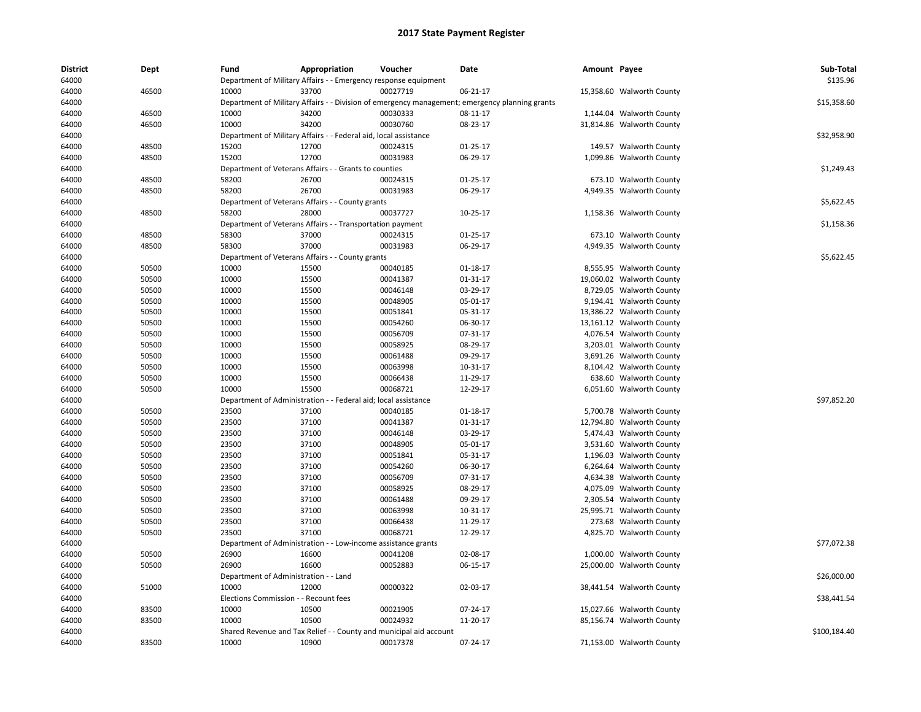| District | Dept  | Fund                           | Appropriation                                                      | Voucher                         | Date                                                                                           | Amount Payee |                           | Sub-Total    |
|----------|-------|--------------------------------|--------------------------------------------------------------------|---------------------------------|------------------------------------------------------------------------------------------------|--------------|---------------------------|--------------|
| 64000    |       |                                | Department of Military Affairs - - Emergency response equipment    |                                 |                                                                                                |              |                           | \$135.96     |
| 64000    | 46500 | 10000                          | 33700                                                              | 00027719                        | 06-21-17                                                                                       |              | 15,358.60 Walworth County |              |
| 64000    |       |                                |                                                                    |                                 | Department of Military Affairs - - Division of emergency management; emergency planning grants |              |                           | \$15,358.60  |
| 64000    | 46500 | 10000                          | 34200                                                              | 00030333                        | 08-11-17                                                                                       |              | 1,144.04 Walworth County  |              |
| 64000    | 46500 | 10000                          | 34200                                                              | 00030760                        | 08-23-17                                                                                       |              | 31,814.86 Walworth County |              |
| 64000    |       |                                | Department of Military Affairs - - Federal aid, local assistance   |                                 |                                                                                                |              |                           | \$32,958.90  |
| 64000    | 48500 | 15200                          | 12700                                                              | 00024315                        | $01-25-17$                                                                                     |              | 149.57 Walworth County    |              |
| 64000    | 48500 | 15200                          | 12700                                                              | 00031983                        | 06-29-17                                                                                       |              | 1,099.86 Walworth County  |              |
| 64000    |       |                                | Department of Veterans Affairs - - Grants to counties              |                                 |                                                                                                |              |                           | \$1,249.43   |
| 64000    | 48500 | 58200                          | 26700                                                              | 00024315                        | $01-25-17$                                                                                     |              | 673.10 Walworth County    |              |
| 64000    | 48500 | 58200                          | 26700                                                              | 00031983                        | 06-29-17                                                                                       |              | 4,949.35 Walworth County  |              |
| 64000    |       |                                | Department of Veterans Affairs - - County grants                   |                                 |                                                                                                |              |                           | \$5,622.45   |
| 64000    | 48500 | 58200                          | 28000                                                              | 00037727                        | 10-25-17                                                                                       |              | 1,158.36 Walworth County  |              |
| 64000    |       |                                | Department of Veterans Affairs - - Transportation payment          |                                 |                                                                                                |              |                           | \$1,158.36   |
| 64000    | 48500 | 58300                          | 37000                                                              | 00024315                        | $01-25-17$                                                                                     |              | 673.10 Walworth County    |              |
| 64000    | 48500 | 58300                          | 37000                                                              | 00031983                        | 06-29-17                                                                                       |              | 4,949.35 Walworth County  |              |
| 64000    |       |                                | Department of Veterans Affairs - - County grants                   |                                 |                                                                                                |              |                           | \$5,622.45   |
| 64000    | 50500 | 10000                          | 15500                                                              | 00040185                        | 01-18-17                                                                                       |              | 8,555.95 Walworth County  |              |
| 64000    | 50500 | 10000                          | 15500                                                              | 00041387                        | 01-31-17                                                                                       |              | 19,060.02 Walworth County |              |
| 64000    | 50500 | 10000                          | 15500                                                              | 00046148                        | 03-29-17                                                                                       |              | 8,729.05 Walworth County  |              |
| 64000    | 50500 | 10000                          | 15500                                                              | 00048905                        | 05-01-17                                                                                       |              | 9,194.41 Walworth County  |              |
| 64000    | 50500 | 10000                          | 15500                                                              | 00051841                        | 05-31-17                                                                                       |              | 13,386.22 Walworth County |              |
| 64000    | 50500 | 10000                          | 15500                                                              | 00054260                        | 06-30-17                                                                                       |              | 13,161.12 Walworth County |              |
| 64000    | 50500 | 10000                          | 15500                                                              | 00056709                        | 07-31-17                                                                                       |              | 4,076.54 Walworth County  |              |
| 64000    | 50500 | 10000                          | 15500                                                              | 00058925                        | 08-29-17                                                                                       |              | 3,203.01 Walworth County  |              |
| 64000    | 50500 | 10000                          | 15500                                                              | 00061488                        | 09-29-17                                                                                       |              | 3,691.26 Walworth County  |              |
| 64000    | 50500 | 10000                          | 15500                                                              | 00063998                        | 10-31-17                                                                                       |              | 8,104.42 Walworth County  |              |
| 64000    | 50500 | 10000                          | 15500                                                              | 00066438                        | 11-29-17                                                                                       |              | 638.60 Walworth County    |              |
| 64000    | 50500 | 10000                          | 15500                                                              | 00068721                        | 12-29-17                                                                                       |              | 6,051.60 Walworth County  |              |
| 64000    |       | Department of Administration - |                                                                    | - Federal aid; local assistance |                                                                                                |              |                           | \$97,852.20  |
| 64000    | 50500 | 23500                          | 37100                                                              | 00040185                        | $01-18-17$                                                                                     |              | 5,700.78 Walworth County  |              |
| 64000    | 50500 | 23500                          | 37100                                                              | 00041387                        | 01-31-17                                                                                       |              | 12,794.80 Walworth County |              |
| 64000    | 50500 | 23500                          | 37100                                                              | 00046148                        | 03-29-17                                                                                       |              | 5,474.43 Walworth County  |              |
| 64000    | 50500 | 23500                          | 37100                                                              | 00048905                        | 05-01-17                                                                                       |              | 3,531.60 Walworth County  |              |
| 64000    | 50500 | 23500                          | 37100                                                              | 00051841                        | 05-31-17                                                                                       |              | 1,196.03 Walworth County  |              |
| 64000    | 50500 | 23500                          | 37100                                                              | 00054260                        | 06-30-17                                                                                       |              | 6,264.64 Walworth County  |              |
| 64000    | 50500 | 23500                          | 37100                                                              | 00056709                        | 07-31-17                                                                                       |              | 4,634.38 Walworth County  |              |
| 64000    | 50500 | 23500                          | 37100                                                              | 00058925                        | 08-29-17                                                                                       |              | 4,075.09 Walworth County  |              |
| 64000    | 50500 | 23500                          | 37100                                                              | 00061488                        | 09-29-17                                                                                       |              | 2,305.54 Walworth County  |              |
| 64000    | 50500 | 23500                          | 37100                                                              | 00063998                        | 10-31-17                                                                                       |              | 25,995.71 Walworth County |              |
| 64000    | 50500 | 23500                          | 37100                                                              | 00066438                        | 11-29-17                                                                                       |              | 273.68 Walworth County    |              |
| 64000    | 50500 | 23500                          | 37100                                                              | 00068721                        | 12-29-17                                                                                       |              | 4,825.70 Walworth County  |              |
| 64000    |       |                                | Department of Administration - - Low-income assistance grants      |                                 |                                                                                                |              |                           | \$77,072.38  |
| 64000    | 50500 | 26900                          | 16600                                                              | 00041208                        | 02-08-17                                                                                       |              | 1,000.00 Walworth County  |              |
| 64000    | 50500 | 26900                          | 16600                                                              | 00052883                        | 06-15-17                                                                                       |              | 25,000.00 Walworth County |              |
| 64000    |       |                                | Department of Administration - - Land                              |                                 |                                                                                                |              |                           | \$26,000.00  |
| 64000    | 51000 | 10000                          | 12000                                                              | 00000322                        | 02-03-17                                                                                       |              | 38,441.54 Walworth County |              |
| 64000    |       |                                | Elections Commission - - Recount fees                              |                                 |                                                                                                |              |                           | \$38,441.54  |
| 64000    | 83500 | 10000                          | 10500                                                              | 00021905                        | 07-24-17                                                                                       |              | 15,027.66 Walworth County |              |
| 64000    | 83500 | 10000                          | 10500                                                              | 00024932                        | 11-20-17                                                                                       |              | 85,156.74 Walworth County |              |
| 64000    |       |                                | Shared Revenue and Tax Relief - - County and municipal aid account |                                 |                                                                                                |              |                           | \$100,184.40 |
| 64000    | 83500 | 10000                          | 10900                                                              | 00017378                        | 07-24-17                                                                                       |              | 71,153.00 Walworth County |              |
|          |       |                                |                                                                    |                                 |                                                                                                |              |                           |              |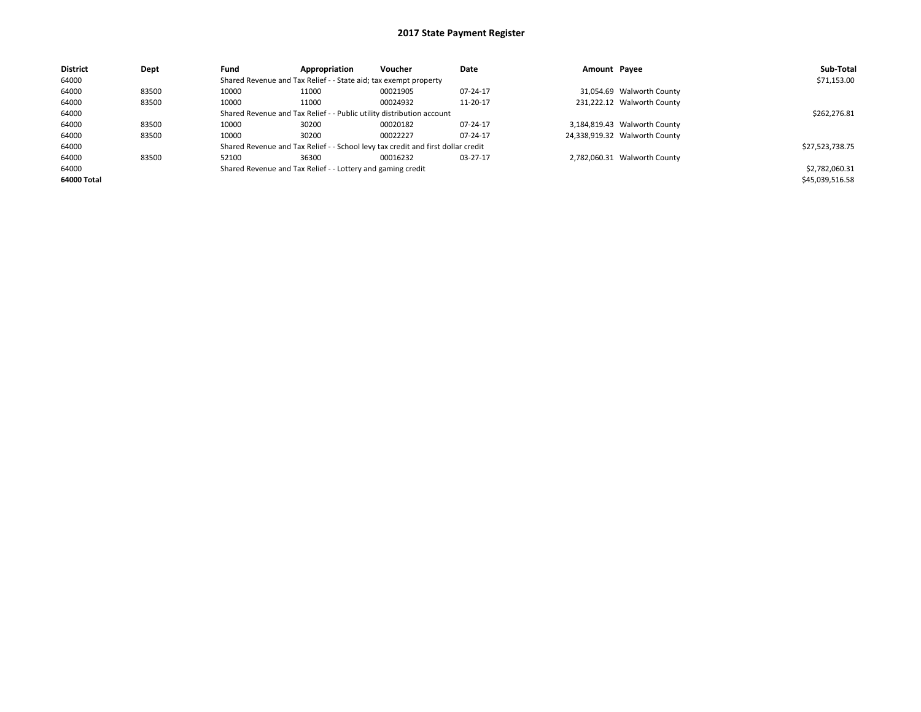| <b>District</b> | Dept  | Fund  | Appropriation                                                                    | Voucher  | Date     | Amount Payee |                               | Sub-Total       |  |
|-----------------|-------|-------|----------------------------------------------------------------------------------|----------|----------|--------------|-------------------------------|-----------------|--|
| 64000           |       |       | Shared Revenue and Tax Relief - - State aid; tax exempt property                 |          |          |              |                               | \$71,153.00     |  |
| 64000           | 83500 | 10000 | 11000                                                                            | 00021905 | 07-24-17 |              | 31,054.69 Walworth County     |                 |  |
| 64000           | 83500 | 10000 | 11000                                                                            | 00024932 | 11-20-17 |              | 231,222.12 Walworth County    |                 |  |
| 64000           |       |       | Shared Revenue and Tax Relief - - Public utility distribution account            |          |          |              |                               |                 |  |
| 64000           | 83500 | 10000 | 30200                                                                            | 00020182 | 07-24-17 |              | 3,184,819.43 Walworth County  |                 |  |
| 64000           | 83500 | 10000 | 30200                                                                            | 00022227 | 07-24-17 |              | 24,338,919.32 Walworth County |                 |  |
| 64000           |       |       | Shared Revenue and Tax Relief - - School levy tax credit and first dollar credit |          |          |              |                               | \$27,523,738.75 |  |
| 64000           | 83500 | 52100 | 36300                                                                            | 00016232 | 03-27-17 |              | 2,782,060.31 Walworth County  |                 |  |
| 64000           |       |       | Shared Revenue and Tax Relief - - Lottery and gaming credit                      |          |          |              |                               |                 |  |
| 64000 Total     |       |       |                                                                                  |          |          |              |                               | \$45,039,516.58 |  |
|                 |       |       |                                                                                  |          |          |              |                               |                 |  |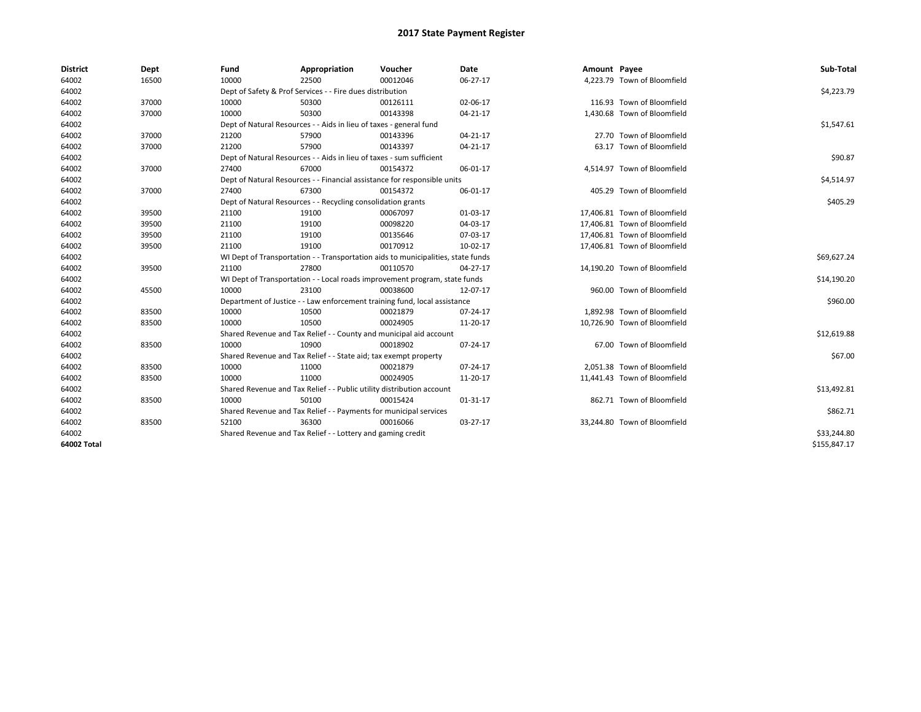| <b>District</b> | Dept  | Fund  | Appropriation                                                                    | Voucher  | Date           | Amount Payee |                              | Sub-Total    |  |  |  |
|-----------------|-------|-------|----------------------------------------------------------------------------------|----------|----------------|--------------|------------------------------|--------------|--|--|--|
| 64002           | 16500 | 10000 | 22500                                                                            | 00012046 | 06-27-17       |              | 4,223.79 Town of Bloomfield  |              |  |  |  |
| 64002           |       |       | Dept of Safety & Prof Services - - Fire dues distribution                        |          |                |              |                              | \$4,223.79   |  |  |  |
| 64002           | 37000 | 10000 | 50300                                                                            | 00126111 | 02-06-17       |              | 116.93 Town of Bloomfield    |              |  |  |  |
| 64002           | 37000 | 10000 | 50300                                                                            | 00143398 | 04-21-17       |              | 1,430.68 Town of Bloomfield  |              |  |  |  |
| 64002           |       |       | Dept of Natural Resources - - Aids in lieu of taxes - general fund               |          |                |              |                              | \$1,547.61   |  |  |  |
| 64002           | 37000 | 21200 | 57900                                                                            | 00143396 | 04-21-17       |              | 27.70 Town of Bloomfield     |              |  |  |  |
| 64002           | 37000 | 21200 | 57900                                                                            | 00143397 | 04-21-17       |              | 63.17 Town of Bloomfield     |              |  |  |  |
| 64002           |       |       | Dept of Natural Resources - - Aids in lieu of taxes - sum sufficient             |          |                |              |                              | \$90.87      |  |  |  |
| 64002           | 37000 | 27400 | 67000                                                                            | 00154372 | 06-01-17       |              | 4,514.97 Town of Bloomfield  |              |  |  |  |
| 64002           |       |       | Dept of Natural Resources - - Financial assistance for responsible units         |          |                |              |                              | \$4,514.97   |  |  |  |
| 64002           | 37000 | 27400 | 67300                                                                            | 00154372 | 06-01-17       |              | 405.29 Town of Bloomfield    |              |  |  |  |
| 64002           |       |       | Dept of Natural Resources - - Recycling consolidation grants                     |          |                |              |                              |              |  |  |  |
| 64002           | 39500 | 21100 | 19100                                                                            | 00067097 | 01-03-17       |              | 17,406.81 Town of Bloomfield |              |  |  |  |
| 64002           | 39500 | 21100 | 19100                                                                            | 00098220 | 04-03-17       |              | 17,406.81 Town of Bloomfield |              |  |  |  |
| 64002           | 39500 | 21100 | 19100                                                                            | 00135646 | 07-03-17       |              | 17,406.81 Town of Bloomfield |              |  |  |  |
| 64002           | 39500 | 21100 | 19100                                                                            | 00170912 | 10-02-17       |              | 17,406.81 Town of Bloomfield |              |  |  |  |
| 64002           |       |       | WI Dept of Transportation - - Transportation aids to municipalities, state funds |          |                |              |                              |              |  |  |  |
| 64002           | 39500 | 21100 | 27800                                                                            | 00110570 | 04-27-17       |              | 14,190.20 Town of Bloomfield |              |  |  |  |
| 64002           |       |       | WI Dept of Transportation - - Local roads improvement program, state funds       |          |                |              |                              | \$14,190.20  |  |  |  |
| 64002           | 45500 | 10000 | 23100                                                                            | 00038600 | 12-07-17       |              | 960.00 Town of Bloomfield    |              |  |  |  |
| 64002           |       |       | Department of Justice - - Law enforcement training fund, local assistance        |          |                |              |                              | \$960.00     |  |  |  |
| 64002           | 83500 | 10000 | 10500                                                                            | 00021879 | 07-24-17       |              | 1,892.98 Town of Bloomfield  |              |  |  |  |
| 64002           | 83500 | 10000 | 10500                                                                            | 00024905 | 11-20-17       |              | 10,726.90 Town of Bloomfield |              |  |  |  |
| 64002           |       |       | Shared Revenue and Tax Relief - - County and municipal aid account               |          |                |              |                              | \$12,619.88  |  |  |  |
| 64002           | 83500 | 10000 | 10900                                                                            | 00018902 | 07-24-17       |              | 67.00 Town of Bloomfield     |              |  |  |  |
| 64002           |       |       | Shared Revenue and Tax Relief - - State aid; tax exempt property                 |          |                |              |                              | \$67.00      |  |  |  |
| 64002           | 83500 | 10000 | 11000                                                                            | 00021879 | 07-24-17       |              | 2,051.38 Town of Bloomfield  |              |  |  |  |
| 64002           | 83500 | 10000 | 11000                                                                            | 00024905 | 11-20-17       |              | 11,441.43 Town of Bloomfield |              |  |  |  |
| 64002           |       |       | Shared Revenue and Tax Relief - - Public utility distribution account            |          |                |              |                              | \$13,492.81  |  |  |  |
| 64002           | 83500 | 10000 | 50100                                                                            | 00015424 | $01 - 31 - 17$ |              | 862.71 Town of Bloomfield    |              |  |  |  |
| 64002           |       |       | Shared Revenue and Tax Relief - - Payments for municipal services                |          |                |              |                              |              |  |  |  |
| 64002           | 83500 | 52100 | 36300                                                                            | 00016066 | 03-27-17       |              | 33,244.80 Town of Bloomfield |              |  |  |  |
| 64002           |       |       | Shared Revenue and Tax Relief - - Lottery and gaming credit                      |          |                |              |                              | \$33,244.80  |  |  |  |
| 64002 Total     |       |       |                                                                                  |          |                |              |                              | \$155,847.17 |  |  |  |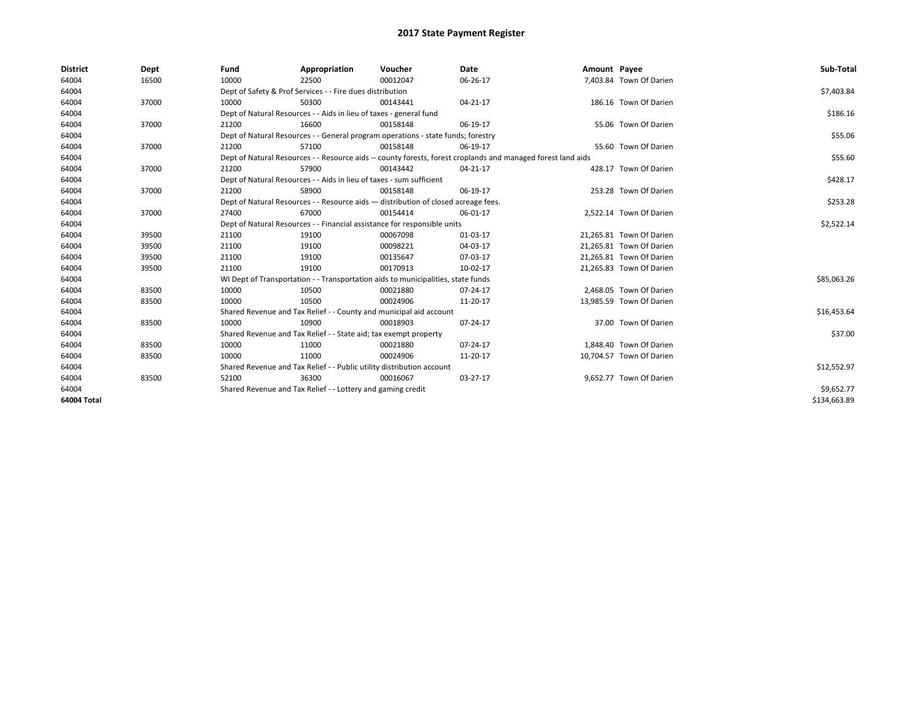| <b>District</b> | Dept  | Fund                                                                               | Appropriation                                                                    | Voucher     | Date                                                                                                         | Amount Payee |                          | Sub-Total    |
|-----------------|-------|------------------------------------------------------------------------------------|----------------------------------------------------------------------------------|-------------|--------------------------------------------------------------------------------------------------------------|--------------|--------------------------|--------------|
| 64004           | 16500 | 10000                                                                              | 22500                                                                            | 00012047    | 06-26-17                                                                                                     |              | 7,403.84 Town Of Darien  |              |
| 64004           |       |                                                                                    | Dept of Safety & Prof Services - - Fire dues distribution                        |             |                                                                                                              |              |                          | \$7,403.84   |
| 64004           | 37000 | 10000                                                                              | 50300                                                                            | 00143441    | 04-21-17                                                                                                     |              | 186.16 Town Of Darien    |              |
| 64004           |       |                                                                                    | Dept of Natural Resources - - Aids in lieu of taxes - general fund               |             |                                                                                                              |              |                          | \$186.16     |
| 64004           | 37000 | 21200                                                                              | 16600                                                                            | 00158148    | 06-19-17                                                                                                     |              | 55.06 Town Of Darien     |              |
| 64004           |       |                                                                                    | Dept of Natural Resources - - General program operations - state funds; forestry |             |                                                                                                              |              |                          | \$55.06      |
| 64004           | 37000 | 21200                                                                              | 57100                                                                            | 00158148    | 06-19-17                                                                                                     |              | 55.60 Town Of Darien     |              |
| 64004           |       |                                                                                    |                                                                                  |             | Dept of Natural Resources - - Resource aids -- county forests, forest croplands and managed forest land aids |              |                          | \$55.60      |
| 64004           | 37000 | 21200                                                                              | 57900                                                                            | 00143442    | 04-21-17                                                                                                     |              | 428.17 Town Of Darien    |              |
| 64004           |       | Dept of Natural Resources - - Aids in lieu of taxes - sum sufficient               |                                                                                  | \$428.17    |                                                                                                              |              |                          |              |
| 64004           | 37000 | 21200                                                                              | 58900                                                                            | 00158148    | 06-19-17                                                                                                     |              | 253.28 Town Of Darien    |              |
| 64004           |       | Dept of Natural Resources - - Resource aids - distribution of closed acreage fees. |                                                                                  | \$253.28    |                                                                                                              |              |                          |              |
| 64004           | 37000 | 27400                                                                              | 67000                                                                            | 00154414    | 06-01-17                                                                                                     |              | 2,522.14 Town Of Darien  |              |
| 64004           |       |                                                                                    | Dept of Natural Resources - - Financial assistance for responsible units         |             |                                                                                                              |              |                          | \$2,522.14   |
| 64004           | 39500 | 21100                                                                              | 19100                                                                            | 00067098    | 01-03-17                                                                                                     |              | 21,265.81 Town Of Darien |              |
| 64004           | 39500 | 21100                                                                              | 19100                                                                            | 00098221    | 04-03-17                                                                                                     |              | 21,265.81 Town Of Darien |              |
| 64004           | 39500 | 21100                                                                              | 19100                                                                            | 00135647    | 07-03-17                                                                                                     |              | 21,265.81 Town Of Darien |              |
| 64004           | 39500 | 21100                                                                              | 19100                                                                            | 00170913    | 10-02-17                                                                                                     |              | 21,265.83 Town Of Darien |              |
| 64004           |       |                                                                                    | WI Dept of Transportation - - Transportation aids to municipalities, state funds |             |                                                                                                              |              |                          | \$85,063.26  |
| 64004           | 83500 | 10000                                                                              | 10500                                                                            | 00021880    | 07-24-17                                                                                                     |              | 2.468.05 Town Of Darien  |              |
| 64004           | 83500 | 10000                                                                              | 10500                                                                            | 00024906    | 11-20-17                                                                                                     |              | 13.985.59 Town Of Darien |              |
| 64004           |       |                                                                                    | Shared Revenue and Tax Relief - - County and municipal aid account               |             |                                                                                                              |              |                          | \$16,453.64  |
| 64004           | 83500 | 10000                                                                              | 10900                                                                            | 00018903    | 07-24-17                                                                                                     |              | 37.00 Town Of Darien     |              |
| 64004           |       |                                                                                    | Shared Revenue and Tax Relief - - State aid; tax exempt property                 |             |                                                                                                              |              |                          | \$37.00      |
| 64004           | 83500 | 10000                                                                              | 11000                                                                            | 00021880    | 07-24-17                                                                                                     |              | 1.848.40 Town Of Darien  |              |
| 64004           | 83500 | 10000                                                                              | 11000                                                                            | 00024906    | 11-20-17                                                                                                     |              | 10,704.57 Town Of Darien |              |
| 64004           |       | Shared Revenue and Tax Relief - - Public utility distribution account              |                                                                                  | \$12,552.97 |                                                                                                              |              |                          |              |
| 64004           | 83500 | 52100                                                                              | 36300                                                                            | 00016067    | 03-27-17                                                                                                     |              | 9,652.77 Town Of Darien  |              |
| 64004           |       | Shared Revenue and Tax Relief - - Lottery and gaming credit                        |                                                                                  | \$9,652.77  |                                                                                                              |              |                          |              |
| 64004 Total     |       |                                                                                    |                                                                                  |             |                                                                                                              |              |                          | \$134,663.89 |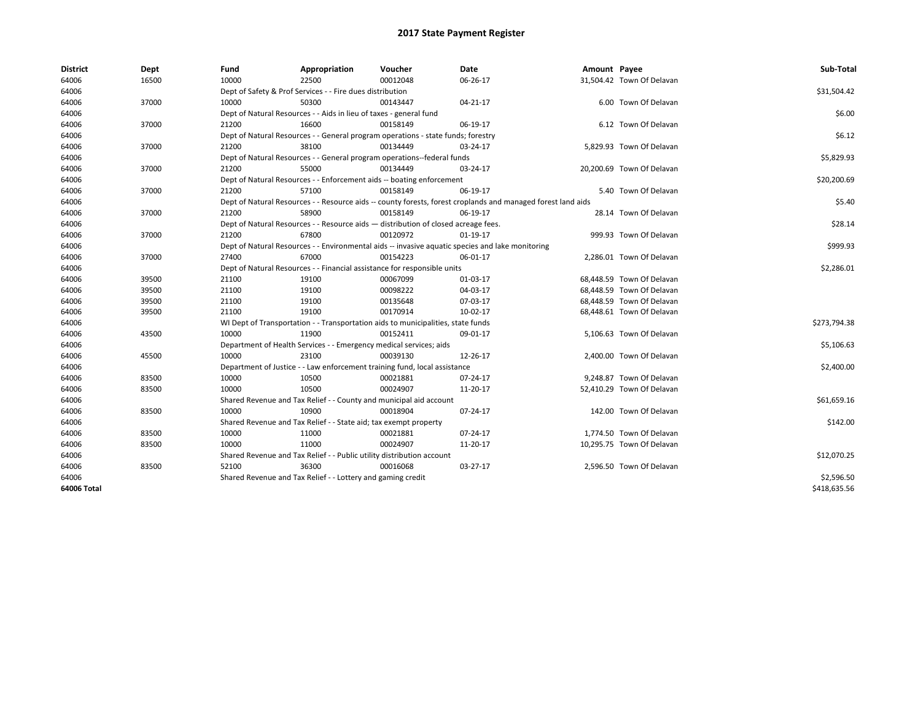| <b>District</b> | Dept  | Fund  | Appropriation                                                                                                | Voucher  | Date     | Amount Payee |                           | Sub-Total    |  |  |
|-----------------|-------|-------|--------------------------------------------------------------------------------------------------------------|----------|----------|--------------|---------------------------|--------------|--|--|
| 64006           | 16500 | 10000 | 22500                                                                                                        | 00012048 | 06-26-17 |              | 31,504.42 Town Of Delavan |              |  |  |
| 64006           |       |       | Dept of Safety & Prof Services - - Fire dues distribution                                                    |          |          |              |                           | \$31,504.42  |  |  |
| 64006           | 37000 | 10000 | 50300                                                                                                        | 00143447 | 04-21-17 |              | 6.00 Town Of Delavan      |              |  |  |
| 64006           |       |       | Dept of Natural Resources - - Aids in lieu of taxes - general fund                                           |          |          |              |                           | \$6.00       |  |  |
| 64006           | 37000 | 21200 | 16600                                                                                                        | 00158149 | 06-19-17 |              | 6.12 Town Of Delavan      |              |  |  |
| 64006           |       |       | Dept of Natural Resources - - General program operations - state funds; forestry                             |          |          |              |                           | \$6.12       |  |  |
| 64006           | 37000 | 21200 | 38100                                                                                                        | 00134449 | 03-24-17 |              | 5,829.93 Town Of Delavan  |              |  |  |
| 64006           |       |       | Dept of Natural Resources - - General program operations--federal funds                                      |          |          |              |                           |              |  |  |
| 64006           | 37000 | 21200 | 55000                                                                                                        | 00134449 | 03-24-17 |              | 20,200.69 Town Of Delavan |              |  |  |
| 64006           |       |       | Dept of Natural Resources - - Enforcement aids -- boating enforcement                                        |          |          |              |                           | \$20,200.69  |  |  |
| 64006           | 37000 | 21200 | 57100                                                                                                        | 00158149 | 06-19-17 |              | 5.40 Town Of Delavan      |              |  |  |
| 64006           |       |       | Dept of Natural Resources - - Resource aids -- county forests, forest croplands and managed forest land aids |          |          |              |                           |              |  |  |
| 64006           | 37000 | 21200 | 58900                                                                                                        | 00158149 | 06-19-17 |              | 28.14 Town Of Delavan     |              |  |  |
| 64006           |       |       | Dept of Natural Resources - - Resource aids - distribution of closed acreage fees.                           |          |          |              |                           |              |  |  |
| 64006           | 37000 | 21200 | 67800                                                                                                        | 00120972 | 01-19-17 |              | 999.93 Town Of Delavan    |              |  |  |
| 64006           |       |       | Dept of Natural Resources - - Environmental aids -- invasive aquatic species and lake monitoring             |          |          |              |                           |              |  |  |
| 64006           | 37000 | 27400 | 67000                                                                                                        | 00154223 | 06-01-17 |              | 2,286.01 Town Of Delavan  | \$999.93     |  |  |
| 64006           |       |       | Dept of Natural Resources - - Financial assistance for responsible units                                     |          |          |              |                           | \$2,286.01   |  |  |
| 64006           | 39500 | 21100 | 19100                                                                                                        | 00067099 | 01-03-17 |              | 68,448.59 Town Of Delavan |              |  |  |
| 64006           | 39500 | 21100 | 19100                                                                                                        | 00098222 | 04-03-17 |              | 68,448.59 Town Of Delavan |              |  |  |
| 64006           | 39500 | 21100 | 19100                                                                                                        | 00135648 | 07-03-17 |              | 68,448.59 Town Of Delavan |              |  |  |
| 64006           | 39500 | 21100 | 19100                                                                                                        | 00170914 | 10-02-17 |              | 68,448.61 Town Of Delavan |              |  |  |
| 64006           |       |       | WI Dept of Transportation - - Transportation aids to municipalities, state funds                             |          |          |              |                           | \$273,794.38 |  |  |
| 64006           | 43500 | 10000 | 11900                                                                                                        | 00152411 | 09-01-17 |              | 5,106.63 Town Of Delavan  |              |  |  |
| 64006           |       |       | Department of Health Services - - Emergency medical services; aids                                           |          |          |              |                           | \$5,106.63   |  |  |
| 64006           | 45500 | 10000 | 23100                                                                                                        | 00039130 | 12-26-17 |              | 2,400.00 Town Of Delavan  |              |  |  |
| 64006           |       |       | Department of Justice - - Law enforcement training fund, local assistance                                    |          |          |              |                           | \$2,400.00   |  |  |
| 64006           | 83500 | 10000 | 10500                                                                                                        | 00021881 | 07-24-17 |              | 9,248.87 Town Of Delavan  |              |  |  |
| 64006           | 83500 | 10000 | 10500                                                                                                        | 00024907 | 11-20-17 |              | 52,410.29 Town Of Delavan |              |  |  |
| 64006           |       |       | Shared Revenue and Tax Relief - - County and municipal aid account                                           |          |          |              |                           | \$61,659.16  |  |  |
| 64006           | 83500 | 10000 | 10900                                                                                                        | 00018904 | 07-24-17 |              | 142.00 Town Of Delavan    |              |  |  |
| 64006           |       |       | Shared Revenue and Tax Relief - - State aid; tax exempt property                                             |          |          |              |                           | \$142.00     |  |  |
| 64006           | 83500 | 10000 | 11000                                                                                                        | 00021881 | 07-24-17 |              | 1,774.50 Town Of Delavan  |              |  |  |
| 64006           | 83500 | 10000 | 11000                                                                                                        | 00024907 | 11-20-17 |              | 10,295.75 Town Of Delavan |              |  |  |
| 64006           |       |       | Shared Revenue and Tax Relief - - Public utility distribution account                                        |          |          |              |                           | \$12,070.25  |  |  |
| 64006           | 83500 | 52100 | 36300                                                                                                        | 00016068 | 03-27-17 |              | 2,596.50 Town Of Delavan  |              |  |  |
| 64006           |       |       | Shared Revenue and Tax Relief - - Lottery and gaming credit                                                  |          |          |              |                           | \$2,596.50   |  |  |
| 64006 Total     |       |       |                                                                                                              |          |          |              |                           | \$418,635.56 |  |  |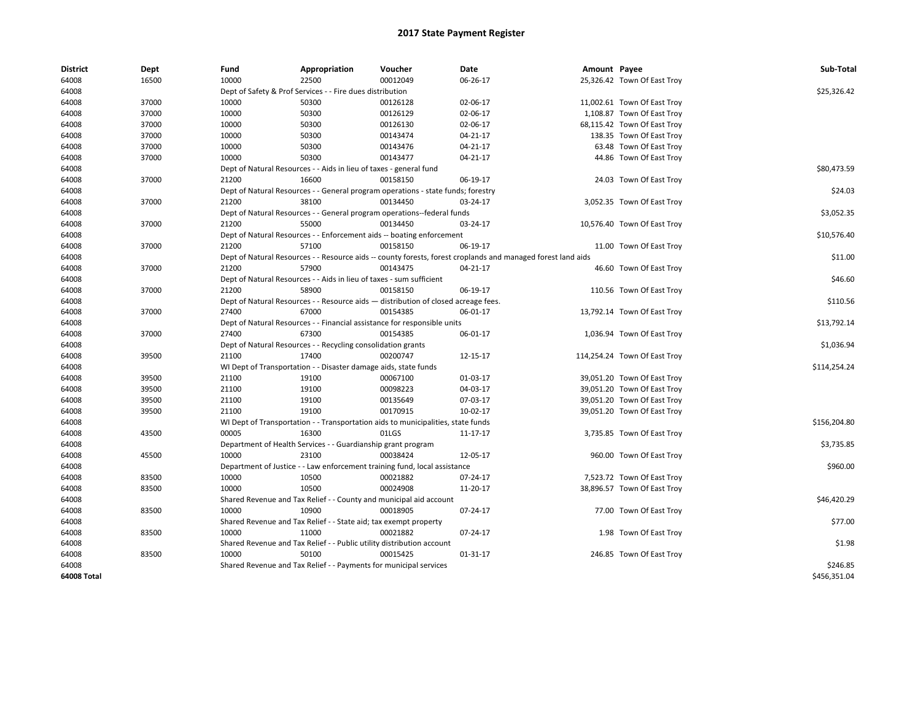| <b>District</b> | Dept  | Fund  | Appropriation                                                                      | Voucher  | Date                                                                                                         | Amount Payee |                              | Sub-Total    |
|-----------------|-------|-------|------------------------------------------------------------------------------------|----------|--------------------------------------------------------------------------------------------------------------|--------------|------------------------------|--------------|
| 64008           | 16500 | 10000 | 22500                                                                              | 00012049 | 06-26-17                                                                                                     |              | 25,326.42 Town Of East Troy  |              |
| 64008           |       |       | Dept of Safety & Prof Services - - Fire dues distribution                          |          |                                                                                                              |              |                              | \$25,326.42  |
| 64008           | 37000 | 10000 | 50300                                                                              | 00126128 | 02-06-17                                                                                                     |              | 11,002.61 Town Of East Troy  |              |
| 64008           | 37000 | 10000 | 50300                                                                              | 00126129 | 02-06-17                                                                                                     |              | 1,108.87 Town Of East Troy   |              |
| 64008           | 37000 | 10000 | 50300                                                                              | 00126130 | 02-06-17                                                                                                     |              | 68,115.42 Town Of East Troy  |              |
| 64008           | 37000 | 10000 | 50300                                                                              | 00143474 | 04-21-17                                                                                                     |              | 138.35 Town Of East Troy     |              |
| 64008           | 37000 | 10000 | 50300                                                                              | 00143476 | 04-21-17                                                                                                     |              | 63.48 Town Of East Troy      |              |
| 64008           | 37000 | 10000 | 50300                                                                              | 00143477 | 04-21-17                                                                                                     |              | 44.86 Town Of East Troy      |              |
| 64008           |       |       | Dept of Natural Resources - - Aids in lieu of taxes - general fund                 |          |                                                                                                              |              |                              | \$80,473.59  |
| 64008           | 37000 | 21200 | 16600                                                                              | 00158150 | 06-19-17                                                                                                     |              | 24.03 Town Of East Troy      |              |
| 64008           |       |       | Dept of Natural Resources - - General program operations - state funds; forestry   |          |                                                                                                              |              |                              | \$24.03      |
| 64008           | 37000 | 21200 | 38100                                                                              | 00134450 | 03-24-17                                                                                                     |              | 3,052.35 Town Of East Troy   |              |
| 64008           |       |       | Dept of Natural Resources - - General program operations--federal funds            |          |                                                                                                              |              |                              | \$3,052.35   |
| 64008           | 37000 | 21200 | 55000                                                                              | 00134450 | 03-24-17                                                                                                     |              | 10,576.40 Town Of East Troy  |              |
| 64008           |       |       | Dept of Natural Resources - - Enforcement aids -- boating enforcement              |          |                                                                                                              |              |                              | \$10,576.40  |
| 64008           | 37000 | 21200 | 57100                                                                              | 00158150 | 06-19-17                                                                                                     |              | 11.00 Town Of East Troy      |              |
| 64008           |       |       |                                                                                    |          | Dept of Natural Resources - - Resource aids -- county forests, forest croplands and managed forest land aids |              |                              | \$11.00      |
| 64008           | 37000 | 21200 | 57900                                                                              | 00143475 | 04-21-17                                                                                                     |              | 46.60 Town Of East Troy      |              |
| 64008           |       |       | Dept of Natural Resources - - Aids in lieu of taxes - sum sufficient               |          |                                                                                                              |              |                              | \$46.60      |
| 64008           | 37000 | 21200 | 58900                                                                              | 00158150 | 06-19-17                                                                                                     |              | 110.56 Town Of East Troy     |              |
| 64008           |       |       | Dept of Natural Resources - - Resource aids - distribution of closed acreage fees. |          |                                                                                                              |              |                              | \$110.56     |
| 64008           | 37000 | 27400 | 67000                                                                              | 00154385 | 06-01-17                                                                                                     |              | 13,792.14 Town Of East Troy  |              |
| 64008           |       |       | Dept of Natural Resources - - Financial assistance for responsible units           |          |                                                                                                              |              |                              | \$13,792.14  |
| 64008           | 37000 | 27400 | 67300                                                                              | 00154385 | 06-01-17                                                                                                     |              | 1,036.94 Town Of East Troy   |              |
| 64008           |       |       | Dept of Natural Resources - - Recycling consolidation grants                       |          |                                                                                                              |              |                              | \$1,036.94   |
| 64008           | 39500 | 21100 | 17400                                                                              | 00200747 | 12-15-17                                                                                                     |              | 114,254.24 Town Of East Troy |              |
| 64008           |       |       | WI Dept of Transportation - - Disaster damage aids, state funds                    |          |                                                                                                              |              |                              | \$114,254.24 |
| 64008           | 39500 | 21100 | 19100                                                                              | 00067100 | 01-03-17                                                                                                     |              | 39,051.20 Town Of East Troy  |              |
| 64008           | 39500 | 21100 | 19100                                                                              | 00098223 | 04-03-17                                                                                                     |              | 39,051.20 Town Of East Troy  |              |
| 64008           | 39500 | 21100 | 19100                                                                              | 00135649 | 07-03-17                                                                                                     |              | 39,051.20 Town Of East Troy  |              |
| 64008           | 39500 | 21100 | 19100                                                                              | 00170915 | 10-02-17                                                                                                     |              | 39,051.20 Town Of East Troy  |              |
| 64008           |       |       | WI Dept of Transportation - - Transportation aids to municipalities, state funds   |          |                                                                                                              |              |                              | \$156,204.80 |
| 64008           | 43500 | 00005 | 16300                                                                              | 01LGS    | 11-17-17                                                                                                     |              | 3,735.85 Town Of East Troy   |              |
| 64008           |       |       | Department of Health Services - - Guardianship grant program                       |          |                                                                                                              |              |                              | \$3,735.85   |
| 64008           | 45500 | 10000 | 23100                                                                              | 00038424 | 12-05-17                                                                                                     |              | 960.00 Town Of East Troy     |              |
| 64008           |       |       | Department of Justice - - Law enforcement training fund, local assistance          |          |                                                                                                              |              |                              | \$960.00     |
| 64008           | 83500 | 10000 | 10500                                                                              | 00021882 | 07-24-17                                                                                                     |              | 7,523.72 Town Of East Troy   |              |
| 64008           | 83500 | 10000 | 10500                                                                              | 00024908 | 11-20-17                                                                                                     |              | 38,896.57 Town Of East Troy  |              |
| 64008           |       |       | Shared Revenue and Tax Relief - - County and municipal aid account                 |          |                                                                                                              |              |                              | \$46,420.29  |
| 64008           | 83500 | 10000 | 10900                                                                              | 00018905 | 07-24-17                                                                                                     |              | 77.00 Town Of East Troy      |              |
| 64008           |       |       | Shared Revenue and Tax Relief - - State aid; tax exempt property                   |          |                                                                                                              |              |                              | \$77.00      |
| 64008           | 83500 | 10000 | 11000                                                                              | 00021882 | 07-24-17                                                                                                     |              | 1.98 Town Of East Troy       |              |
| 64008           |       |       | Shared Revenue and Tax Relief - - Public utility distribution account              |          |                                                                                                              |              |                              | \$1.98       |
| 64008           | 83500 | 10000 | 50100                                                                              | 00015425 | 01-31-17                                                                                                     |              | 246.85 Town Of East Troy     |              |
| 64008           |       |       | Shared Revenue and Tax Relief - - Payments for municipal services                  |          |                                                                                                              |              |                              | \$246.85     |
| 64008 Total     |       |       |                                                                                    |          |                                                                                                              |              |                              | \$456,351.04 |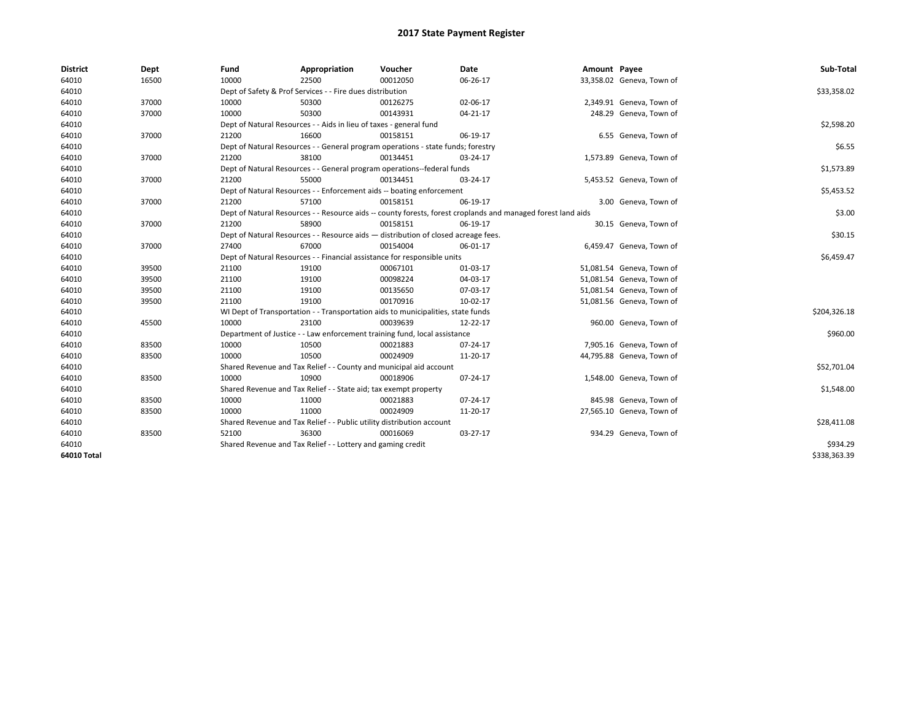| <b>District</b>    | Dept  | Fund  | Appropriation                                                                                                | Voucher  | Date     | Amount Payee |                           | Sub-Total    |  |  |  |
|--------------------|-------|-------|--------------------------------------------------------------------------------------------------------------|----------|----------|--------------|---------------------------|--------------|--|--|--|
| 64010              | 16500 | 10000 | 22500                                                                                                        | 00012050 | 06-26-17 |              | 33,358.02 Geneva, Town of |              |  |  |  |
| 64010              |       |       | Dept of Safety & Prof Services - - Fire dues distribution                                                    |          |          |              |                           | \$33,358.02  |  |  |  |
| 64010              | 37000 | 10000 | 50300                                                                                                        | 00126275 | 02-06-17 |              | 2,349.91 Geneva, Town of  |              |  |  |  |
| 64010              | 37000 | 10000 | 50300                                                                                                        | 00143931 | 04-21-17 |              | 248.29 Geneva, Town of    |              |  |  |  |
| 64010              |       |       | Dept of Natural Resources - - Aids in lieu of taxes - general fund                                           |          |          |              |                           | \$2,598.20   |  |  |  |
| 64010              | 37000 | 21200 | 16600                                                                                                        | 00158151 | 06-19-17 |              | 6.55 Geneva, Town of      |              |  |  |  |
| 64010              |       |       | Dept of Natural Resources - - General program operations - state funds; forestry                             |          |          |              |                           | \$6.55       |  |  |  |
| 64010              | 37000 | 21200 | 38100                                                                                                        | 00134451 | 03-24-17 |              | 1,573.89 Geneva, Town of  |              |  |  |  |
| 64010              |       |       | Dept of Natural Resources - - General program operations--federal funds                                      |          |          |              |                           | \$1,573.89   |  |  |  |
| 64010              | 37000 | 21200 | 55000                                                                                                        | 00134451 | 03-24-17 |              | 5,453.52 Geneva, Town of  |              |  |  |  |
| 64010              |       |       | Dept of Natural Resources - - Enforcement aids -- boating enforcement                                        |          |          |              |                           |              |  |  |  |
| 64010              | 37000 | 21200 | 57100                                                                                                        | 00158151 | 06-19-17 |              | 3.00 Geneva, Town of      |              |  |  |  |
| 64010              |       |       | Dept of Natural Resources - - Resource aids -- county forests, forest croplands and managed forest land aids |          |          |              |                           |              |  |  |  |
| 64010              | 37000 | 21200 | 58900                                                                                                        | 00158151 | 06-19-17 |              | 30.15 Geneva, Town of     |              |  |  |  |
| 64010              |       |       | Dept of Natural Resources - - Resource aids - distribution of closed acreage fees.                           |          |          |              |                           |              |  |  |  |
| 64010              | 37000 | 27400 | 67000                                                                                                        | 00154004 | 06-01-17 |              | 6,459.47 Geneva, Town of  |              |  |  |  |
| 64010              |       |       | Dept of Natural Resources - - Financial assistance for responsible units                                     |          |          |              |                           | \$6,459.47   |  |  |  |
| 64010              | 39500 | 21100 | 19100                                                                                                        | 00067101 | 01-03-17 |              | 51,081.54 Geneva, Town of |              |  |  |  |
| 64010              | 39500 | 21100 | 19100                                                                                                        | 00098224 | 04-03-17 |              | 51,081.54 Geneva, Town of |              |  |  |  |
| 64010              | 39500 | 21100 | 19100                                                                                                        | 00135650 | 07-03-17 |              | 51,081.54 Geneva, Town of |              |  |  |  |
| 64010              | 39500 | 21100 | 19100                                                                                                        | 00170916 | 10-02-17 |              | 51,081.56 Geneva, Town of |              |  |  |  |
| 64010              |       |       | WI Dept of Transportation - - Transportation aids to municipalities, state funds                             |          |          |              |                           | \$204,326.18 |  |  |  |
| 64010              | 45500 | 10000 | 23100                                                                                                        | 00039639 | 12-22-17 |              | 960.00 Geneva, Town of    |              |  |  |  |
| 64010              |       |       | Department of Justice - - Law enforcement training fund, local assistance                                    |          |          |              |                           | \$960.00     |  |  |  |
| 64010              | 83500 | 10000 | 10500                                                                                                        | 00021883 | 07-24-17 |              | 7,905.16 Geneva, Town of  |              |  |  |  |
| 64010              | 83500 | 10000 | 10500                                                                                                        | 00024909 | 11-20-17 |              | 44,795.88 Geneva, Town of |              |  |  |  |
| 64010              |       |       | Shared Revenue and Tax Relief - - County and municipal aid account                                           |          |          |              |                           | \$52,701.04  |  |  |  |
| 64010              | 83500 | 10000 | 10900                                                                                                        | 00018906 | 07-24-17 |              | 1,548.00 Geneva, Town of  |              |  |  |  |
| 64010              |       |       | Shared Revenue and Tax Relief - - State aid; tax exempt property                                             |          |          |              |                           | \$1,548.00   |  |  |  |
| 64010              | 83500 | 10000 | 11000                                                                                                        | 00021883 | 07-24-17 |              | 845.98 Geneva, Town of    |              |  |  |  |
| 64010              | 83500 | 10000 | 11000                                                                                                        | 00024909 | 11-20-17 |              | 27,565.10 Geneva, Town of |              |  |  |  |
| 64010              |       |       | Shared Revenue and Tax Relief - - Public utility distribution account                                        |          |          |              |                           | \$28,411.08  |  |  |  |
| 64010              | 83500 | 52100 | 36300                                                                                                        | 00016069 | 03-27-17 |              | 934.29 Geneva, Town of    |              |  |  |  |
| 64010              |       |       | Shared Revenue and Tax Relief - - Lottery and gaming credit                                                  |          |          |              |                           | \$934.29     |  |  |  |
| <b>64010 Total</b> |       |       |                                                                                                              |          |          |              |                           | \$338,363.39 |  |  |  |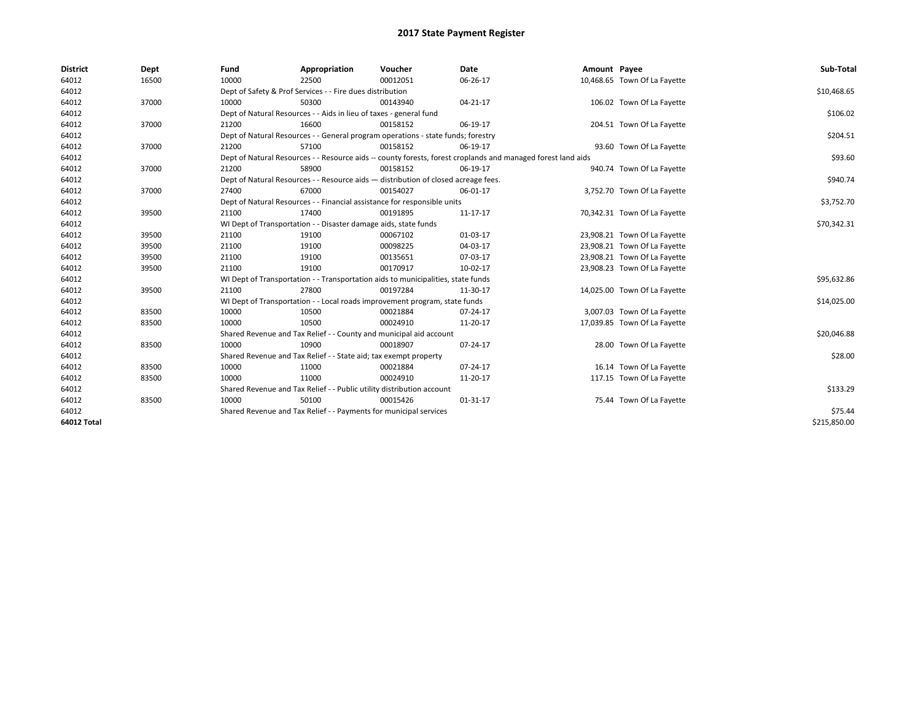| <b>District</b>    | Dept  | Fund                                                                  | Appropriation                                                                      | Voucher  | Date                                                                                                         | Amount Payee |                              | Sub-Total    |  |  |
|--------------------|-------|-----------------------------------------------------------------------|------------------------------------------------------------------------------------|----------|--------------------------------------------------------------------------------------------------------------|--------------|------------------------------|--------------|--|--|
| 64012              | 16500 | 10000                                                                 | 22500                                                                              | 00012051 | 06-26-17                                                                                                     |              | 10,468.65 Town Of La Fayette |              |  |  |
| 64012              |       |                                                                       | Dept of Safety & Prof Services - - Fire dues distribution                          |          |                                                                                                              |              |                              | \$10,468.65  |  |  |
| 64012              | 37000 | 10000                                                                 | 50300                                                                              | 00143940 | 04-21-17                                                                                                     |              | 106.02 Town Of La Fayette    |              |  |  |
| 64012              |       |                                                                       | Dept of Natural Resources - - Aids in lieu of taxes - general fund                 |          |                                                                                                              |              |                              | \$106.02     |  |  |
| 64012              | 37000 | 21200                                                                 | 16600                                                                              | 00158152 | 06-19-17                                                                                                     |              | 204.51 Town Of La Fayette    |              |  |  |
| 64012              |       |                                                                       | Dept of Natural Resources - - General program operations - state funds; forestry   |          |                                                                                                              |              |                              | \$204.51     |  |  |
| 64012              | 37000 | 21200                                                                 | 57100                                                                              | 00158152 | 06-19-17                                                                                                     |              | 93.60 Town Of La Fayette     |              |  |  |
| 64012              |       |                                                                       |                                                                                    |          | Dept of Natural Resources - - Resource aids -- county forests, forest croplands and managed forest land aids |              |                              | \$93.60      |  |  |
| 64012              | 37000 | 21200                                                                 | 58900                                                                              | 00158152 | 06-19-17                                                                                                     |              | 940.74 Town Of La Fayette    |              |  |  |
| 64012              |       |                                                                       | Dept of Natural Resources - - Resource aids - distribution of closed acreage fees. |          |                                                                                                              |              |                              |              |  |  |
| 64012              | 37000 | 27400                                                                 | 67000                                                                              | 00154027 | 06-01-17                                                                                                     |              | 3,752.70 Town Of La Fayette  |              |  |  |
| 64012              |       |                                                                       | Dept of Natural Resources - - Financial assistance for responsible units           |          |                                                                                                              |              |                              |              |  |  |
| 64012              | 39500 | 21100                                                                 | 17400                                                                              | 00191895 | 11-17-17                                                                                                     |              | 70,342.31 Town Of La Fayette |              |  |  |
| 64012              |       |                                                                       | WI Dept of Transportation - - Disaster damage aids, state funds                    |          |                                                                                                              |              |                              |              |  |  |
| 64012              | 39500 | 21100                                                                 | 19100                                                                              | 00067102 | 01-03-17                                                                                                     |              | 23,908.21 Town Of La Fayette |              |  |  |
| 64012              | 39500 | 21100                                                                 | 19100                                                                              | 00098225 | 04-03-17                                                                                                     |              | 23,908.21 Town Of La Fayette |              |  |  |
| 64012              | 39500 | 21100                                                                 | 19100                                                                              | 00135651 | 07-03-17                                                                                                     |              | 23,908.21 Town Of La Fayette |              |  |  |
| 64012              | 39500 | 21100                                                                 | 19100                                                                              | 00170917 | 10-02-17                                                                                                     |              | 23,908.23 Town Of La Fayette |              |  |  |
| 64012              |       |                                                                       | WI Dept of Transportation - - Transportation aids to municipalities, state funds   |          |                                                                                                              |              |                              | \$95,632.86  |  |  |
| 64012              | 39500 | 21100                                                                 | 27800                                                                              | 00197284 | 11-30-17                                                                                                     |              | 14,025.00 Town Of La Fayette |              |  |  |
| 64012              |       |                                                                       | WI Dept of Transportation - - Local roads improvement program, state funds         |          |                                                                                                              |              |                              | \$14,025.00  |  |  |
| 64012              | 83500 | 10000                                                                 | 10500                                                                              | 00021884 | 07-24-17                                                                                                     |              | 3,007.03 Town Of La Fayette  |              |  |  |
| 64012              | 83500 | 10000                                                                 | 10500                                                                              | 00024910 | 11-20-17                                                                                                     |              | 17,039.85 Town Of La Fayette |              |  |  |
| 64012              |       |                                                                       | Shared Revenue and Tax Relief - - County and municipal aid account                 |          |                                                                                                              |              |                              | \$20,046.88  |  |  |
| 64012              | 83500 | 10000                                                                 | 10900                                                                              | 00018907 | 07-24-17                                                                                                     |              | 28.00 Town Of La Fayette     |              |  |  |
| 64012              |       |                                                                       | Shared Revenue and Tax Relief - - State aid; tax exempt property                   |          |                                                                                                              |              |                              | \$28.00      |  |  |
| 64012              | 83500 | 10000                                                                 | 11000                                                                              | 00021884 | 07-24-17                                                                                                     |              | 16.14 Town Of La Fayette     |              |  |  |
| 64012              | 83500 | 10000                                                                 | 11000                                                                              | 00024910 | 11-20-17                                                                                                     |              | 117.15 Town Of La Fayette    |              |  |  |
| 64012              |       | Shared Revenue and Tax Relief - - Public utility distribution account |                                                                                    | \$133.29 |                                                                                                              |              |                              |              |  |  |
| 64012              | 83500 | 10000                                                                 | 50100                                                                              | 00015426 | $01 - 31 - 17$                                                                                               |              | 75.44 Town Of La Fayette     |              |  |  |
| 64012              |       |                                                                       | Shared Revenue and Tax Relief - - Payments for municipal services                  |          |                                                                                                              |              |                              |              |  |  |
| <b>64012 Total</b> |       |                                                                       |                                                                                    |          |                                                                                                              |              |                              | \$215,850.00 |  |  |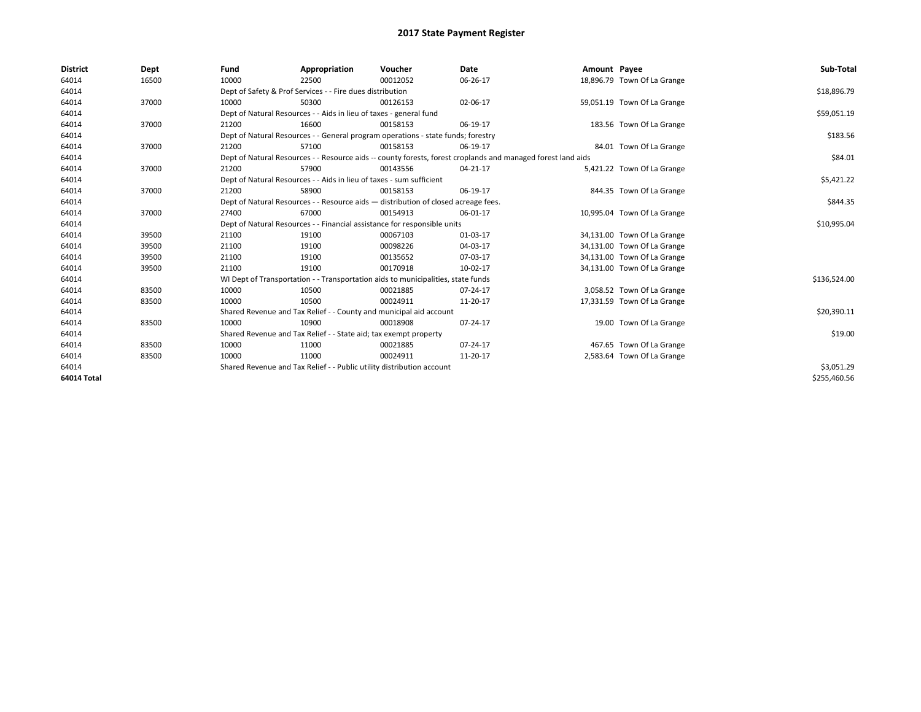| <b>District</b>    | Dept  | Fund  | Appropriation                                                                                                | Voucher  | Date     | Amount Payee |                             | Sub-Total    |
|--------------------|-------|-------|--------------------------------------------------------------------------------------------------------------|----------|----------|--------------|-----------------------------|--------------|
| 64014              | 16500 | 10000 | 22500                                                                                                        | 00012052 | 06-26-17 |              | 18,896.79 Town Of La Grange |              |
| 64014              |       |       | Dept of Safety & Prof Services - - Fire dues distribution                                                    |          |          |              |                             | \$18,896.79  |
| 64014              | 37000 | 10000 | 50300                                                                                                        | 00126153 | 02-06-17 |              | 59,051.19 Town Of La Grange |              |
| 64014              |       |       | Dept of Natural Resources - - Aids in lieu of taxes - general fund                                           |          |          |              |                             | \$59,051.19  |
| 64014              | 37000 | 21200 | 16600                                                                                                        | 00158153 | 06-19-17 |              | 183.56 Town Of La Grange    |              |
| 64014              |       |       | Dept of Natural Resources - - General program operations - state funds; forestry                             |          |          |              |                             | \$183.56     |
| 64014              | 37000 | 21200 | 57100                                                                                                        | 00158153 | 06-19-17 |              | 84.01 Town Of La Grange     |              |
| 64014              |       |       | Dept of Natural Resources - - Resource aids -- county forests, forest croplands and managed forest land aids |          |          |              |                             | \$84.01      |
| 64014              | 37000 | 21200 | 57900                                                                                                        | 00143556 | 04-21-17 |              | 5,421.22 Town Of La Grange  |              |
| 64014              |       |       | Dept of Natural Resources - - Aids in lieu of taxes - sum sufficient                                         |          |          |              |                             | \$5,421.22   |
| 64014              | 37000 | 21200 | 58900                                                                                                        | 00158153 | 06-19-17 |              | 844.35 Town Of La Grange    |              |
| 64014              |       |       | Dept of Natural Resources - - Resource aids - distribution of closed acreage fees.                           |          |          |              |                             | \$844.35     |
| 64014              | 37000 | 27400 | 67000                                                                                                        | 00154913 | 06-01-17 |              | 10,995.04 Town Of La Grange |              |
| 64014              |       |       | Dept of Natural Resources - - Financial assistance for responsible units                                     |          |          |              |                             | \$10,995.04  |
| 64014              | 39500 | 21100 | 19100                                                                                                        | 00067103 | 01-03-17 |              | 34,131.00 Town Of La Grange |              |
| 64014              | 39500 | 21100 | 19100                                                                                                        | 00098226 | 04-03-17 |              | 34,131.00 Town Of La Grange |              |
| 64014              | 39500 | 21100 | 19100                                                                                                        | 00135652 | 07-03-17 |              | 34,131.00 Town Of La Grange |              |
| 64014              | 39500 | 21100 | 19100                                                                                                        | 00170918 | 10-02-17 |              | 34,131.00 Town Of La Grange |              |
| 64014              |       |       | WI Dept of Transportation - - Transportation aids to municipalities, state funds                             |          |          |              |                             | \$136,524.00 |
| 64014              | 83500 | 10000 | 10500                                                                                                        | 00021885 | 07-24-17 |              | 3,058.52 Town Of La Grange  |              |
| 64014              | 83500 | 10000 | 10500                                                                                                        | 00024911 | 11-20-17 |              | 17,331.59 Town Of La Grange |              |
| 64014              |       |       | Shared Revenue and Tax Relief - - County and municipal aid account                                           |          |          |              |                             | \$20,390.11  |
| 64014              | 83500 | 10000 | 10900                                                                                                        | 00018908 | 07-24-17 |              | 19.00 Town Of La Grange     |              |
| 64014              |       |       | Shared Revenue and Tax Relief - - State aid; tax exempt property                                             |          |          |              |                             | \$19.00      |
| 64014              | 83500 | 10000 | 11000                                                                                                        | 00021885 | 07-24-17 |              | 467.65 Town Of La Grange    |              |
| 64014              | 83500 | 10000 | 11000                                                                                                        | 00024911 | 11-20-17 |              | 2,583.64 Town Of La Grange  |              |
| 64014              |       |       | Shared Revenue and Tax Relief - - Public utility distribution account                                        |          |          |              |                             | \$3,051.29   |
| <b>64014 Total</b> |       |       |                                                                                                              |          |          |              |                             | \$255,460.56 |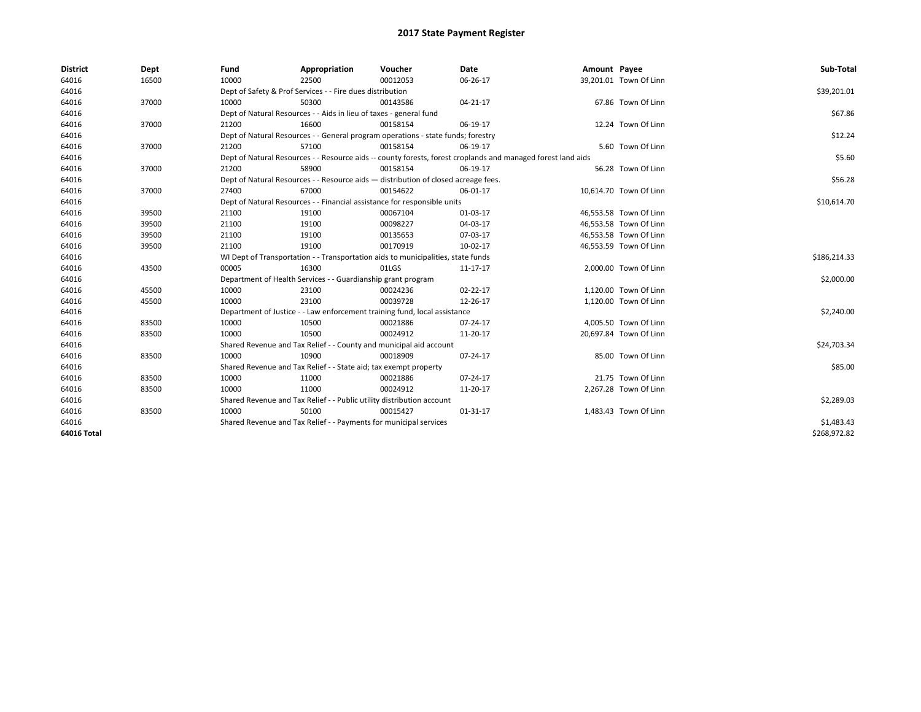| <b>District</b> | Dept  | Fund  | Appropriation                                                         | Voucher                                                                            | <b>Date</b>                                                                                                  | Amount Payee |                        | Sub-Total    |
|-----------------|-------|-------|-----------------------------------------------------------------------|------------------------------------------------------------------------------------|--------------------------------------------------------------------------------------------------------------|--------------|------------------------|--------------|
| 64016           | 16500 | 10000 | 22500                                                                 | 00012053                                                                           | 06-26-17                                                                                                     |              | 39,201.01 Town Of Linn |              |
| 64016           |       |       | Dept of Safety & Prof Services - - Fire dues distribution             |                                                                                    |                                                                                                              |              |                        | \$39,201.01  |
| 64016           | 37000 | 10000 | 50300                                                                 | 00143586                                                                           | 04-21-17                                                                                                     |              | 67.86 Town Of Linn     |              |
| 64016           |       |       | Dept of Natural Resources - - Aids in lieu of taxes - general fund    |                                                                                    |                                                                                                              |              |                        | \$67.86      |
| 64016           | 37000 | 21200 | 16600                                                                 | 00158154                                                                           | 06-19-17                                                                                                     |              | 12.24 Town Of Linn     |              |
| 64016           |       |       |                                                                       | Dept of Natural Resources - - General program operations - state funds; forestry   |                                                                                                              |              |                        | \$12.24      |
| 64016           | 37000 | 21200 | 57100                                                                 | 00158154                                                                           | 06-19-17                                                                                                     |              | 5.60 Town Of Linn      |              |
| 64016           |       |       |                                                                       |                                                                                    | Dept of Natural Resources - - Resource aids -- county forests, forest croplands and managed forest land aids |              |                        | \$5.60       |
| 64016           | 37000 | 21200 | 58900                                                                 | 00158154                                                                           | 06-19-17                                                                                                     |              | 56.28 Town Of Linn     |              |
| 64016           |       |       |                                                                       | Dept of Natural Resources - - Resource aids - distribution of closed acreage fees. |                                                                                                              |              |                        | \$56.28      |
| 64016           | 37000 | 27400 | 67000                                                                 | 00154622                                                                           | 06-01-17                                                                                                     |              | 10,614.70 Town Of Linn |              |
| 64016           |       |       |                                                                       | Dept of Natural Resources - - Financial assistance for responsible units           |                                                                                                              |              |                        | \$10,614.70  |
| 64016           | 39500 | 21100 | 19100                                                                 | 00067104                                                                           | 01-03-17                                                                                                     |              | 46,553.58 Town Of Linn |              |
| 64016           | 39500 | 21100 | 19100                                                                 | 00098227                                                                           | 04-03-17                                                                                                     |              | 46,553.58 Town Of Linn |              |
| 64016           | 39500 | 21100 | 19100                                                                 | 00135653                                                                           | 07-03-17                                                                                                     |              | 46,553.58 Town Of Linn |              |
| 64016           | 39500 | 21100 | 19100                                                                 | 00170919                                                                           | 10-02-17                                                                                                     |              | 46,553.59 Town Of Linn |              |
| 64016           |       |       |                                                                       | WI Dept of Transportation - - Transportation aids to municipalities, state funds   |                                                                                                              |              |                        | \$186,214.33 |
| 64016           | 43500 | 00005 | 16300                                                                 | 01LGS                                                                              | 11-17-17                                                                                                     |              | 2,000.00 Town Of Linn  |              |
| 64016           |       |       | Department of Health Services - - Guardianship grant program          |                                                                                    |                                                                                                              |              |                        | \$2,000.00   |
| 64016           | 45500 | 10000 | 23100                                                                 | 00024236                                                                           | 02-22-17                                                                                                     |              | 1,120.00 Town Of Linn  |              |
| 64016           | 45500 | 10000 | 23100                                                                 | 00039728                                                                           | 12-26-17                                                                                                     |              | 1,120.00 Town Of Linn  |              |
| 64016           |       |       |                                                                       | Department of Justice - - Law enforcement training fund, local assistance          |                                                                                                              |              |                        | \$2,240.00   |
| 64016           | 83500 | 10000 | 10500                                                                 | 00021886                                                                           | 07-24-17                                                                                                     |              | 4,005.50 Town Of Linn  |              |
| 64016           | 83500 | 10000 | 10500                                                                 | 00024912                                                                           | 11-20-17                                                                                                     |              | 20,697.84 Town Of Linn |              |
| 64016           |       |       |                                                                       | Shared Revenue and Tax Relief - - County and municipal aid account                 |                                                                                                              |              |                        | \$24,703.34  |
| 64016           | 83500 | 10000 | 10900                                                                 | 00018909                                                                           | 07-24-17                                                                                                     |              | 85.00 Town Of Linn     |              |
| 64016           |       |       | Shared Revenue and Tax Relief - - State aid; tax exempt property      |                                                                                    |                                                                                                              |              |                        | \$85.00      |
| 64016           | 83500 | 10000 | 11000                                                                 | 00021886                                                                           | 07-24-17                                                                                                     |              | 21.75 Town Of Linn     |              |
| 64016           | 83500 | 10000 | 11000                                                                 | 00024912                                                                           | 11-20-17                                                                                                     |              | 2,267.28 Town Of Linn  |              |
| 64016           |       |       | Shared Revenue and Tax Relief - - Public utility distribution account |                                                                                    |                                                                                                              |              |                        | \$2,289.03   |
| 64016           | 83500 | 10000 | 50100                                                                 | 00015427                                                                           | 01-31-17                                                                                                     |              | 1,483.43 Town Of Linn  |              |
| 64016           |       |       | Shared Revenue and Tax Relief - - Payments for municipal services     |                                                                                    |                                                                                                              |              |                        | \$1,483.43   |
| 64016 Total     |       |       |                                                                       |                                                                                    |                                                                                                              |              |                        | \$268,972.82 |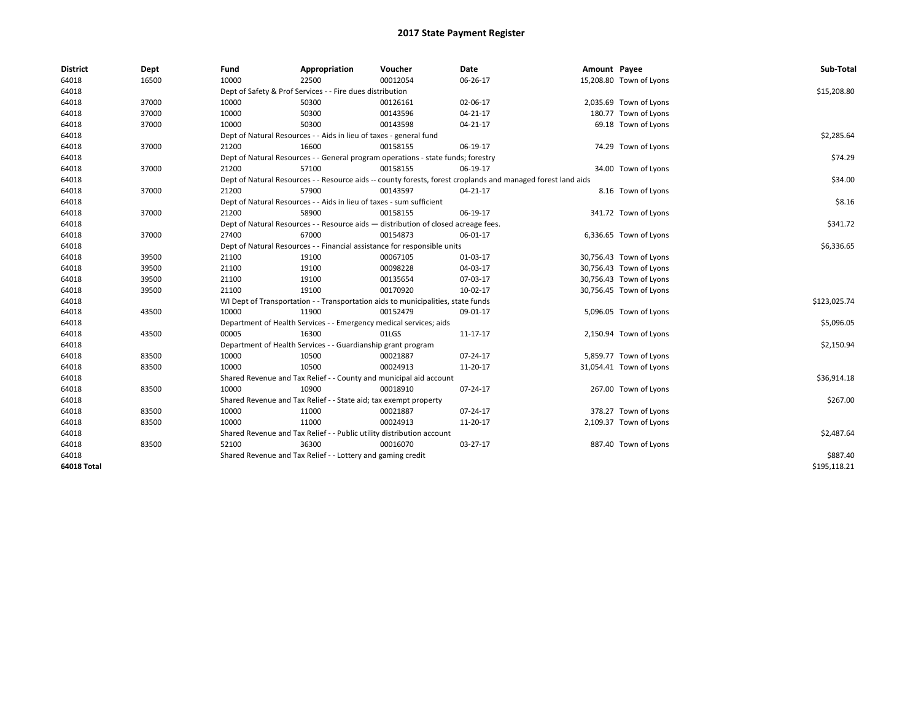| <b>District</b> | Dept  | Fund  | Appropriation                                                                      | Voucher  | <b>Date</b>                                                                                                  | Amount Payee |                         | Sub-Total    |
|-----------------|-------|-------|------------------------------------------------------------------------------------|----------|--------------------------------------------------------------------------------------------------------------|--------------|-------------------------|--------------|
| 64018           | 16500 | 10000 | 22500                                                                              | 00012054 | 06-26-17                                                                                                     |              | 15,208.80 Town of Lyons |              |
| 64018           |       |       | Dept of Safety & Prof Services - - Fire dues distribution                          |          |                                                                                                              |              |                         | \$15,208.80  |
| 64018           | 37000 | 10000 | 50300                                                                              | 00126161 | 02-06-17                                                                                                     |              | 2,035.69 Town of Lyons  |              |
| 64018           | 37000 | 10000 | 50300                                                                              | 00143596 | 04-21-17                                                                                                     |              | 180.77 Town of Lyons    |              |
| 64018           | 37000 | 10000 | 50300                                                                              | 00143598 | 04-21-17                                                                                                     |              | 69.18 Town of Lyons     |              |
| 64018           |       |       | Dept of Natural Resources - - Aids in lieu of taxes - general fund                 |          |                                                                                                              |              |                         | \$2,285.64   |
| 64018           | 37000 | 21200 | 16600                                                                              | 00158155 | 06-19-17                                                                                                     |              | 74.29 Town of Lyons     |              |
| 64018           |       |       | Dept of Natural Resources - - General program operations - state funds; forestry   |          |                                                                                                              |              |                         | \$74.29      |
| 64018           | 37000 | 21200 | 57100                                                                              | 00158155 | 06-19-17                                                                                                     |              | 34.00 Town of Lyons     |              |
| 64018           |       |       |                                                                                    |          | Dept of Natural Resources - - Resource aids -- county forests, forest croplands and managed forest land aids |              |                         | \$34.00      |
| 64018           | 37000 | 21200 | 57900                                                                              | 00143597 | 04-21-17                                                                                                     |              | 8.16 Town of Lyons      |              |
| 64018           |       |       | Dept of Natural Resources - - Aids in lieu of taxes - sum sufficient               |          |                                                                                                              |              |                         | \$8.16       |
| 64018           | 37000 | 21200 | 58900                                                                              | 00158155 | 06-19-17                                                                                                     |              | 341.72 Town of Lyons    |              |
| 64018           |       |       | Dept of Natural Resources - - Resource aids - distribution of closed acreage fees. |          |                                                                                                              |              |                         | \$341.72     |
| 64018           | 37000 | 27400 | 67000                                                                              | 00154873 | 06-01-17                                                                                                     |              | 6,336.65 Town of Lyons  |              |
| 64018           |       |       | Dept of Natural Resources - - Financial assistance for responsible units           |          |                                                                                                              |              |                         | \$6,336.65   |
| 64018           | 39500 | 21100 | 19100                                                                              | 00067105 | 01-03-17                                                                                                     |              | 30,756.43 Town of Lyons |              |
| 64018           | 39500 | 21100 | 19100                                                                              | 00098228 | 04-03-17                                                                                                     |              | 30,756.43 Town of Lyons |              |
| 64018           | 39500 | 21100 | 19100                                                                              | 00135654 | 07-03-17                                                                                                     |              | 30,756.43 Town of Lyons |              |
| 64018           | 39500 | 21100 | 19100                                                                              | 00170920 | 10-02-17                                                                                                     |              | 30,756.45 Town of Lyons |              |
| 64018           |       |       | WI Dept of Transportation - - Transportation aids to municipalities, state funds   |          |                                                                                                              |              |                         | \$123,025.74 |
| 64018           | 43500 | 10000 | 11900                                                                              | 00152479 | 09-01-17                                                                                                     |              | 5,096.05 Town of Lyons  |              |
| 64018           |       |       | Department of Health Services - - Emergency medical services; aids                 |          |                                                                                                              |              |                         | \$5,096.05   |
| 64018           | 43500 | 00005 | 16300                                                                              | 01LGS    | 11-17-17                                                                                                     |              | 2,150.94 Town of Lyons  |              |
| 64018           |       |       | Department of Health Services - - Guardianship grant program                       |          |                                                                                                              |              |                         | \$2,150.94   |
| 64018           | 83500 | 10000 | 10500                                                                              | 00021887 | 07-24-17                                                                                                     |              | 5,859.77 Town of Lyons  |              |
| 64018           | 83500 | 10000 | 10500                                                                              | 00024913 | 11-20-17                                                                                                     |              | 31,054.41 Town of Lyons |              |
| 64018           |       |       | Shared Revenue and Tax Relief - - County and municipal aid account                 |          |                                                                                                              |              |                         | \$36,914.18  |
| 64018           | 83500 | 10000 | 10900                                                                              | 00018910 | 07-24-17                                                                                                     |              | 267.00 Town of Lyons    |              |
| 64018           |       |       | Shared Revenue and Tax Relief - - State aid; tax exempt property                   |          |                                                                                                              |              |                         | \$267.00     |
| 64018           | 83500 | 10000 | 11000                                                                              | 00021887 | 07-24-17                                                                                                     |              | 378.27 Town of Lyons    |              |
| 64018           | 83500 | 10000 | 11000                                                                              | 00024913 | 11-20-17                                                                                                     |              | 2,109.37 Town of Lyons  |              |
| 64018           |       |       | Shared Revenue and Tax Relief - - Public utility distribution account              |          |                                                                                                              |              |                         | \$2,487.64   |
| 64018           | 83500 | 52100 | 36300                                                                              | 00016070 | 03-27-17                                                                                                     |              | 887.40 Town of Lyons    |              |
| 64018           |       |       | Shared Revenue and Tax Relief - - Lottery and gaming credit                        |          |                                                                                                              |              |                         | \$887.40     |
| 64018 Total     |       |       |                                                                                    |          |                                                                                                              |              |                         | \$195,118.21 |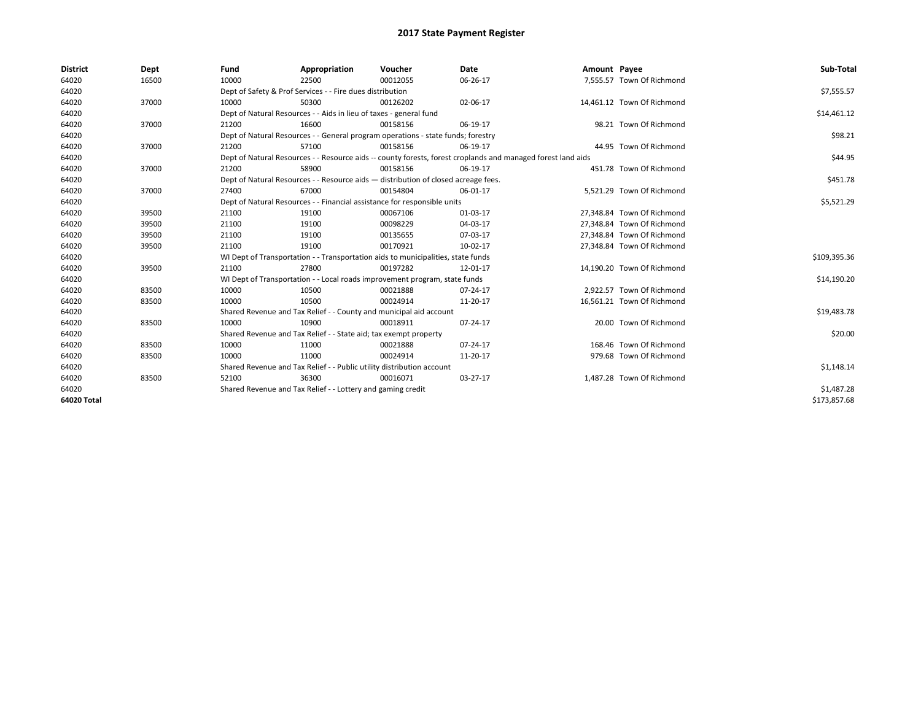| <b>District</b> | Dept  | Fund  | Appropriation                                                                      | Voucher  | <b>Date</b>                                                                                                  | Amount Payee |                            | Sub-Total    |
|-----------------|-------|-------|------------------------------------------------------------------------------------|----------|--------------------------------------------------------------------------------------------------------------|--------------|----------------------------|--------------|
| 64020           | 16500 | 10000 | 22500                                                                              | 00012055 | 06-26-17                                                                                                     |              | 7,555.57 Town Of Richmond  |              |
| 64020           |       |       | Dept of Safety & Prof Services - - Fire dues distribution                          |          |                                                                                                              |              |                            | \$7,555.57   |
| 64020           | 37000 | 10000 | 50300                                                                              | 00126202 | 02-06-17                                                                                                     |              | 14,461.12 Town Of Richmond |              |
| 64020           |       |       | Dept of Natural Resources - - Aids in lieu of taxes - general fund                 |          |                                                                                                              |              |                            | \$14,461.12  |
| 64020           | 37000 | 21200 | 16600                                                                              | 00158156 | 06-19-17                                                                                                     |              | 98.21 Town Of Richmond     |              |
| 64020           |       |       | Dept of Natural Resources - - General program operations - state funds; forestry   |          |                                                                                                              |              |                            | \$98.21      |
| 64020           | 37000 | 21200 | 57100                                                                              | 00158156 | 06-19-17                                                                                                     |              | 44.95 Town Of Richmond     |              |
| 64020           |       |       |                                                                                    |          | Dept of Natural Resources - - Resource aids -- county forests, forest croplands and managed forest land aids |              |                            | \$44.95      |
| 64020           | 37000 | 21200 | 58900                                                                              | 00158156 | 06-19-17                                                                                                     |              | 451.78 Town Of Richmond    |              |
| 64020           |       |       | Dept of Natural Resources - - Resource aids - distribution of closed acreage fees. |          |                                                                                                              |              |                            | \$451.78     |
| 64020           | 37000 | 27400 | 67000                                                                              | 00154804 | 06-01-17                                                                                                     |              | 5.521.29 Town Of Richmond  |              |
| 64020           |       |       | Dept of Natural Resources - - Financial assistance for responsible units           |          |                                                                                                              |              |                            | \$5,521.29   |
| 64020           | 39500 | 21100 | 19100                                                                              | 00067106 | 01-03-17                                                                                                     |              | 27,348.84 Town Of Richmond |              |
| 64020           | 39500 | 21100 | 19100                                                                              | 00098229 | 04-03-17                                                                                                     |              | 27,348.84 Town Of Richmond |              |
| 64020           | 39500 | 21100 | 19100                                                                              | 00135655 | 07-03-17                                                                                                     |              | 27,348.84 Town Of Richmond |              |
| 64020           | 39500 | 21100 | 19100                                                                              | 00170921 | 10-02-17                                                                                                     |              | 27.348.84 Town Of Richmond |              |
| 64020           |       |       | WI Dept of Transportation - - Transportation aids to municipalities, state funds   |          |                                                                                                              |              |                            | \$109,395.36 |
| 64020           | 39500 | 21100 | 27800                                                                              | 00197282 | 12-01-17                                                                                                     |              | 14.190.20 Town Of Richmond |              |
| 64020           |       |       | WI Dept of Transportation - - Local roads improvement program, state funds         |          |                                                                                                              |              |                            | \$14,190.20  |
| 64020           | 83500 | 10000 | 10500                                                                              | 00021888 | 07-24-17                                                                                                     |              | 2.922.57 Town Of Richmond  |              |
| 64020           | 83500 | 10000 | 10500                                                                              | 00024914 | 11-20-17                                                                                                     |              | 16,561.21 Town Of Richmond |              |
| 64020           |       |       | Shared Revenue and Tax Relief - - County and municipal aid account                 |          |                                                                                                              |              |                            | \$19,483.78  |
| 64020           | 83500 | 10000 | 10900                                                                              | 00018911 | 07-24-17                                                                                                     |              | 20.00 Town Of Richmond     |              |
| 64020           |       |       | Shared Revenue and Tax Relief - - State aid; tax exempt property                   |          |                                                                                                              |              |                            | \$20.00      |
| 64020           | 83500 | 10000 | 11000                                                                              | 00021888 | 07-24-17                                                                                                     |              | 168.46 Town Of Richmond    |              |
| 64020           | 83500 | 10000 | 11000                                                                              | 00024914 | 11-20-17                                                                                                     |              | 979.68 Town Of Richmond    |              |
| 64020           |       |       | Shared Revenue and Tax Relief - - Public utility distribution account              |          |                                                                                                              |              |                            | \$1,148.14   |
| 64020           | 83500 | 52100 | 36300                                                                              | 00016071 | 03-27-17                                                                                                     |              | 1.487.28 Town Of Richmond  |              |
| 64020           |       |       | Shared Revenue and Tax Relief - - Lottery and gaming credit                        |          |                                                                                                              |              |                            | \$1,487.28   |
| 64020 Total     |       |       |                                                                                    |          |                                                                                                              |              |                            | \$173,857.68 |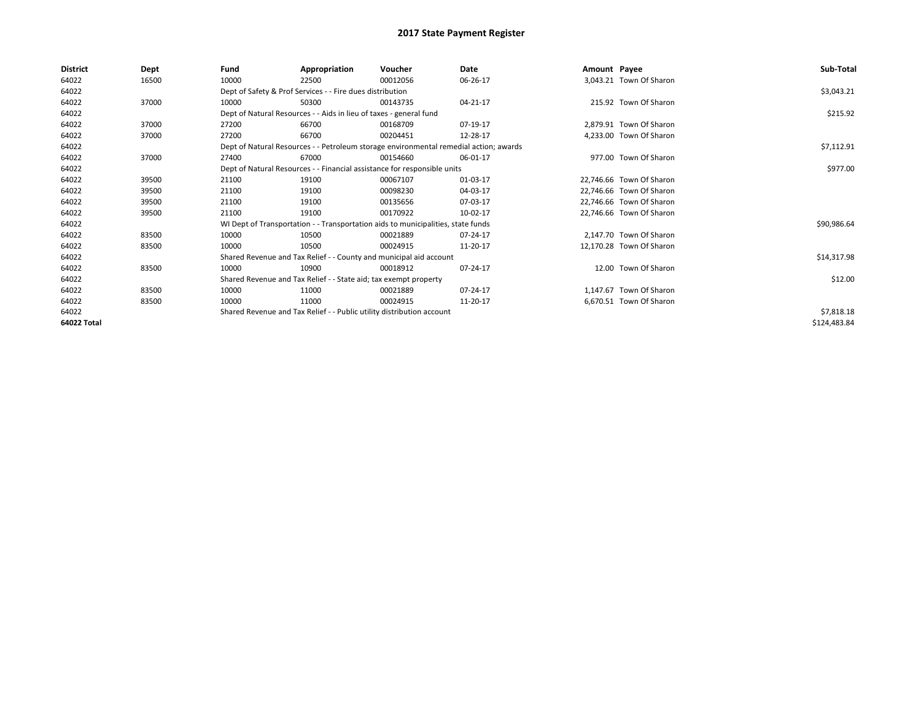| <b>District</b> | Dept  | Fund  | Appropriation                                                         | Voucher                                                                               | Date     | Amount Payee |                          | Sub-Total    |
|-----------------|-------|-------|-----------------------------------------------------------------------|---------------------------------------------------------------------------------------|----------|--------------|--------------------------|--------------|
| 64022           | 16500 | 10000 | 22500                                                                 | 00012056                                                                              | 06-26-17 |              | 3,043.21 Town Of Sharon  |              |
| 64022           |       |       | Dept of Safety & Prof Services - - Fire dues distribution             |                                                                                       |          |              |                          | \$3,043.21   |
| 64022           | 37000 | 10000 | 50300                                                                 | 00143735                                                                              | 04-21-17 |              | 215.92 Town Of Sharon    |              |
| 64022           |       |       | Dept of Natural Resources - - Aids in lieu of taxes - general fund    |                                                                                       |          |              |                          | \$215.92     |
| 64022           | 37000 | 27200 | 66700                                                                 | 00168709                                                                              | 07-19-17 |              | 2,879.91 Town Of Sharon  |              |
| 64022           | 37000 | 27200 | 66700                                                                 | 00204451                                                                              | 12-28-17 |              | 4,233.00 Town Of Sharon  |              |
| 64022           |       |       |                                                                       | Dept of Natural Resources - - Petroleum storage environmental remedial action; awards |          |              |                          | \$7,112.91   |
| 64022           | 37000 | 27400 | 67000                                                                 | 00154660                                                                              | 06-01-17 |              | 977.00 Town Of Sharon    |              |
| 64022           |       |       |                                                                       | Dept of Natural Resources - - Financial assistance for responsible units              |          |              |                          | \$977.00     |
| 64022           | 39500 | 21100 | 19100                                                                 | 00067107                                                                              | 01-03-17 |              | 22,746.66 Town Of Sharon |              |
| 64022           | 39500 | 21100 | 19100                                                                 | 00098230                                                                              | 04-03-17 |              | 22,746.66 Town Of Sharon |              |
| 64022           | 39500 | 21100 | 19100                                                                 | 00135656                                                                              | 07-03-17 |              | 22,746.66 Town Of Sharon |              |
| 64022           | 39500 | 21100 | 19100                                                                 | 00170922                                                                              | 10-02-17 |              | 22,746.66 Town Of Sharon |              |
| 64022           |       |       |                                                                       | WI Dept of Transportation - - Transportation aids to municipalities, state funds      |          |              |                          | \$90,986.64  |
| 64022           | 83500 | 10000 | 10500                                                                 | 00021889                                                                              | 07-24-17 |              | 2,147.70 Town Of Sharon  |              |
| 64022           | 83500 | 10000 | 10500                                                                 | 00024915                                                                              | 11-20-17 |              | 12,170.28 Town Of Sharon |              |
| 64022           |       |       | Shared Revenue and Tax Relief - - County and municipal aid account    |                                                                                       |          |              |                          | \$14,317.98  |
| 64022           | 83500 | 10000 | 10900                                                                 | 00018912                                                                              | 07-24-17 |              | 12.00 Town Of Sharon     |              |
| 64022           |       |       | Shared Revenue and Tax Relief - - State aid; tax exempt property      |                                                                                       |          |              |                          | \$12.00      |
| 64022           | 83500 | 10000 | 11000                                                                 | 00021889                                                                              | 07-24-17 |              | 1.147.67 Town Of Sharon  |              |
| 64022           | 83500 | 10000 | 11000                                                                 | 00024915                                                                              | 11-20-17 |              | 6,670.51 Town Of Sharon  |              |
| 64022           |       |       | Shared Revenue and Tax Relief - - Public utility distribution account |                                                                                       |          |              |                          | \$7,818.18   |
| 64022 Total     |       |       |                                                                       |                                                                                       |          |              |                          | \$124,483.84 |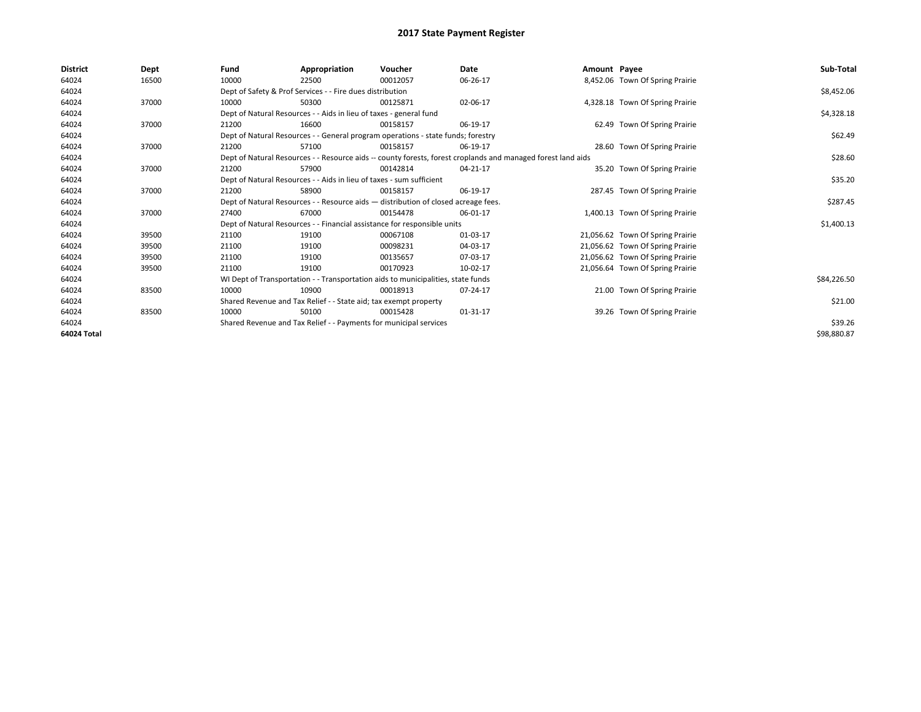| <b>District</b> | Dept  | Fund  | Appropriation                                                        | Voucher                                                                            | <b>Date</b>                                                                                                  | Amount Payee |                                  | Sub-Total   |
|-----------------|-------|-------|----------------------------------------------------------------------|------------------------------------------------------------------------------------|--------------------------------------------------------------------------------------------------------------|--------------|----------------------------------|-------------|
| 64024           | 16500 | 10000 | 22500                                                                | 00012057                                                                           | 06-26-17                                                                                                     |              | 8,452.06 Town Of Spring Prairie  |             |
| 64024           |       |       | Dept of Safety & Prof Services - - Fire dues distribution            |                                                                                    |                                                                                                              |              |                                  | \$8,452.06  |
| 64024           | 37000 | 10000 | 50300                                                                | 00125871                                                                           | 02-06-17                                                                                                     |              | 4,328.18 Town Of Spring Prairie  |             |
| 64024           |       |       | Dept of Natural Resources - - Aids in lieu of taxes - general fund   |                                                                                    |                                                                                                              |              |                                  | \$4,328.18  |
| 64024           | 37000 | 21200 | 16600                                                                | 00158157                                                                           | 06-19-17                                                                                                     |              | 62.49 Town Of Spring Prairie     |             |
| 64024           |       |       |                                                                      | Dept of Natural Resources - - General program operations - state funds; forestry   |                                                                                                              |              |                                  | \$62.49     |
| 64024           | 37000 | 21200 | 57100                                                                | 00158157                                                                           | 06-19-17                                                                                                     |              | 28.60 Town Of Spring Prairie     |             |
| 64024           |       |       |                                                                      |                                                                                    | Dept of Natural Resources - - Resource aids -- county forests, forest croplands and managed forest land aids |              |                                  | \$28.60     |
| 64024           | 37000 | 21200 | 57900                                                                | 00142814                                                                           | 04-21-17                                                                                                     |              | 35.20 Town Of Spring Prairie     |             |
| 64024           |       |       | Dept of Natural Resources - - Aids in lieu of taxes - sum sufficient |                                                                                    |                                                                                                              |              |                                  | \$35.20     |
| 64024           | 37000 | 21200 | 58900                                                                | 00158157                                                                           | 06-19-17                                                                                                     |              | 287.45 Town Of Spring Prairie    |             |
| 64024           |       |       |                                                                      | Dept of Natural Resources - - Resource aids - distribution of closed acreage fees. |                                                                                                              |              |                                  | \$287.45    |
| 64024           | 37000 | 27400 | 67000                                                                | 00154478                                                                           | 06-01-17                                                                                                     |              | 1,400.13 Town Of Spring Prairie  |             |
| 64024           |       |       |                                                                      | Dept of Natural Resources - - Financial assistance for responsible units           |                                                                                                              |              |                                  | \$1,400.13  |
| 64024           | 39500 | 21100 | 19100                                                                | 00067108                                                                           | 01-03-17                                                                                                     |              | 21,056.62 Town Of Spring Prairie |             |
| 64024           | 39500 | 21100 | 19100                                                                | 00098231                                                                           | 04-03-17                                                                                                     |              | 21,056.62 Town Of Spring Prairie |             |
| 64024           | 39500 | 21100 | 19100                                                                | 00135657                                                                           | 07-03-17                                                                                                     |              | 21,056.62 Town Of Spring Prairie |             |
| 64024           | 39500 | 21100 | 19100                                                                | 00170923                                                                           | 10-02-17                                                                                                     |              | 21,056.64 Town Of Spring Prairie |             |
| 64024           |       |       |                                                                      | WI Dept of Transportation - - Transportation aids to municipalities, state funds   |                                                                                                              |              |                                  | \$84,226.50 |
| 64024           | 83500 | 10000 | 10900                                                                | 00018913                                                                           | 07-24-17                                                                                                     |              | 21.00 Town Of Spring Prairie     |             |
| 64024           |       |       | Shared Revenue and Tax Relief - - State aid; tax exempt property     |                                                                                    |                                                                                                              |              |                                  | \$21.00     |
| 64024           | 83500 | 10000 | 50100                                                                | 00015428                                                                           | 01-31-17                                                                                                     |              | 39.26 Town Of Spring Prairie     |             |
| 64024           |       |       | Shared Revenue and Tax Relief - - Payments for municipal services    |                                                                                    |                                                                                                              |              |                                  | \$39.26     |
| 64024 Total     |       |       |                                                                      |                                                                                    |                                                                                                              |              |                                  | \$98,880.87 |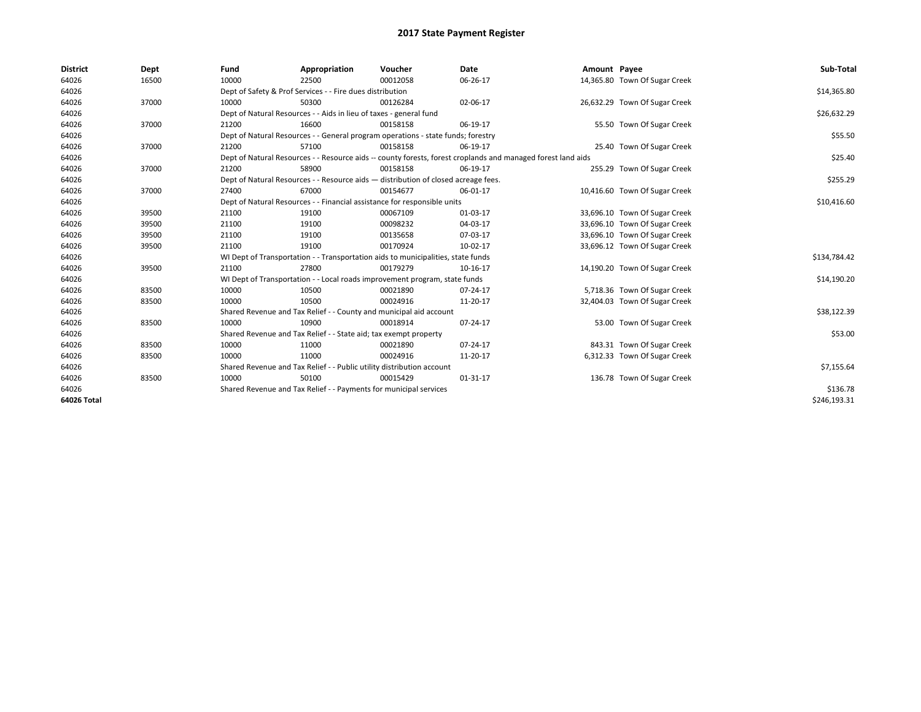| <b>District</b> | Dept  | Fund  | Appropriation                                                                      | Voucher  | Date                                                                                                         | Amount Payee |                               | Sub-Total    |
|-----------------|-------|-------|------------------------------------------------------------------------------------|----------|--------------------------------------------------------------------------------------------------------------|--------------|-------------------------------|--------------|
| 64026           | 16500 | 10000 | 22500                                                                              | 00012058 | 06-26-17                                                                                                     |              | 14,365.80 Town Of Sugar Creek |              |
| 64026           |       |       | Dept of Safety & Prof Services - - Fire dues distribution                          |          |                                                                                                              |              |                               | \$14,365.80  |
| 64026           | 37000 | 10000 | 50300                                                                              | 00126284 | 02-06-17                                                                                                     |              | 26,632.29 Town Of Sugar Creek |              |
| 64026           |       |       | Dept of Natural Resources - - Aids in lieu of taxes - general fund                 |          |                                                                                                              |              |                               | \$26,632.29  |
| 64026           | 37000 | 21200 | 16600                                                                              | 00158158 | 06-19-17                                                                                                     |              | 55.50 Town Of Sugar Creek     |              |
| 64026           |       |       | Dept of Natural Resources - - General program operations - state funds; forestry   |          |                                                                                                              |              |                               | \$55.50      |
| 64026           | 37000 | 21200 | 57100                                                                              | 00158158 | 06-19-17                                                                                                     |              | 25.40 Town Of Sugar Creek     |              |
| 64026           |       |       |                                                                                    |          | Dept of Natural Resources - - Resource aids -- county forests, forest croplands and managed forest land aids |              |                               | \$25.40      |
| 64026           | 37000 | 21200 | 58900                                                                              | 00158158 | 06-19-17                                                                                                     |              | 255.29 Town Of Sugar Creek    |              |
| 64026           |       |       | Dept of Natural Resources - - Resource aids - distribution of closed acreage fees. |          |                                                                                                              |              |                               | \$255.29     |
| 64026           | 37000 | 27400 | 67000                                                                              | 00154677 | 06-01-17                                                                                                     |              | 10,416.60 Town Of Sugar Creek |              |
| 64026           |       |       | Dept of Natural Resources - - Financial assistance for responsible units           |          |                                                                                                              |              |                               | \$10,416.60  |
| 64026           | 39500 | 21100 | 19100                                                                              | 00067109 | 01-03-17                                                                                                     |              | 33,696.10 Town Of Sugar Creek |              |
| 64026           | 39500 | 21100 | 19100                                                                              | 00098232 | 04-03-17                                                                                                     |              | 33,696.10 Town Of Sugar Creek |              |
| 64026           | 39500 | 21100 | 19100                                                                              | 00135658 | 07-03-17                                                                                                     |              | 33,696.10 Town Of Sugar Creek |              |
| 64026           | 39500 | 21100 | 19100                                                                              | 00170924 | 10-02-17                                                                                                     |              | 33,696.12 Town Of Sugar Creek |              |
| 64026           |       |       | WI Dept of Transportation - - Transportation aids to municipalities, state funds   |          |                                                                                                              |              |                               | \$134,784.42 |
| 64026           | 39500 | 21100 | 27800                                                                              | 00179279 | 10-16-17                                                                                                     |              | 14,190.20 Town Of Sugar Creek |              |
| 64026           |       |       | WI Dept of Transportation - - Local roads improvement program, state funds         |          |                                                                                                              |              |                               | \$14,190.20  |
| 64026           | 83500 | 10000 | 10500                                                                              | 00021890 | 07-24-17                                                                                                     |              | 5,718.36 Town Of Sugar Creek  |              |
| 64026           | 83500 | 10000 | 10500                                                                              | 00024916 | 11-20-17                                                                                                     |              | 32,404.03 Town Of Sugar Creek |              |
| 64026           |       |       | Shared Revenue and Tax Relief - - County and municipal aid account                 |          |                                                                                                              |              |                               | \$38,122.39  |
| 64026           | 83500 | 10000 | 10900                                                                              | 00018914 | 07-24-17                                                                                                     |              | 53.00 Town Of Sugar Creek     |              |
| 64026           |       |       | Shared Revenue and Tax Relief - - State aid; tax exempt property                   |          |                                                                                                              |              |                               | \$53.00      |
| 64026           | 83500 | 10000 | 11000                                                                              | 00021890 | 07-24-17                                                                                                     |              | 843.31 Town Of Sugar Creek    |              |
| 64026           | 83500 | 10000 | 11000                                                                              | 00024916 | 11-20-17                                                                                                     |              | 6,312.33 Town Of Sugar Creek  |              |
| 64026           |       |       | Shared Revenue and Tax Relief - - Public utility distribution account              |          |                                                                                                              |              |                               | \$7,155.64   |
| 64026           | 83500 | 10000 | 50100                                                                              | 00015429 | 01-31-17                                                                                                     |              | 136.78 Town Of Sugar Creek    |              |
| 64026           |       |       | Shared Revenue and Tax Relief - - Payments for municipal services                  |          |                                                                                                              |              |                               | \$136.78     |
| 64026 Total     |       |       |                                                                                    |          |                                                                                                              |              |                               | \$246,193.31 |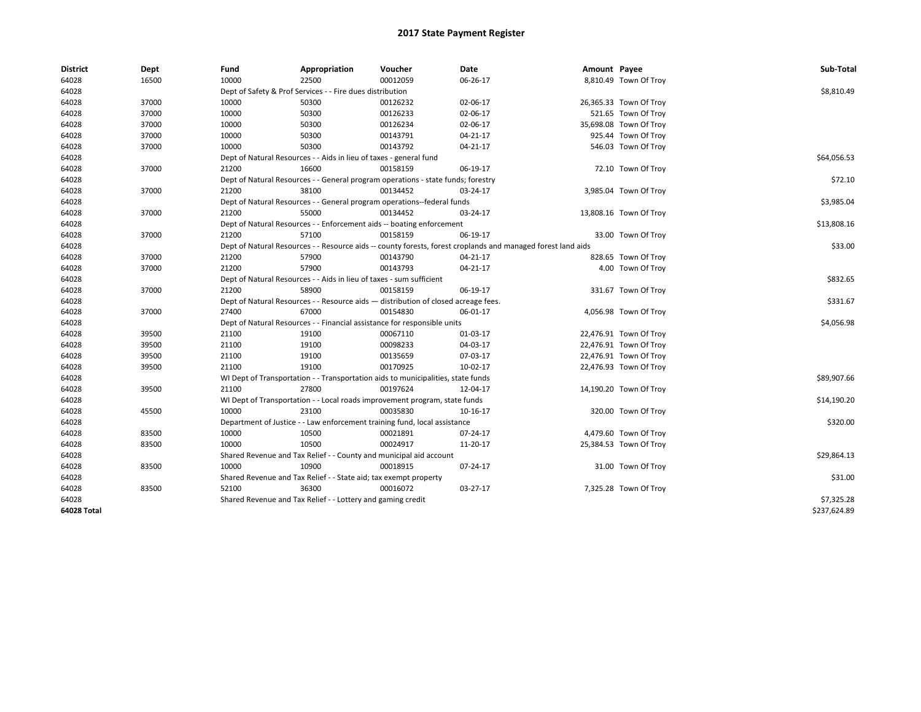| <b>District</b> | Dept  | Fund  | Appropriation                                                                      | Voucher  | Date                                                                                                         | Amount Payee |                        | Sub-Total    |
|-----------------|-------|-------|------------------------------------------------------------------------------------|----------|--------------------------------------------------------------------------------------------------------------|--------------|------------------------|--------------|
| 64028           | 16500 | 10000 | 22500                                                                              | 00012059 | 06-26-17                                                                                                     |              | 8,810.49 Town Of Troy  |              |
| 64028           |       |       | Dept of Safety & Prof Services - - Fire dues distribution                          |          |                                                                                                              |              |                        | \$8,810.49   |
| 64028           | 37000 | 10000 | 50300                                                                              | 00126232 | 02-06-17                                                                                                     |              | 26,365.33 Town Of Troy |              |
| 64028           | 37000 | 10000 | 50300                                                                              | 00126233 | 02-06-17                                                                                                     |              | 521.65 Town Of Troy    |              |
| 64028           | 37000 | 10000 | 50300                                                                              | 00126234 | 02-06-17                                                                                                     |              | 35,698.08 Town Of Troy |              |
| 64028           | 37000 | 10000 | 50300                                                                              | 00143791 | 04-21-17                                                                                                     |              | 925.44 Town Of Troy    |              |
| 64028           | 37000 | 10000 | 50300                                                                              | 00143792 | 04-21-17                                                                                                     |              | 546.03 Town Of Troy    |              |
| 64028           |       |       | Dept of Natural Resources - - Aids in lieu of taxes - general fund                 |          |                                                                                                              |              |                        | \$64,056.53  |
| 64028           | 37000 | 21200 | 16600                                                                              | 00158159 | 06-19-17                                                                                                     |              | 72.10 Town Of Troy     |              |
| 64028           |       |       | Dept of Natural Resources - - General program operations - state funds; forestry   |          |                                                                                                              |              |                        | \$72.10      |
| 64028           | 37000 | 21200 | 38100                                                                              | 00134452 | 03-24-17                                                                                                     |              | 3,985.04 Town Of Troy  |              |
| 64028           |       |       | Dept of Natural Resources - - General program operations--federal funds            |          |                                                                                                              |              |                        | \$3,985.04   |
| 64028           | 37000 | 21200 | 55000                                                                              | 00134452 | 03-24-17                                                                                                     |              | 13,808.16 Town Of Troy |              |
| 64028           |       |       | Dept of Natural Resources - - Enforcement aids -- boating enforcement              |          |                                                                                                              |              |                        | \$13,808.16  |
| 64028           | 37000 | 21200 | 57100                                                                              | 00158159 | 06-19-17                                                                                                     |              | 33.00 Town Of Trov     |              |
| 64028           |       |       |                                                                                    |          | Dept of Natural Resources - - Resource aids -- county forests, forest croplands and managed forest land aids |              |                        | \$33.00      |
| 64028           | 37000 | 21200 | 57900                                                                              | 00143790 | 04-21-17                                                                                                     |              | 828.65 Town Of Troy    |              |
| 64028           | 37000 | 21200 | 57900                                                                              | 00143793 | 04-21-17                                                                                                     |              | 4.00 Town Of Troy      |              |
| 64028           |       |       | Dept of Natural Resources - - Aids in lieu of taxes - sum sufficient               |          |                                                                                                              |              |                        | \$832.65     |
| 64028           | 37000 | 21200 | 58900                                                                              | 00158159 | 06-19-17                                                                                                     |              | 331.67 Town Of Troy    |              |
| 64028           |       |       | Dept of Natural Resources - - Resource aids - distribution of closed acreage fees. |          |                                                                                                              |              |                        | \$331.67     |
| 64028           | 37000 | 27400 | 67000                                                                              | 00154830 | 06-01-17                                                                                                     |              | 4,056.98 Town Of Troy  |              |
| 64028           |       |       | Dept of Natural Resources - - Financial assistance for responsible units           |          |                                                                                                              |              |                        | \$4,056.98   |
| 64028           | 39500 | 21100 | 19100                                                                              | 00067110 | 01-03-17                                                                                                     |              | 22,476.91 Town Of Troy |              |
| 64028           | 39500 | 21100 | 19100                                                                              | 00098233 | 04-03-17                                                                                                     |              | 22,476.91 Town Of Troy |              |
| 64028           | 39500 | 21100 | 19100                                                                              | 00135659 | 07-03-17                                                                                                     |              | 22,476.91 Town Of Troy |              |
| 64028           | 39500 | 21100 | 19100                                                                              | 00170925 | 10-02-17                                                                                                     |              | 22,476.93 Town Of Troy |              |
| 64028           |       |       | WI Dept of Transportation - - Transportation aids to municipalities, state funds   |          |                                                                                                              |              |                        | \$89,907.66  |
| 64028           | 39500 | 21100 | 27800                                                                              | 00197624 | 12-04-17                                                                                                     |              | 14,190.20 Town Of Troy |              |
| 64028           |       |       | WI Dept of Transportation - - Local roads improvement program, state funds         |          |                                                                                                              |              |                        | \$14,190.20  |
| 64028           | 45500 | 10000 | 23100                                                                              | 00035830 | 10-16-17                                                                                                     |              | 320.00 Town Of Troy    |              |
| 64028           |       |       | Department of Justice - - Law enforcement training fund, local assistance          |          |                                                                                                              |              |                        | \$320.00     |
| 64028           | 83500 | 10000 | 10500                                                                              | 00021891 | 07-24-17                                                                                                     |              | 4,479.60 Town Of Troy  |              |
| 64028           | 83500 | 10000 | 10500                                                                              | 00024917 | 11-20-17                                                                                                     |              | 25,384.53 Town Of Troy |              |
| 64028           |       |       | Shared Revenue and Tax Relief - - County and municipal aid account                 |          |                                                                                                              |              |                        | \$29,864.13  |
| 64028           | 83500 | 10000 | 10900                                                                              | 00018915 | 07-24-17                                                                                                     |              | 31.00 Town Of Troy     |              |
| 64028           |       |       | Shared Revenue and Tax Relief - - State aid; tax exempt property                   |          |                                                                                                              |              |                        | \$31.00      |
| 64028           | 83500 | 52100 | 36300                                                                              | 00016072 | $03-27-17$                                                                                                   |              | 7,325.28 Town Of Troy  |              |
| 64028           |       |       | Shared Revenue and Tax Relief - - Lottery and gaming credit                        |          |                                                                                                              |              |                        | \$7,325.28   |
| 64028 Total     |       |       |                                                                                    |          |                                                                                                              |              |                        | \$237,624.89 |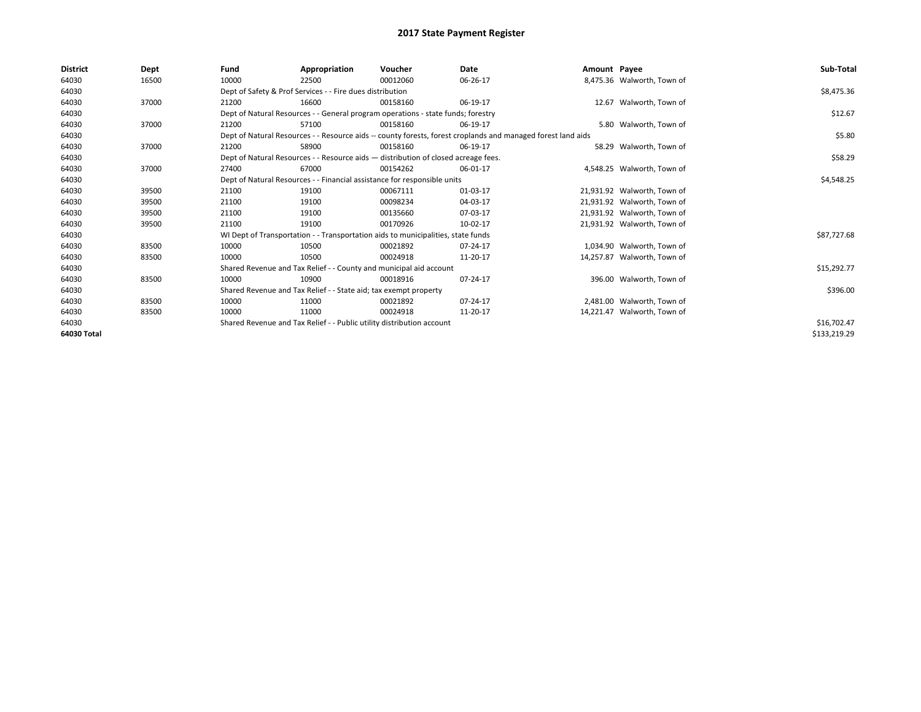| <b>District</b> | Dept  | Fund  | Appropriation                                                                      | Voucher  | Date                                                                                                         | Amount Payee |                             | Sub-Total    |
|-----------------|-------|-------|------------------------------------------------------------------------------------|----------|--------------------------------------------------------------------------------------------------------------|--------------|-----------------------------|--------------|
| 64030           | 16500 | 10000 | 22500                                                                              | 00012060 | 06-26-17                                                                                                     |              | 8,475.36 Walworth, Town of  |              |
| 64030           |       |       | Dept of Safety & Prof Services - - Fire dues distribution                          |          |                                                                                                              |              |                             | \$8,475.36   |
| 64030           | 37000 | 21200 | 16600                                                                              | 00158160 | 06-19-17                                                                                                     |              | 12.67 Walworth, Town of     |              |
| 64030           |       |       | Dept of Natural Resources - - General program operations - state funds; forestry   |          |                                                                                                              |              |                             | \$12.67      |
| 64030           | 37000 | 21200 | 57100                                                                              | 00158160 | 06-19-17                                                                                                     |              | 5.80 Walworth, Town of      |              |
| 64030           |       |       |                                                                                    |          | Dept of Natural Resources - - Resource aids -- county forests, forest croplands and managed forest land aids |              |                             | \$5.80       |
| 64030           | 37000 | 21200 | 58900                                                                              | 00158160 | 06-19-17                                                                                                     |              | 58.29 Walworth, Town of     |              |
| 64030           |       |       | Dept of Natural Resources - - Resource aids - distribution of closed acreage fees. |          |                                                                                                              |              |                             | \$58.29      |
| 64030           | 37000 | 27400 | 67000                                                                              | 00154262 | 06-01-17                                                                                                     |              | 4,548.25 Walworth, Town of  |              |
| 64030           |       |       | Dept of Natural Resources - - Financial assistance for responsible units           |          |                                                                                                              |              |                             | \$4,548.25   |
| 64030           | 39500 | 21100 | 19100                                                                              | 00067111 | 01-03-17                                                                                                     |              | 21,931.92 Walworth, Town of |              |
| 64030           | 39500 | 21100 | 19100                                                                              | 00098234 | 04-03-17                                                                                                     |              | 21,931.92 Walworth, Town of |              |
| 64030           | 39500 | 21100 | 19100                                                                              | 00135660 | 07-03-17                                                                                                     |              | 21,931.92 Walworth, Town of |              |
| 64030           | 39500 | 21100 | 19100                                                                              | 00170926 | 10-02-17                                                                                                     |              | 21,931.92 Walworth, Town of |              |
| 64030           |       |       | WI Dept of Transportation - - Transportation aids to municipalities, state funds   |          |                                                                                                              |              |                             | \$87,727.68  |
| 64030           | 83500 | 10000 | 10500                                                                              | 00021892 | 07-24-17                                                                                                     |              | 1,034.90 Walworth, Town of  |              |
| 64030           | 83500 | 10000 | 10500                                                                              | 00024918 | 11-20-17                                                                                                     |              | 14,257.87 Walworth, Town of |              |
| 64030           |       |       | Shared Revenue and Tax Relief - - County and municipal aid account                 |          |                                                                                                              |              |                             | \$15,292.77  |
| 64030           | 83500 | 10000 | 10900                                                                              | 00018916 | 07-24-17                                                                                                     |              | 396.00 Walworth, Town of    |              |
| 64030           |       |       | Shared Revenue and Tax Relief - - State aid; tax exempt property                   |          |                                                                                                              |              |                             | \$396.00     |
| 64030           | 83500 | 10000 | 11000                                                                              | 00021892 | 07-24-17                                                                                                     |              | 2,481.00 Walworth, Town of  |              |
| 64030           | 83500 | 10000 | 11000                                                                              | 00024918 | 11-20-17                                                                                                     |              | 14,221.47 Walworth, Town of |              |
| 64030           |       |       | Shared Revenue and Tax Relief - - Public utility distribution account              |          |                                                                                                              |              |                             | \$16,702.47  |
| 64030 Total     |       |       |                                                                                    |          |                                                                                                              |              |                             | \$133,219.29 |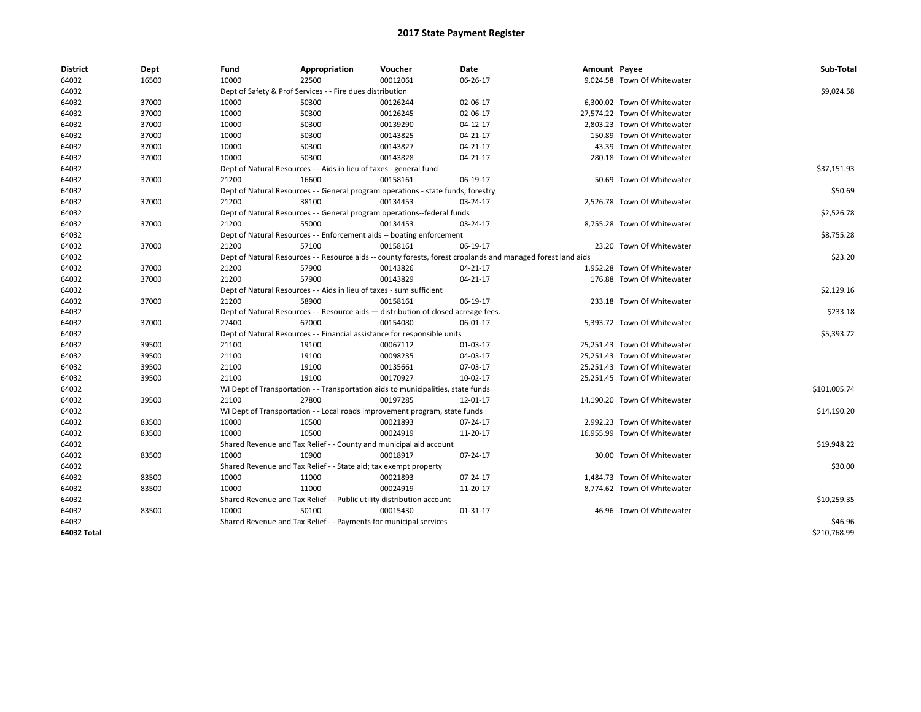| <b>District</b>    | Dept  | Fund  | Appropriation                                                         | Voucher                                                                            | Date                                                                                                         | Amount Payee |                              | Sub-Total    |
|--------------------|-------|-------|-----------------------------------------------------------------------|------------------------------------------------------------------------------------|--------------------------------------------------------------------------------------------------------------|--------------|------------------------------|--------------|
| 64032              | 16500 | 10000 | 22500                                                                 | 00012061                                                                           | 06-26-17                                                                                                     |              | 9,024.58 Town Of Whitewater  |              |
| 64032              |       |       | Dept of Safety & Prof Services - - Fire dues distribution             |                                                                                    |                                                                                                              |              |                              | \$9,024.58   |
| 64032              | 37000 | 10000 | 50300                                                                 | 00126244                                                                           | 02-06-17                                                                                                     |              | 6,300.02 Town Of Whitewater  |              |
| 64032              | 37000 | 10000 | 50300                                                                 | 00126245                                                                           | 02-06-17                                                                                                     |              | 27,574.22 Town Of Whitewater |              |
| 64032              | 37000 | 10000 | 50300                                                                 | 00139290                                                                           | $04-12-17$                                                                                                   |              | 2,803.23 Town Of Whitewater  |              |
| 64032              | 37000 | 10000 | 50300                                                                 | 00143825                                                                           | 04-21-17                                                                                                     |              | 150.89 Town Of Whitewater    |              |
| 64032              | 37000 | 10000 | 50300                                                                 | 00143827                                                                           | 04-21-17                                                                                                     |              | 43.39 Town Of Whitewater     |              |
| 64032              | 37000 | 10000 | 50300                                                                 | 00143828                                                                           | 04-21-17                                                                                                     |              | 280.18 Town Of Whitewater    |              |
| 64032              |       |       | Dept of Natural Resources - - Aids in lieu of taxes - general fund    |                                                                                    |                                                                                                              |              |                              | \$37,151.93  |
| 64032              | 37000 | 21200 | 16600                                                                 | 00158161                                                                           | 06-19-17                                                                                                     |              | 50.69 Town Of Whitewater     |              |
| 64032              |       |       |                                                                       | Dept of Natural Resources - - General program operations - state funds; forestry   |                                                                                                              |              |                              | \$50.69      |
| 64032              | 37000 | 21200 | 38100                                                                 | 00134453                                                                           | 03-24-17                                                                                                     |              | 2,526.78 Town Of Whitewater  |              |
| 64032              |       |       |                                                                       | Dept of Natural Resources - - General program operations--federal funds            |                                                                                                              |              |                              | \$2,526.78   |
| 64032              | 37000 | 21200 | 55000                                                                 | 00134453                                                                           | 03-24-17                                                                                                     |              | 8,755.28 Town Of Whitewater  |              |
| 64032              |       |       |                                                                       | Dept of Natural Resources - - Enforcement aids -- boating enforcement              |                                                                                                              |              |                              | \$8,755.28   |
| 64032              | 37000 | 21200 | 57100                                                                 | 00158161                                                                           | 06-19-17                                                                                                     |              | 23.20 Town Of Whitewater     |              |
| 64032              |       |       |                                                                       |                                                                                    | Dept of Natural Resources - - Resource aids -- county forests, forest croplands and managed forest land aids |              |                              | \$23.20      |
| 64032              | 37000 | 21200 | 57900                                                                 | 00143826                                                                           | 04-21-17                                                                                                     |              | 1,952.28 Town Of Whitewater  |              |
| 64032              | 37000 | 21200 | 57900                                                                 | 00143829                                                                           | 04-21-17                                                                                                     |              | 176.88 Town Of Whitewater    |              |
| 64032              |       |       | Dept of Natural Resources - - Aids in lieu of taxes - sum sufficient  |                                                                                    |                                                                                                              |              |                              | \$2,129.16   |
| 64032              | 37000 | 21200 | 58900                                                                 | 00158161                                                                           | 06-19-17                                                                                                     |              | 233.18 Town Of Whitewater    |              |
| 64032              |       |       |                                                                       | Dept of Natural Resources - - Resource aids - distribution of closed acreage fees. |                                                                                                              |              |                              | \$233.18     |
| 64032              | 37000 | 27400 | 67000                                                                 | 00154080                                                                           | 06-01-17                                                                                                     |              | 5,393.72 Town Of Whitewater  |              |
| 64032              |       |       |                                                                       | Dept of Natural Resources - - Financial assistance for responsible units           |                                                                                                              |              |                              | \$5,393.72   |
| 64032              | 39500 | 21100 | 19100                                                                 | 00067112                                                                           | 01-03-17                                                                                                     |              | 25,251.43 Town Of Whitewater |              |
| 64032              | 39500 | 21100 | 19100                                                                 | 00098235                                                                           | 04-03-17                                                                                                     |              | 25,251.43 Town Of Whitewater |              |
| 64032              | 39500 | 21100 | 19100                                                                 | 00135661                                                                           | 07-03-17                                                                                                     |              | 25,251.43 Town Of Whitewater |              |
| 64032              | 39500 | 21100 | 19100                                                                 | 00170927                                                                           | 10-02-17                                                                                                     |              | 25,251.45 Town Of Whitewater |              |
| 64032              |       |       |                                                                       | WI Dept of Transportation - - Transportation aids to municipalities, state funds   |                                                                                                              |              |                              | \$101,005.74 |
| 64032              | 39500 | 21100 | 27800                                                                 | 00197285                                                                           | 12-01-17                                                                                                     |              | 14,190.20 Town Of Whitewater |              |
| 64032              |       |       |                                                                       | WI Dept of Transportation - - Local roads improvement program, state funds         |                                                                                                              |              |                              | \$14,190.20  |
| 64032              | 83500 | 10000 | 10500                                                                 | 00021893                                                                           | 07-24-17                                                                                                     |              | 2,992.23 Town Of Whitewater  |              |
| 64032              | 83500 | 10000 | 10500                                                                 | 00024919                                                                           | 11-20-17                                                                                                     |              | 16,955.99 Town Of Whitewater |              |
| 64032              |       |       |                                                                       | Shared Revenue and Tax Relief - - County and municipal aid account                 |                                                                                                              |              |                              | \$19,948.22  |
| 64032              | 83500 | 10000 | 10900                                                                 | 00018917                                                                           | 07-24-17                                                                                                     |              | 30.00 Town Of Whitewater     |              |
| 64032              |       |       | Shared Revenue and Tax Relief - - State aid; tax exempt property      |                                                                                    |                                                                                                              |              |                              | \$30.00      |
| 64032              | 83500 | 10000 | 11000                                                                 | 00021893                                                                           | 07-24-17                                                                                                     |              | 1,484.73 Town Of Whitewater  |              |
| 64032              | 83500 | 10000 | 11000                                                                 | 00024919                                                                           | 11-20-17                                                                                                     |              | 8,774.62 Town Of Whitewater  |              |
| 64032              |       |       | Shared Revenue and Tax Relief - - Public utility distribution account |                                                                                    |                                                                                                              |              |                              | \$10,259.35  |
| 64032              | 83500 | 10000 | 50100                                                                 | 00015430                                                                           | 01-31-17                                                                                                     |              | 46.96 Town Of Whitewater     |              |
| 64032              |       |       | Shared Revenue and Tax Relief - - Payments for municipal services     |                                                                                    |                                                                                                              |              |                              | \$46.96      |
| <b>64032 Total</b> |       |       |                                                                       |                                                                                    |                                                                                                              |              |                              | \$210,768.99 |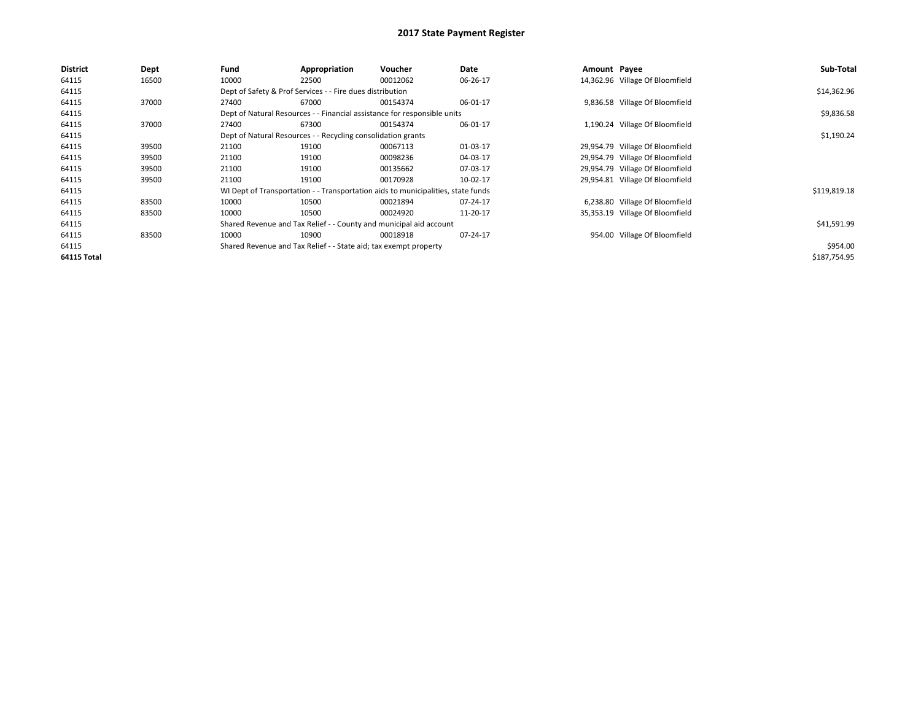| <b>District</b> | Dept  | Fund  | Appropriation                                                    | <b>Voucher</b>                                                                   | Date     | Amount Payee |                                 | Sub-Total    |
|-----------------|-------|-------|------------------------------------------------------------------|----------------------------------------------------------------------------------|----------|--------------|---------------------------------|--------------|
| 64115           | 16500 | 10000 | 22500                                                            | 00012062                                                                         | 06-26-17 |              | 14,362.96 Village Of Bloomfield |              |
| 64115           |       |       | Dept of Safety & Prof Services - - Fire dues distribution        |                                                                                  |          |              |                                 | \$14,362.96  |
| 64115           | 37000 | 27400 | 67000                                                            | 00154374                                                                         | 06-01-17 |              | 9,836.58 Village Of Bloomfield  |              |
| 64115           |       |       |                                                                  | Dept of Natural Resources - - Financial assistance for responsible units         |          |              |                                 | \$9,836.58   |
| 64115           | 37000 | 27400 | 67300                                                            | 00154374                                                                         | 06-01-17 |              | 1,190.24 Village Of Bloomfield  |              |
| 64115           |       |       | Dept of Natural Resources - - Recycling consolidation grants     |                                                                                  |          |              |                                 | \$1,190.24   |
| 64115           | 39500 | 21100 | 19100                                                            | 00067113                                                                         | 01-03-17 |              | 29,954.79 Village Of Bloomfield |              |
| 64115           | 39500 | 21100 | 19100                                                            | 00098236                                                                         | 04-03-17 |              | 29,954.79 Village Of Bloomfield |              |
| 64115           | 39500 | 21100 | 19100                                                            | 00135662                                                                         | 07-03-17 |              | 29,954.79 Village Of Bloomfield |              |
| 64115           | 39500 | 21100 | 19100                                                            | 00170928                                                                         | 10-02-17 |              | 29,954.81 Village Of Bloomfield |              |
| 64115           |       |       |                                                                  | WI Dept of Transportation - - Transportation aids to municipalities, state funds |          |              |                                 | \$119,819.18 |
| 64115           | 83500 | 10000 | 10500                                                            | 00021894                                                                         | 07-24-17 |              | 6,238.80 Village Of Bloomfield  |              |
| 64115           | 83500 | 10000 | 10500                                                            | 00024920                                                                         | 11-20-17 |              | 35,353.19 Village Of Bloomfield |              |
| 64115           |       |       |                                                                  | Shared Revenue and Tax Relief - - County and municipal aid account               |          |              |                                 | \$41,591.99  |
| 64115           | 83500 | 10000 | 10900                                                            | 00018918                                                                         | 07-24-17 |              | 954.00 Village Of Bloomfield    |              |
| 64115           |       |       | Shared Revenue and Tax Relief - - State aid; tax exempt property |                                                                                  |          |              |                                 | \$954.00     |
| 64115 Total     |       |       |                                                                  |                                                                                  |          |              |                                 | \$187,754.95 |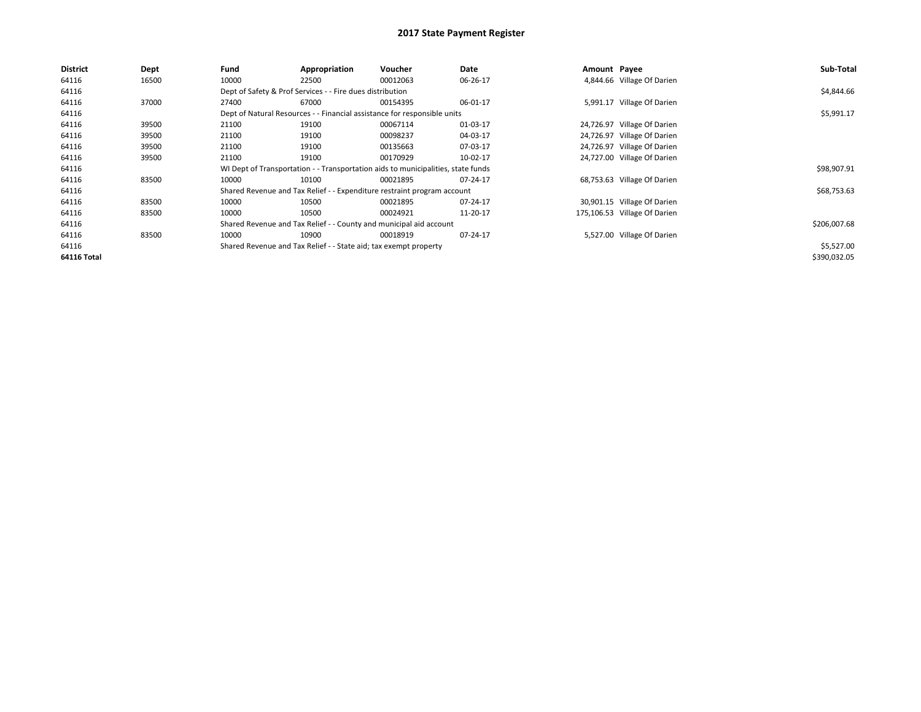| <b>District</b>    | Dept  | Fund  | Appropriation                                                    | <b>Voucher</b>                                                                   | Date     | Amount Payee |                              | Sub-Total    |
|--------------------|-------|-------|------------------------------------------------------------------|----------------------------------------------------------------------------------|----------|--------------|------------------------------|--------------|
| 64116              | 16500 | 10000 | 22500                                                            | 00012063                                                                         | 06-26-17 |              | 4,844.66 Village Of Darien   |              |
| 64116              |       |       | Dept of Safety & Prof Services - - Fire dues distribution        |                                                                                  |          |              |                              | \$4,844.66   |
| 64116              | 37000 | 27400 | 67000                                                            | 00154395                                                                         | 06-01-17 |              | 5,991.17 Village Of Darien   |              |
| 64116              |       |       |                                                                  | Dept of Natural Resources - - Financial assistance for responsible units         |          |              |                              | \$5,991.17   |
| 64116              | 39500 | 21100 | 19100                                                            | 00067114                                                                         | 01-03-17 |              | 24,726.97 Village Of Darien  |              |
| 64116              | 39500 | 21100 | 19100                                                            | 00098237                                                                         | 04-03-17 |              | 24,726.97 Village Of Darien  |              |
| 64116              | 39500 | 21100 | 19100                                                            | 00135663                                                                         | 07-03-17 |              | 24,726.97 Village Of Darien  |              |
| 64116              | 39500 | 21100 | 19100                                                            | 00170929                                                                         | 10-02-17 |              | 24,727.00 Village Of Darien  |              |
| 64116              |       |       |                                                                  | WI Dept of Transportation - - Transportation aids to municipalities, state funds |          |              |                              | \$98,907.91  |
| 64116              | 83500 | 10000 | 10100                                                            | 00021895                                                                         | 07-24-17 |              | 68,753.63 Village Of Darien  |              |
| 64116              |       |       |                                                                  | Shared Revenue and Tax Relief - - Expenditure restraint program account          |          |              |                              | \$68,753.63  |
| 64116              | 83500 | 10000 | 10500                                                            | 00021895                                                                         | 07-24-17 |              | 30,901.15 Village Of Darien  |              |
| 64116              | 83500 | 10000 | 10500                                                            | 00024921                                                                         | 11-20-17 |              | 175,106.53 Village Of Darien |              |
| 64116              |       |       |                                                                  | Shared Revenue and Tax Relief - - County and municipal aid account               |          |              |                              | \$206,007.68 |
| 64116              | 83500 | 10000 | 10900                                                            | 00018919                                                                         | 07-24-17 |              | 5,527.00 Village Of Darien   |              |
| 64116              |       |       | Shared Revenue and Tax Relief - - State aid; tax exempt property |                                                                                  |          |              |                              | \$5,527.00   |
| <b>64116 Total</b> |       |       |                                                                  |                                                                                  |          |              |                              | \$390,032.05 |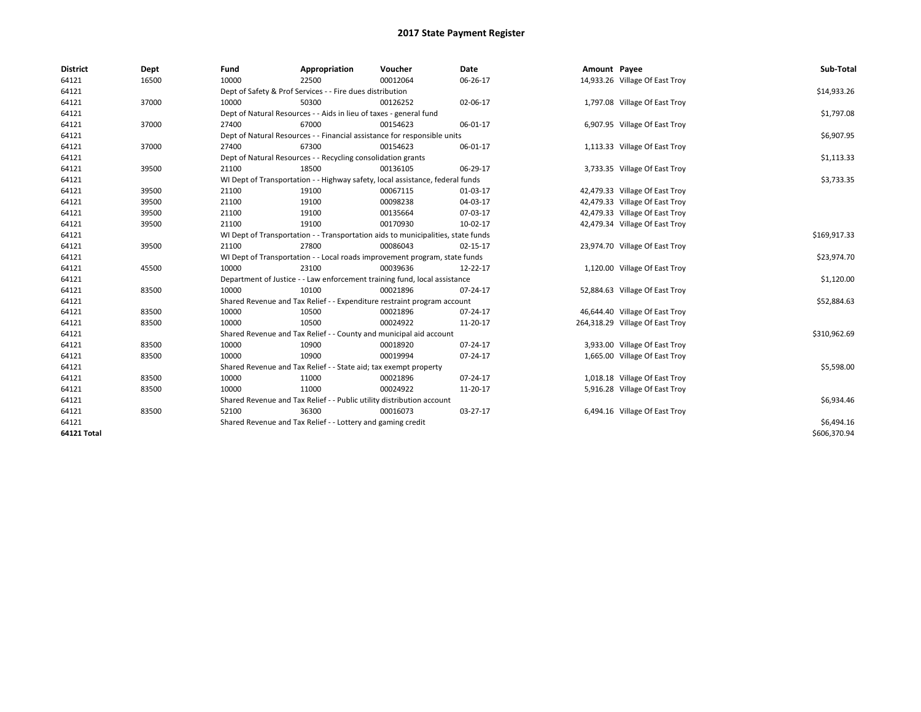| <b>District</b> | Dept  | Fund  | Appropriation                                                                    | Voucher  | <b>Date</b> | Amount Payee |                                 | Sub-Total    |
|-----------------|-------|-------|----------------------------------------------------------------------------------|----------|-------------|--------------|---------------------------------|--------------|
| 64121           | 16500 | 10000 | 22500                                                                            | 00012064 | 06-26-17    |              | 14,933.26 Village Of East Troy  |              |
| 64121           |       |       | Dept of Safety & Prof Services - - Fire dues distribution                        |          |             |              |                                 | \$14,933.26  |
| 64121           | 37000 | 10000 | 50300                                                                            | 00126252 | 02-06-17    |              | 1,797.08 Village Of East Troy   |              |
| 64121           |       |       | Dept of Natural Resources - - Aids in lieu of taxes - general fund               |          |             |              |                                 | \$1,797.08   |
| 64121           | 37000 | 27400 | 67000                                                                            | 00154623 | 06-01-17    |              | 6,907.95 Village Of East Troy   |              |
| 64121           |       |       | Dept of Natural Resources - - Financial assistance for responsible units         |          |             |              |                                 | \$6,907.95   |
| 64121           | 37000 | 27400 | 67300                                                                            | 00154623 | 06-01-17    |              | 1,113.33 Village Of East Troy   |              |
| 64121           |       |       | Dept of Natural Resources - - Recycling consolidation grants                     |          |             |              |                                 | \$1,113.33   |
| 64121           | 39500 | 21100 | 18500                                                                            | 00136105 | 06-29-17    |              | 3,733.35 Village Of East Troy   |              |
| 64121           |       |       | WI Dept of Transportation - - Highway safety, local assistance, federal funds    |          |             |              |                                 | \$3,733.35   |
| 64121           | 39500 | 21100 | 19100                                                                            | 00067115 | 01-03-17    |              | 42,479.33 Village Of East Troy  |              |
| 64121           | 39500 | 21100 | 19100                                                                            | 00098238 | 04-03-17    |              | 42,479.33 Village Of East Troy  |              |
| 64121           | 39500 | 21100 | 19100                                                                            | 00135664 | 07-03-17    |              | 42,479.33 Village Of East Troy  |              |
| 64121           | 39500 | 21100 | 19100                                                                            | 00170930 | 10-02-17    |              | 42,479.34 Village Of East Troy  |              |
| 64121           |       |       | WI Dept of Transportation - - Transportation aids to municipalities, state funds |          |             |              |                                 | \$169,917.33 |
| 64121           | 39500 | 21100 | 27800                                                                            | 00086043 | 02-15-17    |              | 23,974.70 Village Of East Troy  |              |
| 64121           |       |       | WI Dept of Transportation - - Local roads improvement program, state funds       |          |             |              |                                 | \$23,974.70  |
| 64121           | 45500 | 10000 | 23100                                                                            | 00039636 | 12-22-17    |              | 1,120.00 Village Of East Troy   |              |
| 64121           |       |       | Department of Justice - - Law enforcement training fund, local assistance        |          |             |              |                                 | \$1,120.00   |
| 64121           | 83500 | 10000 | 10100                                                                            | 00021896 | 07-24-17    |              | 52,884.63 Village Of East Troy  |              |
| 64121           |       |       | Shared Revenue and Tax Relief - - Expenditure restraint program account          |          |             |              |                                 | \$52,884.63  |
| 64121           | 83500 | 10000 | 10500                                                                            | 00021896 | 07-24-17    |              | 46,644.40 Village Of East Troy  |              |
| 64121           | 83500 | 10000 | 10500                                                                            | 00024922 | 11-20-17    |              | 264,318.29 Village Of East Troy |              |
| 64121           |       |       | Shared Revenue and Tax Relief - - County and municipal aid account               |          |             |              |                                 | \$310,962.69 |
| 64121           | 83500 | 10000 | 10900                                                                            | 00018920 | 07-24-17    |              | 3,933.00 Village Of East Troy   |              |
| 64121           | 83500 | 10000 | 10900                                                                            | 00019994 | 07-24-17    |              | 1,665.00 Village Of East Troy   |              |
| 64121           |       |       | Shared Revenue and Tax Relief - - State aid; tax exempt property                 |          |             |              |                                 | \$5,598.00   |
| 64121           | 83500 | 10000 | 11000                                                                            | 00021896 | 07-24-17    |              | 1,018.18 Village Of East Troy   |              |
| 64121           | 83500 | 10000 | 11000                                                                            | 00024922 | 11-20-17    |              | 5,916.28 Village Of East Troy   |              |
| 64121           |       |       | Shared Revenue and Tax Relief - - Public utility distribution account            |          |             |              |                                 | \$6,934.46   |
| 64121           | 83500 | 52100 | 36300                                                                            | 00016073 | 03-27-17    |              | 6,494.16 Village Of East Troy   |              |
| 64121           |       |       | Shared Revenue and Tax Relief - - Lottery and gaming credit                      |          |             |              |                                 | \$6,494.16   |
| 64121 Total     |       |       |                                                                                  |          |             |              |                                 | \$606,370.94 |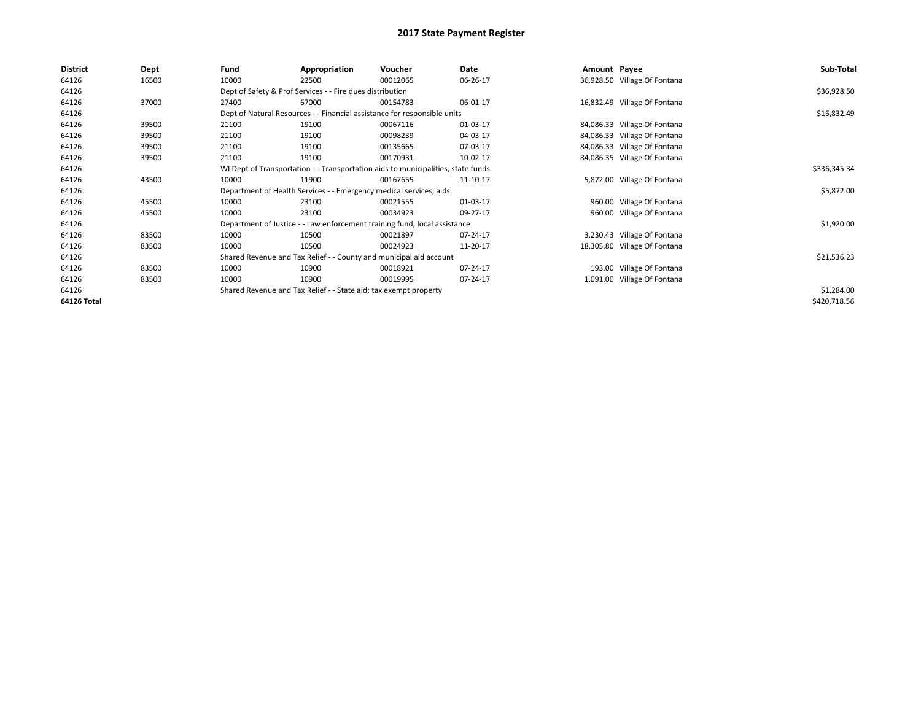| <b>District</b> | Dept  | Fund  | Appropriation                                                                    | Voucher  | Date     | Amount Payee |                              | Sub-Total    |
|-----------------|-------|-------|----------------------------------------------------------------------------------|----------|----------|--------------|------------------------------|--------------|
| 64126           | 16500 | 10000 | 22500                                                                            | 00012065 | 06-26-17 |              | 36,928.50 Village Of Fontana |              |
| 64126           |       |       | Dept of Safety & Prof Services - - Fire dues distribution                        |          |          |              |                              | \$36,928.50  |
| 64126           | 37000 | 27400 | 67000                                                                            | 00154783 | 06-01-17 |              | 16,832.49 Village Of Fontana |              |
| 64126           |       |       | Dept of Natural Resources - - Financial assistance for responsible units         |          |          |              |                              | \$16,832.49  |
| 64126           | 39500 | 21100 | 19100                                                                            | 00067116 | 01-03-17 |              | 84,086.33 Village Of Fontana |              |
| 64126           | 39500 | 21100 | 19100                                                                            | 00098239 | 04-03-17 |              | 84,086.33 Village Of Fontana |              |
| 64126           | 39500 | 21100 | 19100                                                                            | 00135665 | 07-03-17 |              | 84,086.33 Village Of Fontana |              |
| 64126           | 39500 | 21100 | 19100                                                                            | 00170931 | 10-02-17 |              | 84,086.35 Village Of Fontana |              |
| 64126           |       |       | WI Dept of Transportation - - Transportation aids to municipalities, state funds |          |          |              |                              | \$336,345.34 |
| 64126           | 43500 | 10000 | 11900                                                                            | 00167655 | 11-10-17 |              | 5,872.00 Village Of Fontana  |              |
| 64126           |       |       | Department of Health Services - - Emergency medical services; aids               |          |          |              |                              | \$5,872.00   |
| 64126           | 45500 | 10000 | 23100                                                                            | 00021555 | 01-03-17 |              | 960.00 Village Of Fontana    |              |
| 64126           | 45500 | 10000 | 23100                                                                            | 00034923 | 09-27-17 |              | 960.00 Village Of Fontana    |              |
| 64126           |       |       | Department of Justice - - Law enforcement training fund, local assistance        |          |          |              |                              | \$1,920.00   |
| 64126           | 83500 | 10000 | 10500                                                                            | 00021897 | 07-24-17 |              | 3,230.43 Village Of Fontana  |              |
| 64126           | 83500 | 10000 | 10500                                                                            | 00024923 | 11-20-17 |              | 18,305.80 Village Of Fontana |              |
| 64126           |       |       | Shared Revenue and Tax Relief - - County and municipal aid account               |          |          |              |                              | \$21,536.23  |
| 64126           | 83500 | 10000 | 10900                                                                            | 00018921 | 07-24-17 |              | 193.00 Village Of Fontana    |              |
| 64126           | 83500 | 10000 | 10900                                                                            | 00019995 | 07-24-17 |              | 1,091.00 Village Of Fontana  |              |
| 64126           |       |       | Shared Revenue and Tax Relief - - State aid; tax exempt property                 |          |          |              |                              | \$1,284.00   |
| 64126 Total     |       |       |                                                                                  |          |          |              |                              | \$420,718.56 |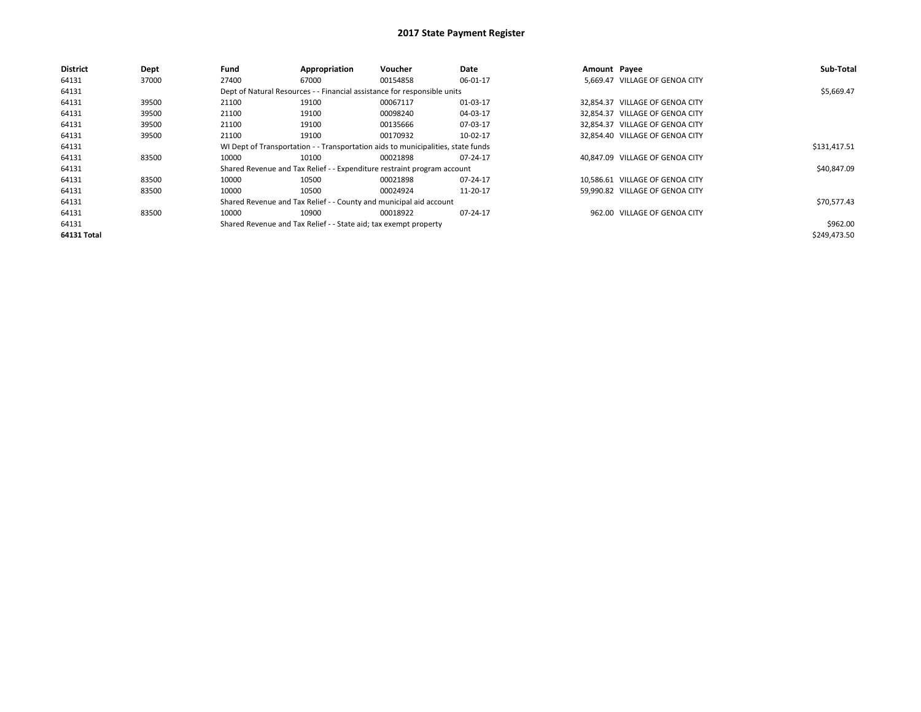| <b>District</b> | Dept  | Fund  | Appropriation                                                                    | Voucher  | Date     | Amount Payee |                                 | Sub-Total    |
|-----------------|-------|-------|----------------------------------------------------------------------------------|----------|----------|--------------|---------------------------------|--------------|
| 64131           | 37000 | 27400 | 67000                                                                            | 00154858 | 06-01-17 |              | 5.669.47 VILLAGE OF GENOA CITY  |              |
| 64131           |       |       | Dept of Natural Resources - - Financial assistance for responsible units         |          |          |              |                                 | \$5,669.47   |
| 64131           | 39500 | 21100 | 19100                                                                            | 00067117 | 01-03-17 |              | 32,854.37 VILLAGE OF GENOA CITY |              |
| 64131           | 39500 | 21100 | 19100                                                                            | 00098240 | 04-03-17 |              | 32.854.37 VILLAGE OF GENOA CITY |              |
| 64131           | 39500 | 21100 | 19100                                                                            | 00135666 | 07-03-17 |              | 32.854.37 VILLAGE OF GENOA CITY |              |
| 64131           | 39500 | 21100 | 19100                                                                            | 00170932 | 10-02-17 |              | 32.854.40 VILLAGE OF GENOA CITY |              |
| 64131           |       |       | WI Dept of Transportation - - Transportation aids to municipalities, state funds |          |          |              |                                 | \$131,417.51 |
| 64131           | 83500 | 10000 | 10100                                                                            | 00021898 | 07-24-17 |              | 40.847.09 VILLAGE OF GENOA CITY |              |
| 64131           |       |       | Shared Revenue and Tax Relief - - Expenditure restraint program account          |          |          |              |                                 | \$40,847.09  |
| 64131           | 83500 | 10000 | 10500                                                                            | 00021898 | 07-24-17 |              | 10,586.61 VILLAGE OF GENOA CITY |              |
| 64131           | 83500 | 10000 | 10500                                                                            | 00024924 | 11-20-17 |              | 59.990.82 VILLAGE OF GENOA CITY |              |
| 64131           |       |       | Shared Revenue and Tax Relief - - County and municipal aid account               |          |          |              |                                 | \$70,577.43  |
| 64131           | 83500 | 10000 | 10900                                                                            | 00018922 | 07-24-17 |              | 962.00 VILLAGE OF GENOA CITY    |              |
| 64131           |       |       | Shared Revenue and Tax Relief - - State aid; tax exempt property                 |          |          |              |                                 | \$962.00     |
| 64131 Total     |       |       |                                                                                  |          |          |              |                                 | \$249.473.50 |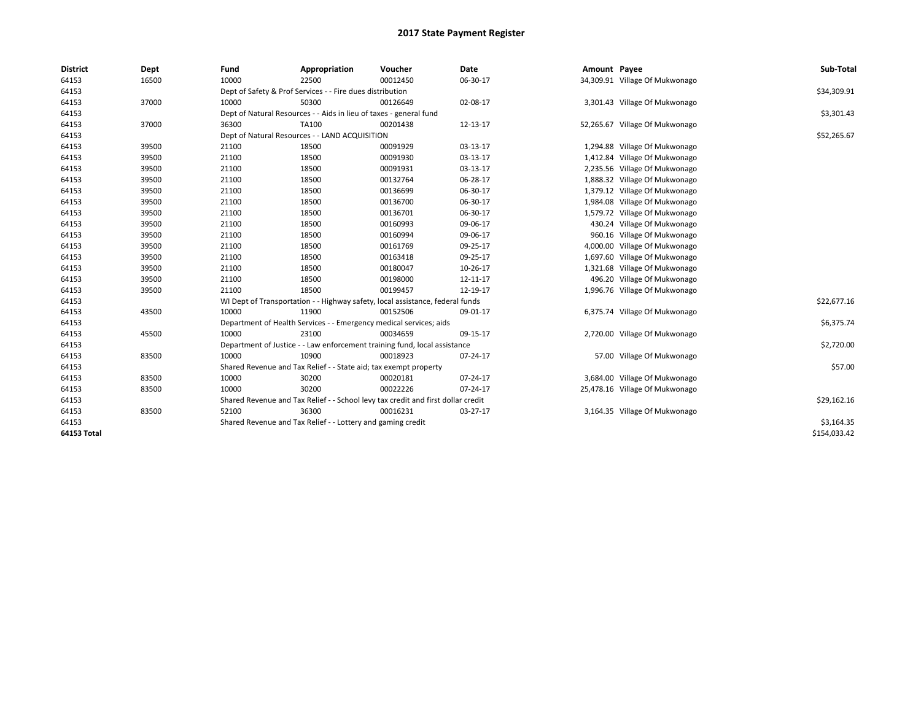| <b>District</b> | Dept  | Fund  | Appropriation                                                                    | Voucher  | Date     | Amount Payee |                                | Sub-Total    |
|-----------------|-------|-------|----------------------------------------------------------------------------------|----------|----------|--------------|--------------------------------|--------------|
| 64153           | 16500 | 10000 | 22500                                                                            | 00012450 | 06-30-17 |              | 34,309.91 Village Of Mukwonago |              |
| 64153           |       |       | Dept of Safety & Prof Services - - Fire dues distribution                        |          |          |              |                                | \$34,309.91  |
| 64153           | 37000 | 10000 | 50300                                                                            | 00126649 | 02-08-17 |              | 3,301.43 Village Of Mukwonago  |              |
| 64153           |       |       | Dept of Natural Resources - - Aids in lieu of taxes - general fund               |          |          |              |                                | \$3,301.43   |
| 64153           | 37000 | 36300 | TA100                                                                            | 00201438 | 12-13-17 |              | 52,265.67 Village Of Mukwonago |              |
| 64153           |       |       | Dept of Natural Resources - - LAND ACQUISITION                                   |          |          |              |                                | \$52,265.67  |
| 64153           | 39500 | 21100 | 18500                                                                            | 00091929 | 03-13-17 |              | 1,294.88 Village Of Mukwonago  |              |
| 64153           | 39500 | 21100 | 18500                                                                            | 00091930 | 03-13-17 |              | 1,412.84 Village Of Mukwonago  |              |
| 64153           | 39500 | 21100 | 18500                                                                            | 00091931 | 03-13-17 |              | 2,235.56 Village Of Mukwonago  |              |
| 64153           | 39500 | 21100 | 18500                                                                            | 00132764 | 06-28-17 |              | 1,888.32 Village Of Mukwonago  |              |
| 64153           | 39500 | 21100 | 18500                                                                            | 00136699 | 06-30-17 |              | 1,379.12 Village Of Mukwonago  |              |
| 64153           | 39500 | 21100 | 18500                                                                            | 00136700 | 06-30-17 |              | 1,984.08 Village Of Mukwonago  |              |
| 64153           | 39500 | 21100 | 18500                                                                            | 00136701 | 06-30-17 |              | 1,579.72 Village Of Mukwonago  |              |
| 64153           | 39500 | 21100 | 18500                                                                            | 00160993 | 09-06-17 |              | 430.24 Village Of Mukwonago    |              |
| 64153           | 39500 | 21100 | 18500                                                                            | 00160994 | 09-06-17 |              | 960.16 Village Of Mukwonago    |              |
| 64153           | 39500 | 21100 | 18500                                                                            | 00161769 | 09-25-17 |              | 4,000.00 Village Of Mukwonago  |              |
| 64153           | 39500 | 21100 | 18500                                                                            | 00163418 | 09-25-17 |              | 1,697.60 Village Of Mukwonago  |              |
| 64153           | 39500 | 21100 | 18500                                                                            | 00180047 | 10-26-17 |              | 1,321.68 Village Of Mukwonago  |              |
| 64153           | 39500 | 21100 | 18500                                                                            | 00198000 | 12-11-17 |              | 496.20 Village Of Mukwonago    |              |
| 64153           | 39500 | 21100 | 18500                                                                            | 00199457 | 12-19-17 |              | 1,996.76 Village Of Mukwonago  |              |
| 64153           |       |       | WI Dept of Transportation - - Highway safety, local assistance, federal funds    |          |          |              |                                | \$22,677.16  |
| 64153           | 43500 | 10000 | 11900                                                                            | 00152506 | 09-01-17 |              | 6,375.74 Village Of Mukwonago  |              |
| 64153           |       |       | Department of Health Services - - Emergency medical services; aids               |          |          |              |                                | \$6,375.74   |
| 64153           | 45500 | 10000 | 23100                                                                            | 00034659 | 09-15-17 |              | 2,720.00 Village Of Mukwonago  |              |
| 64153           |       |       | Department of Justice - - Law enforcement training fund, local assistance        |          |          |              |                                | \$2,720.00   |
| 64153           | 83500 | 10000 | 10900                                                                            | 00018923 | 07-24-17 |              | 57.00 Village Of Mukwonago     |              |
| 64153           |       |       | Shared Revenue and Tax Relief - - State aid; tax exempt property                 |          |          |              |                                | \$57.00      |
| 64153           | 83500 | 10000 | 30200                                                                            | 00020181 | 07-24-17 |              | 3,684.00 Village Of Mukwonago  |              |
| 64153           | 83500 | 10000 | 30200                                                                            | 00022226 | 07-24-17 |              | 25,478.16 Village Of Mukwonago |              |
| 64153           |       |       | Shared Revenue and Tax Relief - - School levy tax credit and first dollar credit |          |          |              |                                | \$29,162.16  |
| 64153           | 83500 | 52100 | 36300                                                                            | 00016231 | 03-27-17 |              | 3,164.35 Village Of Mukwonago  |              |
| 64153           |       |       | Shared Revenue and Tax Relief - - Lottery and gaming credit                      |          |          |              |                                | \$3,164.35   |
| 64153 Total     |       |       |                                                                                  |          |          |              |                                | \$154,033.42 |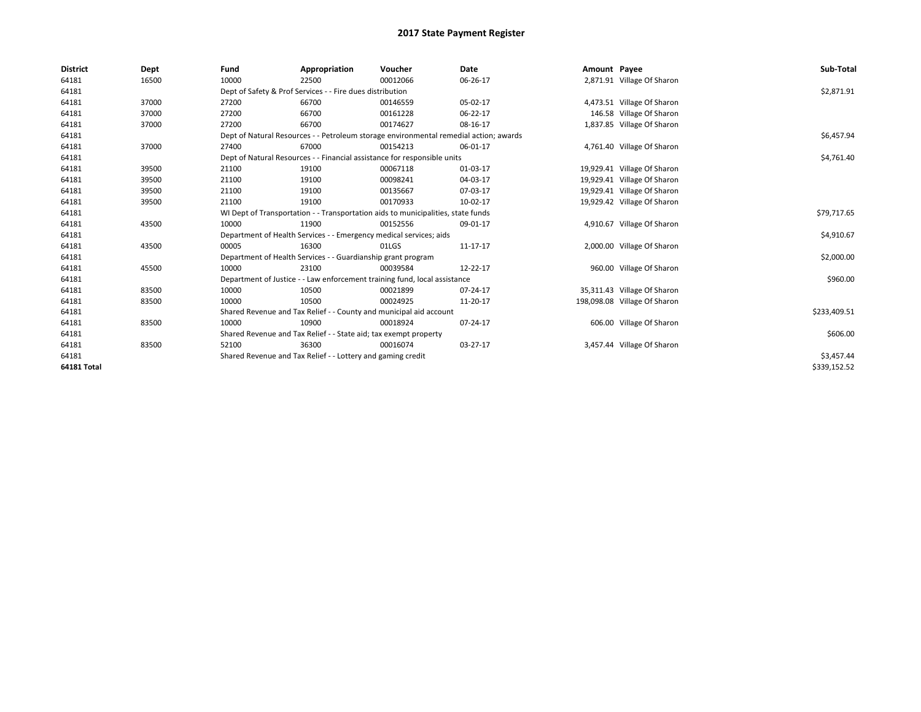| <b>District</b>    | Dept  | Fund                                                        | Appropriation                                                                         | Voucher    | Date     | Amount Payee |                              | Sub-Total    |
|--------------------|-------|-------------------------------------------------------------|---------------------------------------------------------------------------------------|------------|----------|--------------|------------------------------|--------------|
| 64181              | 16500 | 10000                                                       | 22500                                                                                 | 00012066   | 06-26-17 |              | 2,871.91 Village Of Sharon   |              |
| 64181              |       |                                                             | Dept of Safety & Prof Services - - Fire dues distribution                             |            |          |              |                              | \$2,871.91   |
| 64181              | 37000 | 27200                                                       | 66700                                                                                 | 00146559   | 05-02-17 |              | 4,473.51 Village Of Sharon   |              |
| 64181              | 37000 | 27200                                                       | 66700                                                                                 | 00161228   | 06-22-17 |              | 146.58 Village Of Sharon     |              |
| 64181              | 37000 | 27200                                                       | 66700                                                                                 | 00174627   | 08-16-17 |              | 1,837.85 Village Of Sharon   |              |
| 64181              |       |                                                             | Dept of Natural Resources - - Petroleum storage environmental remedial action; awards |            |          |              |                              | \$6,457.94   |
| 64181              | 37000 | 27400                                                       | 67000                                                                                 | 00154213   | 06-01-17 |              | 4,761.40 Village Of Sharon   |              |
| 64181              |       |                                                             | Dept of Natural Resources - - Financial assistance for responsible units              |            |          |              |                              | \$4,761.40   |
| 64181              | 39500 | 21100                                                       | 19100                                                                                 | 00067118   | 01-03-17 |              | 19,929.41 Village Of Sharon  |              |
| 64181              | 39500 | 21100                                                       | 19100                                                                                 | 00098241   | 04-03-17 |              | 19,929.41 Village Of Sharon  |              |
| 64181              | 39500 | 21100                                                       | 19100                                                                                 | 00135667   | 07-03-17 |              | 19,929.41 Village Of Sharon  |              |
| 64181              | 39500 | 21100                                                       | 19100                                                                                 | 00170933   | 10-02-17 |              | 19,929.42 Village Of Sharon  |              |
| 64181              |       |                                                             | WI Dept of Transportation - - Transportation aids to municipalities, state funds      |            |          |              |                              | \$79,717.65  |
| 64181              | 43500 | 10000                                                       | 11900                                                                                 | 00152556   | 09-01-17 |              | 4,910.67 Village Of Sharon   |              |
| 64181              |       |                                                             | Department of Health Services - - Emergency medical services; aids                    |            |          |              |                              | \$4,910.67   |
| 64181              | 43500 | 00005                                                       | 16300                                                                                 | 01LGS      | 11-17-17 |              | 2,000.00 Village Of Sharon   |              |
| 64181              |       |                                                             | Department of Health Services - - Guardianship grant program                          |            |          |              |                              | \$2,000.00   |
| 64181              | 45500 | 10000                                                       | 23100                                                                                 | 00039584   | 12-22-17 |              | 960.00 Village Of Sharon     |              |
| 64181              |       |                                                             | Department of Justice - - Law enforcement training fund, local assistance             |            |          |              |                              | \$960.00     |
| 64181              | 83500 | 10000                                                       | 10500                                                                                 | 00021899   | 07-24-17 |              | 35,311.43 Village Of Sharon  |              |
| 64181              | 83500 | 10000                                                       | 10500                                                                                 | 00024925   | 11-20-17 |              | 198,098.08 Village Of Sharon |              |
| 64181              |       |                                                             | Shared Revenue and Tax Relief - - County and municipal aid account                    |            |          |              |                              | \$233,409.51 |
| 64181              | 83500 | 10000                                                       | 10900                                                                                 | 00018924   | 07-24-17 |              | 606.00 Village Of Sharon     |              |
| 64181              |       |                                                             | Shared Revenue and Tax Relief - - State aid; tax exempt property                      |            |          |              |                              | \$606.00     |
| 64181              | 83500 | 52100                                                       | 36300                                                                                 | 00016074   | 03-27-17 |              | 3,457.44 Village Of Sharon   |              |
| 64181              |       | Shared Revenue and Tax Relief - - Lottery and gaming credit |                                                                                       | \$3,457.44 |          |              |                              |              |
| <b>64181 Total</b> |       |                                                             |                                                                                       |            |          |              |                              | \$339,152.52 |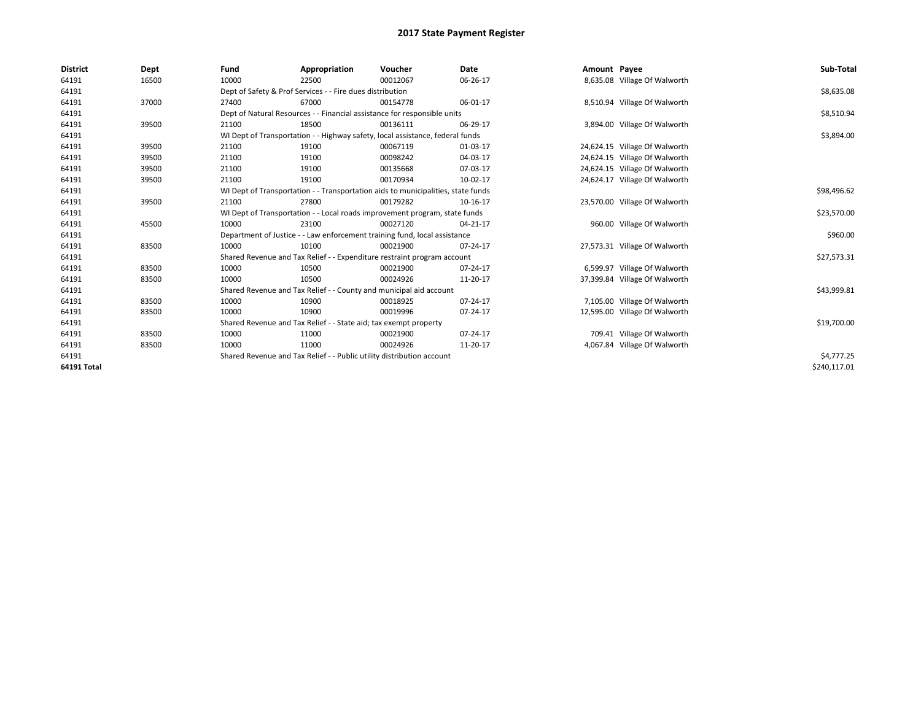| <b>District</b>    | Dept  | Fund  | Appropriation                                                                    | Voucher  | <b>Date</b> | Amount Payee |                               | Sub-Total    |
|--------------------|-------|-------|----------------------------------------------------------------------------------|----------|-------------|--------------|-------------------------------|--------------|
| 64191              | 16500 | 10000 | 22500                                                                            | 00012067 | 06-26-17    |              | 8,635.08 Village Of Walworth  |              |
| 64191              |       |       | Dept of Safety & Prof Services - - Fire dues distribution                        |          |             |              |                               | \$8,635.08   |
| 64191              | 37000 | 27400 | 67000                                                                            | 00154778 | 06-01-17    |              | 8,510.94 Village Of Walworth  |              |
| 64191              |       |       | Dept of Natural Resources - - Financial assistance for responsible units         |          |             |              |                               | \$8,510.94   |
| 64191              | 39500 | 21100 | 18500                                                                            | 00136111 | 06-29-17    |              | 3,894.00 Village Of Walworth  |              |
| 64191              |       |       | WI Dept of Transportation - - Highway safety, local assistance, federal funds    |          |             |              |                               | \$3,894.00   |
| 64191              | 39500 | 21100 | 19100                                                                            | 00067119 | 01-03-17    |              | 24,624.15 Village Of Walworth |              |
| 64191              | 39500 | 21100 | 19100                                                                            | 00098242 | 04-03-17    |              | 24,624.15 Village Of Walworth |              |
| 64191              | 39500 | 21100 | 19100                                                                            | 00135668 | 07-03-17    |              | 24,624.15 Village Of Walworth |              |
| 64191              | 39500 | 21100 | 19100                                                                            | 00170934 | 10-02-17    |              | 24,624.17 Village Of Walworth |              |
| 64191              |       |       | WI Dept of Transportation - - Transportation aids to municipalities, state funds |          |             |              |                               | \$98,496.62  |
| 64191              | 39500 | 21100 | 27800                                                                            | 00179282 | 10-16-17    |              | 23,570.00 Village Of Walworth |              |
| 64191              |       |       | WI Dept of Transportation - - Local roads improvement program, state funds       |          |             |              |                               | \$23,570.00  |
| 64191              | 45500 | 10000 | 23100                                                                            | 00027120 | 04-21-17    |              | 960.00 Village Of Walworth    |              |
| 64191              |       |       | Department of Justice - - Law enforcement training fund, local assistance        |          |             |              |                               | \$960.00     |
| 64191              | 83500 | 10000 | 10100                                                                            | 00021900 | 07-24-17    |              | 27,573.31 Village Of Walworth |              |
| 64191              |       |       | Shared Revenue and Tax Relief - - Expenditure restraint program account          |          |             |              |                               | \$27,573.31  |
| 64191              | 83500 | 10000 | 10500                                                                            | 00021900 | 07-24-17    |              | 6,599.97 Village Of Walworth  |              |
| 64191              | 83500 | 10000 | 10500                                                                            | 00024926 | 11-20-17    |              | 37,399.84 Village Of Walworth |              |
| 64191              |       |       | Shared Revenue and Tax Relief - - County and municipal aid account               |          |             |              |                               | \$43,999.81  |
| 64191              | 83500 | 10000 | 10900                                                                            | 00018925 | 07-24-17    |              | 7,105.00 Village Of Walworth  |              |
| 64191              | 83500 | 10000 | 10900                                                                            | 00019996 | 07-24-17    |              | 12,595.00 Village Of Walworth |              |
| 64191              |       |       | Shared Revenue and Tax Relief - - State aid; tax exempt property                 |          |             |              |                               | \$19,700.00  |
| 64191              | 83500 | 10000 | 11000                                                                            | 00021900 | 07-24-17    |              | 709.41 Village Of Walworth    |              |
| 64191              | 83500 | 10000 | 11000                                                                            | 00024926 | 11-20-17    |              | 4,067.84 Village Of Walworth  |              |
| 64191              |       |       | Shared Revenue and Tax Relief - - Public utility distribution account            |          |             |              |                               | \$4,777.25   |
| <b>64191 Total</b> |       |       |                                                                                  |          |             |              |                               | \$240,117.01 |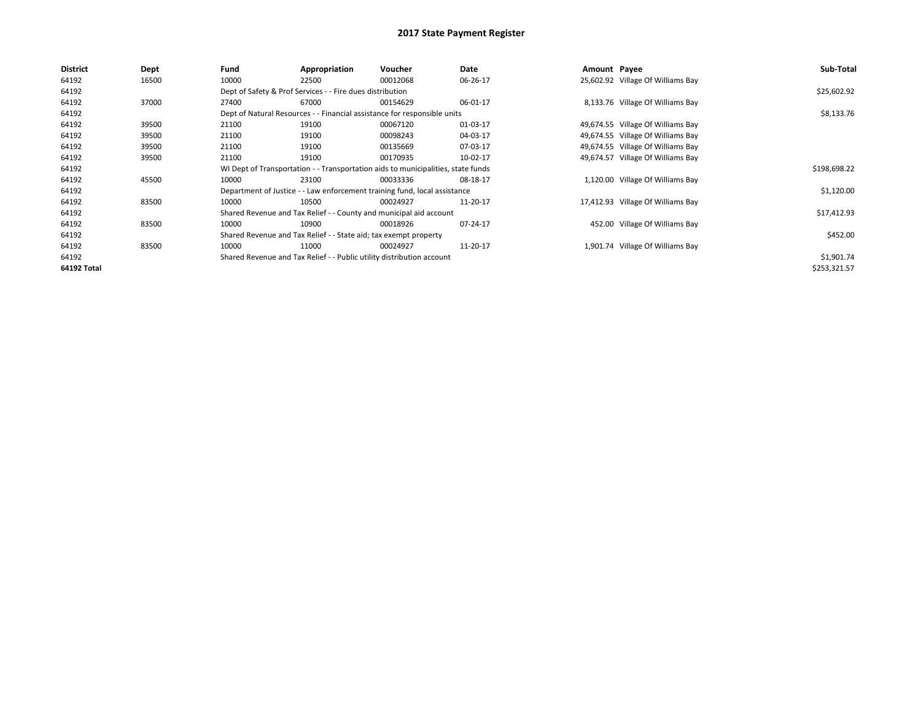| <b>District</b>    | Dept  | Fund                                                                     | Appropriation                                                    | Voucher                                                                          | Date     | Amount Payee |                                   | Sub-Total    |
|--------------------|-------|--------------------------------------------------------------------------|------------------------------------------------------------------|----------------------------------------------------------------------------------|----------|--------------|-----------------------------------|--------------|
| 64192              | 16500 | 10000                                                                    | 22500                                                            | 00012068                                                                         | 06-26-17 |              | 25,602.92 Village Of Williams Bay |              |
| 64192              |       |                                                                          | Dept of Safety & Prof Services - - Fire dues distribution        |                                                                                  |          |              |                                   | \$25,602.92  |
| 64192              | 37000 | 27400                                                                    | 67000                                                            | 00154629                                                                         | 06-01-17 |              | 8,133.76 Village Of Williams Bay  |              |
| 64192              |       | Dept of Natural Resources - - Financial assistance for responsible units |                                                                  | \$8,133.76                                                                       |          |              |                                   |              |
| 64192              | 39500 | 21100                                                                    | 19100                                                            | 00067120                                                                         | 01-03-17 |              | 49,674.55 Village Of Williams Bay |              |
| 64192              | 39500 | 21100                                                                    | 19100                                                            | 00098243                                                                         | 04-03-17 |              | 49,674.55 Village Of Williams Bay |              |
| 64192              | 39500 | 21100                                                                    | 19100                                                            | 00135669                                                                         | 07-03-17 |              | 49,674.55 Village Of Williams Bay |              |
| 64192              | 39500 | 21100                                                                    | 19100                                                            | 00170935                                                                         | 10-02-17 |              | 49,674.57 Village Of Williams Bay |              |
| 64192              |       |                                                                          |                                                                  | WI Dept of Transportation - - Transportation aids to municipalities, state funds |          |              |                                   | \$198,698.22 |
| 64192              | 45500 | 10000                                                                    | 23100                                                            | 00033336                                                                         | 08-18-17 |              | 1,120.00 Village Of Williams Bay  |              |
| 64192              |       |                                                                          |                                                                  | Department of Justice - - Law enforcement training fund, local assistance        |          |              |                                   | \$1,120.00   |
| 64192              | 83500 | 10000                                                                    | 10500                                                            | 00024927                                                                         | 11-20-17 |              | 17,412.93 Village Of Williams Bay |              |
| 64192              |       |                                                                          |                                                                  | Shared Revenue and Tax Relief - - County and municipal aid account               |          |              |                                   | \$17,412.93  |
| 64192              | 83500 | 10000                                                                    | 10900                                                            | 00018926                                                                         | 07-24-17 |              | 452.00 Village Of Williams Bay    |              |
| 64192              |       |                                                                          | Shared Revenue and Tax Relief - - State aid; tax exempt property |                                                                                  |          |              |                                   | \$452.00     |
| 64192              | 83500 | 10000                                                                    | 11000                                                            | 00024927                                                                         | 11-20-17 |              | 1,901.74 Village Of Williams Bay  |              |
| 64192              |       | Shared Revenue and Tax Relief - - Public utility distribution account    |                                                                  | \$1,901.74                                                                       |          |              |                                   |              |
| <b>64192 Total</b> |       |                                                                          |                                                                  |                                                                                  |          |              |                                   | \$253,321.57 |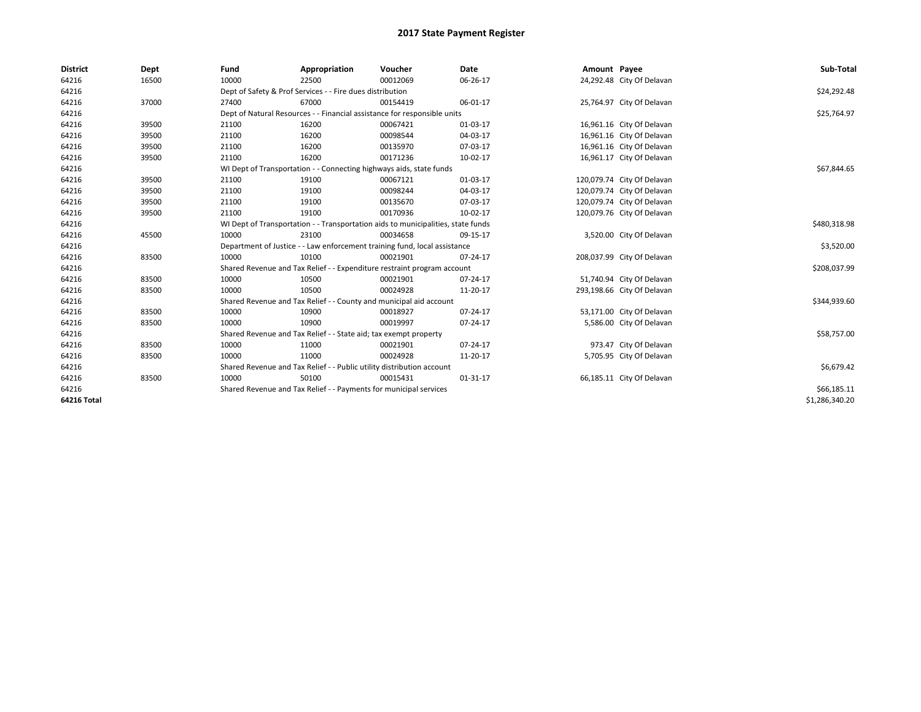| <b>District</b> | Dept  | Fund  | Appropriation                                                         | Voucher                                                                          | Date     | Amount Payee |                            | Sub-Total      |
|-----------------|-------|-------|-----------------------------------------------------------------------|----------------------------------------------------------------------------------|----------|--------------|----------------------------|----------------|
| 64216           | 16500 | 10000 | 22500                                                                 | 00012069                                                                         | 06-26-17 |              | 24,292.48 City Of Delavan  |                |
| 64216           |       |       | Dept of Safety & Prof Services - - Fire dues distribution             |                                                                                  |          |              |                            | \$24,292.48    |
| 64216           | 37000 | 27400 | 67000                                                                 | 00154419                                                                         | 06-01-17 |              | 25,764.97 City Of Delavan  |                |
| 64216           |       |       |                                                                       | Dept of Natural Resources - - Financial assistance for responsible units         |          |              |                            | \$25,764.97    |
| 64216           | 39500 | 21100 | 16200                                                                 | 00067421                                                                         | 01-03-17 |              | 16,961.16 City Of Delavan  |                |
| 64216           | 39500 | 21100 | 16200                                                                 | 00098544                                                                         | 04-03-17 |              | 16,961.16 City Of Delavan  |                |
| 64216           | 39500 | 21100 | 16200                                                                 | 00135970                                                                         | 07-03-17 |              | 16,961.16 City Of Delavan  |                |
| 64216           | 39500 | 21100 | 16200                                                                 | 00171236                                                                         | 10-02-17 |              | 16,961.17 City Of Delavan  |                |
| 64216           |       |       | WI Dept of Transportation - - Connecting highways aids, state funds   |                                                                                  |          |              |                            | \$67,844.65    |
| 64216           | 39500 | 21100 | 19100                                                                 | 00067121                                                                         | 01-03-17 |              | 120,079.74 City Of Delavan |                |
| 64216           | 39500 | 21100 | 19100                                                                 | 00098244                                                                         | 04-03-17 |              | 120,079.74 City Of Delavan |                |
| 64216           | 39500 | 21100 | 19100                                                                 | 00135670                                                                         | 07-03-17 |              | 120,079.74 City Of Delavan |                |
| 64216           | 39500 | 21100 | 19100                                                                 | 00170936                                                                         | 10-02-17 |              | 120,079.76 City Of Delavan |                |
| 64216           |       |       |                                                                       | WI Dept of Transportation - - Transportation aids to municipalities, state funds |          |              |                            | \$480,318.98   |
| 64216           | 45500 | 10000 | 23100                                                                 | 00034658                                                                         | 09-15-17 |              | 3,520.00 City Of Delavan   |                |
| 64216           |       |       |                                                                       | Department of Justice - - Law enforcement training fund, local assistance        |          |              |                            | \$3,520.00     |
| 64216           | 83500 | 10000 | 10100                                                                 | 00021901                                                                         | 07-24-17 |              | 208,037.99 City Of Delavan |                |
| 64216           |       |       |                                                                       | Shared Revenue and Tax Relief - - Expenditure restraint program account          |          |              |                            | \$208,037.99   |
| 64216           | 83500 | 10000 | 10500                                                                 | 00021901                                                                         | 07-24-17 |              | 51,740.94 City Of Delavan  |                |
| 64216           | 83500 | 10000 | 10500                                                                 | 00024928                                                                         | 11-20-17 |              | 293,198.66 City Of Delavan |                |
| 64216           |       |       |                                                                       | Shared Revenue and Tax Relief - - County and municipal aid account               |          |              |                            | \$344,939.60   |
| 64216           | 83500 | 10000 | 10900                                                                 | 00018927                                                                         | 07-24-17 |              | 53,171.00 City Of Delavan  |                |
| 64216           | 83500 | 10000 | 10900                                                                 | 00019997                                                                         | 07-24-17 |              | 5,586.00 City Of Delavan   |                |
| 64216           |       |       | Shared Revenue and Tax Relief - - State aid; tax exempt property      |                                                                                  |          |              |                            | \$58,757.00    |
| 64216           | 83500 | 10000 | 11000                                                                 | 00021901                                                                         | 07-24-17 |              | 973.47 City Of Delavan     |                |
| 64216           | 83500 | 10000 | 11000                                                                 | 00024928                                                                         | 11-20-17 |              | 5,705.95 City Of Delavan   |                |
| 64216           |       |       | Shared Revenue and Tax Relief - - Public utility distribution account |                                                                                  |          |              |                            | \$6,679.42     |
| 64216           | 83500 | 10000 | 50100                                                                 | 00015431                                                                         | 01-31-17 |              | 66,185.11 City Of Delavan  |                |
| 64216           |       |       | Shared Revenue and Tax Relief - - Payments for municipal services     |                                                                                  |          |              |                            | \$66,185.11    |
| 64216 Total     |       |       |                                                                       |                                                                                  |          |              |                            | \$1,286,340.20 |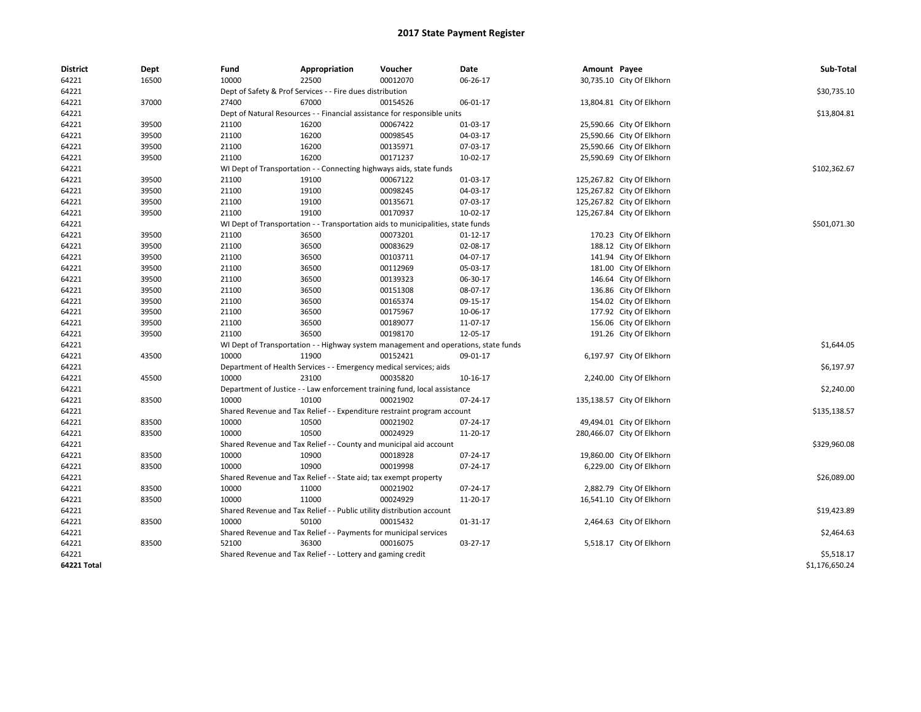| <b>District</b> | Dept  | Fund  | <b>Appropriation</b>                                                                | Voucher  | Date     | Amount Payee |                            | Sub-Total      |
|-----------------|-------|-------|-------------------------------------------------------------------------------------|----------|----------|--------------|----------------------------|----------------|
| 64221           | 16500 | 10000 | 22500                                                                               | 00012070 | 06-26-17 |              | 30,735.10 City Of Elkhorn  |                |
| 64221           |       |       | Dept of Safety & Prof Services - - Fire dues distribution                           |          |          |              |                            | \$30,735.10    |
| 64221           | 37000 | 27400 | 67000                                                                               | 00154526 | 06-01-17 |              | 13,804.81 City Of Elkhorn  |                |
| 64221           |       |       | Dept of Natural Resources - - Financial assistance for responsible units            |          |          |              |                            | \$13,804.81    |
| 64221           | 39500 | 21100 | 16200                                                                               | 00067422 | 01-03-17 |              | 25,590.66 City Of Elkhorn  |                |
| 64221           | 39500 | 21100 | 16200                                                                               | 00098545 | 04-03-17 |              | 25,590.66 City Of Elkhorn  |                |
| 64221           | 39500 | 21100 | 16200                                                                               | 00135971 | 07-03-17 |              | 25,590.66 City Of Elkhorn  |                |
| 64221           | 39500 | 21100 | 16200                                                                               | 00171237 | 10-02-17 |              | 25,590.69 City Of Elkhorn  |                |
| 64221           |       |       | WI Dept of Transportation - - Connecting highways aids, state funds                 |          |          |              |                            | \$102,362.67   |
| 64221           | 39500 | 21100 | 19100                                                                               | 00067122 | 01-03-17 |              | 125,267.82 City Of Elkhorn |                |
| 64221           | 39500 | 21100 | 19100                                                                               | 00098245 | 04-03-17 |              | 125,267.82 City Of Elkhorn |                |
| 64221           | 39500 | 21100 | 19100                                                                               | 00135671 | 07-03-17 |              | 125,267.82 City Of Elkhorn |                |
| 64221           | 39500 | 21100 | 19100                                                                               | 00170937 | 10-02-17 |              | 125,267.84 City Of Elkhorn |                |
| 64221           |       |       | WI Dept of Transportation - - Transportation aids to municipalities, state funds    |          |          |              |                            | \$501,071.30   |
| 64221           | 39500 | 21100 | 36500                                                                               | 00073201 | 01-12-17 |              | 170.23 City Of Elkhorn     |                |
| 64221           | 39500 | 21100 | 36500                                                                               | 00083629 | 02-08-17 |              | 188.12 City Of Elkhorn     |                |
| 64221           | 39500 | 21100 | 36500                                                                               | 00103711 | 04-07-17 |              | 141.94 City Of Elkhorn     |                |
| 64221           | 39500 | 21100 | 36500                                                                               | 00112969 | 05-03-17 |              | 181.00 City Of Elkhorn     |                |
| 64221           | 39500 | 21100 | 36500                                                                               | 00139323 | 06-30-17 |              | 146.64 City Of Elkhorn     |                |
| 64221           | 39500 | 21100 | 36500                                                                               | 00151308 | 08-07-17 |              | 136.86 City Of Elkhorn     |                |
| 64221           | 39500 | 21100 | 36500                                                                               | 00165374 | 09-15-17 |              | 154.02 City Of Elkhorn     |                |
| 64221           | 39500 | 21100 | 36500                                                                               | 00175967 | 10-06-17 |              | 177.92 City Of Elkhorn     |                |
| 64221           | 39500 | 21100 | 36500                                                                               | 00189077 | 11-07-17 |              | 156.06 City Of Elkhorn     |                |
| 64221           | 39500 | 21100 | 36500                                                                               | 00198170 | 12-05-17 |              | 191.26 City Of Elkhorn     |                |
| 64221           |       |       | WI Dept of Transportation - - Highway system management and operations, state funds |          |          |              |                            | \$1,644.05     |
| 64221           | 43500 | 10000 | 11900                                                                               | 00152421 | 09-01-17 |              | 6,197.97 City Of Elkhorn   |                |
| 64221           |       |       | Department of Health Services - - Emergency medical services; aids                  |          |          |              |                            | \$6,197.97     |
| 64221           | 45500 | 10000 | 23100                                                                               | 00035820 | 10-16-17 |              | 2,240.00 City Of Elkhorn   |                |
| 64221           |       |       | Department of Justice - - Law enforcement training fund, local assistance           |          |          |              |                            | \$2,240.00     |
| 64221           | 83500 | 10000 | 10100                                                                               | 00021902 | 07-24-17 |              | 135,138.57 City Of Elkhorn |                |
| 64221           |       |       | Shared Revenue and Tax Relief - - Expenditure restraint program account             |          |          |              |                            | \$135,138.57   |
| 64221           | 83500 | 10000 | 10500                                                                               | 00021902 | 07-24-17 |              | 49,494.01 City Of Elkhorn  |                |
| 64221           | 83500 | 10000 | 10500                                                                               | 00024929 | 11-20-17 |              | 280,466.07 City Of Elkhorn |                |
| 64221           |       |       | Shared Revenue and Tax Relief - - County and municipal aid account                  |          |          |              |                            | \$329,960.08   |
| 64221           | 83500 | 10000 | 10900                                                                               | 00018928 | 07-24-17 |              | 19,860.00 City Of Elkhorn  |                |
| 64221           | 83500 | 10000 | 10900                                                                               | 00019998 | 07-24-17 |              | 6,229.00 City Of Elkhorn   |                |
| 64221           |       |       | Shared Revenue and Tax Relief - - State aid; tax exempt property                    |          |          |              |                            | \$26,089.00    |
| 64221           | 83500 | 10000 | 11000                                                                               | 00021902 | 07-24-17 |              | 2,882.79 City Of Elkhorn   |                |
| 64221           | 83500 | 10000 | 11000                                                                               | 00024929 | 11-20-17 |              | 16,541.10 City Of Elkhorn  |                |
| 64221           |       |       | Shared Revenue and Tax Relief - - Public utility distribution account               |          |          |              |                            | \$19,423.89    |
| 64221           | 83500 | 10000 | 50100                                                                               | 00015432 | 01-31-17 |              | 2,464.63 City Of Elkhorn   |                |
| 64221           |       |       | Shared Revenue and Tax Relief - - Payments for municipal services                   |          |          |              |                            | \$2,464.63     |
| 64221           | 83500 | 52100 | 36300                                                                               | 00016075 | 03-27-17 |              | 5,518.17 City Of Elkhorn   |                |
| 64221           |       |       | Shared Revenue and Tax Relief - - Lottery and gaming credit                         |          |          |              |                            | \$5,518.17     |
| 64221 Total     |       |       |                                                                                     |          |          |              |                            | \$1,176,650.24 |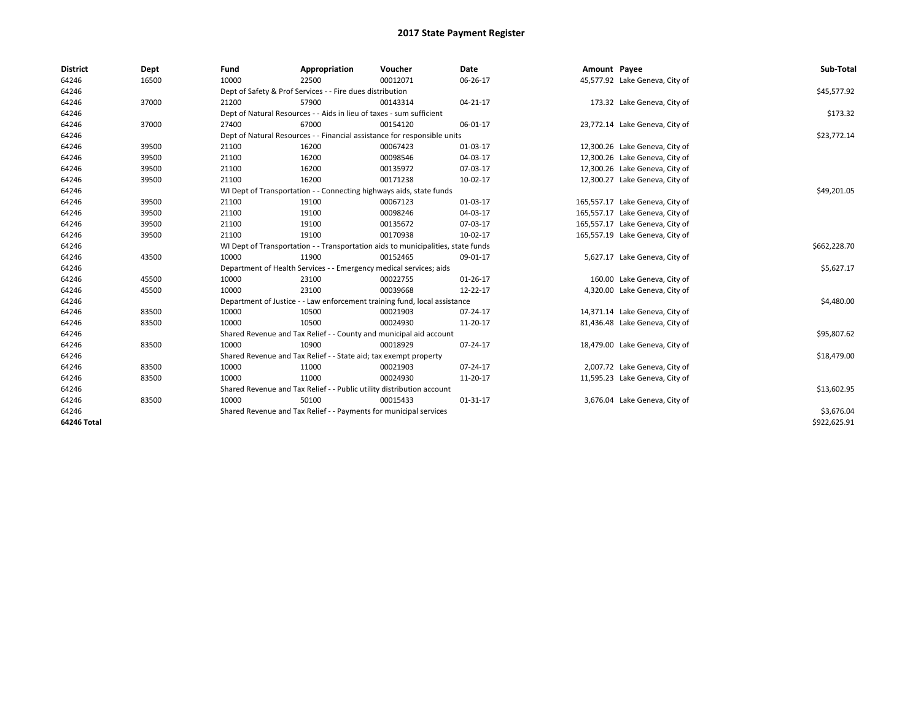| <b>District</b> | Dept  | Fund  | Appropriation                                                                    | Voucher  | Date           | Amount Payee |                                 | Sub-Total    |
|-----------------|-------|-------|----------------------------------------------------------------------------------|----------|----------------|--------------|---------------------------------|--------------|
| 64246           | 16500 | 10000 | 22500                                                                            | 00012071 | 06-26-17       |              | 45,577.92 Lake Geneva, City of  |              |
| 64246           |       |       | Dept of Safety & Prof Services - - Fire dues distribution                        |          |                |              |                                 | \$45,577.92  |
| 64246           | 37000 | 21200 | 57900                                                                            | 00143314 | 04-21-17       |              | 173.32 Lake Geneva, City of     |              |
| 64246           |       |       | Dept of Natural Resources - - Aids in lieu of taxes - sum sufficient             |          |                |              |                                 | \$173.32     |
| 64246           | 37000 | 27400 | 67000                                                                            | 00154120 | 06-01-17       |              | 23,772.14 Lake Geneva, City of  |              |
| 64246           |       |       | Dept of Natural Resources - - Financial assistance for responsible units         |          |                |              |                                 | \$23,772.14  |
| 64246           | 39500 | 21100 | 16200                                                                            | 00067423 | 01-03-17       |              | 12,300.26 Lake Geneva, City of  |              |
| 64246           | 39500 | 21100 | 16200                                                                            | 00098546 | 04-03-17       |              | 12,300.26 Lake Geneva, City of  |              |
| 64246           | 39500 | 21100 | 16200                                                                            | 00135972 | 07-03-17       |              | 12,300.26 Lake Geneva, City of  |              |
| 64246           | 39500 | 21100 | 16200                                                                            | 00171238 | 10-02-17       |              | 12,300.27 Lake Geneva, City of  |              |
| 64246           |       |       | WI Dept of Transportation - - Connecting highways aids, state funds              |          |                |              |                                 | \$49,201.05  |
| 64246           | 39500 | 21100 | 19100                                                                            | 00067123 | 01-03-17       |              | 165,557.17 Lake Geneva, City of |              |
| 64246           | 39500 | 21100 | 19100                                                                            | 00098246 | 04-03-17       |              | 165,557.17 Lake Geneva, City of |              |
| 64246           | 39500 | 21100 | 19100                                                                            | 00135672 | 07-03-17       |              | 165,557.17 Lake Geneva, City of |              |
| 64246           | 39500 | 21100 | 19100                                                                            | 00170938 | 10-02-17       |              | 165,557.19 Lake Geneva, City of |              |
| 64246           |       |       | WI Dept of Transportation - - Transportation aids to municipalities, state funds |          |                |              |                                 | \$662,228.70 |
| 64246           | 43500 | 10000 | 11900                                                                            | 00152465 | 09-01-17       |              | 5,627.17 Lake Geneva, City of   |              |
| 64246           |       |       | Department of Health Services - - Emergency medical services; aids               |          |                |              |                                 | \$5,627.17   |
| 64246           | 45500 | 10000 | 23100                                                                            | 00022755 | $01 - 26 - 17$ |              | 160.00 Lake Geneva, City of     |              |
| 64246           | 45500 | 10000 | 23100                                                                            | 00039668 | 12-22-17       |              | 4,320.00 Lake Geneva, City of   |              |
| 64246           |       |       | Department of Justice - - Law enforcement training fund, local assistance        |          |                |              |                                 | \$4,480.00   |
| 64246           | 83500 | 10000 | 10500                                                                            | 00021903 | 07-24-17       |              | 14,371.14 Lake Geneva, City of  |              |
| 64246           | 83500 | 10000 | 10500                                                                            | 00024930 | 11-20-17       |              | 81,436.48 Lake Geneva, City of  |              |
| 64246           |       |       | Shared Revenue and Tax Relief - - County and municipal aid account               |          |                |              |                                 | \$95,807.62  |
| 64246           | 83500 | 10000 | 10900                                                                            | 00018929 | 07-24-17       |              | 18,479.00 Lake Geneva, City of  |              |
| 64246           |       |       | Shared Revenue and Tax Relief - - State aid; tax exempt property                 |          |                |              |                                 | \$18,479.00  |
| 64246           | 83500 | 10000 | 11000                                                                            | 00021903 | 07-24-17       |              | 2,007.72 Lake Geneva, City of   |              |
| 64246           | 83500 | 10000 | 11000                                                                            | 00024930 | 11-20-17       |              | 11,595.23 Lake Geneva, City of  |              |
| 64246           |       |       | Shared Revenue and Tax Relief - - Public utility distribution account            |          |                |              |                                 | \$13,602.95  |
| 64246           | 83500 | 10000 | 50100                                                                            | 00015433 | 01-31-17       |              | 3,676.04 Lake Geneva, City of   |              |
| 64246           |       |       | Shared Revenue and Tax Relief - - Payments for municipal services                |          |                |              |                                 | \$3,676.04   |
| 64246 Total     |       |       |                                                                                  |          |                |              |                                 | \$922,625.91 |